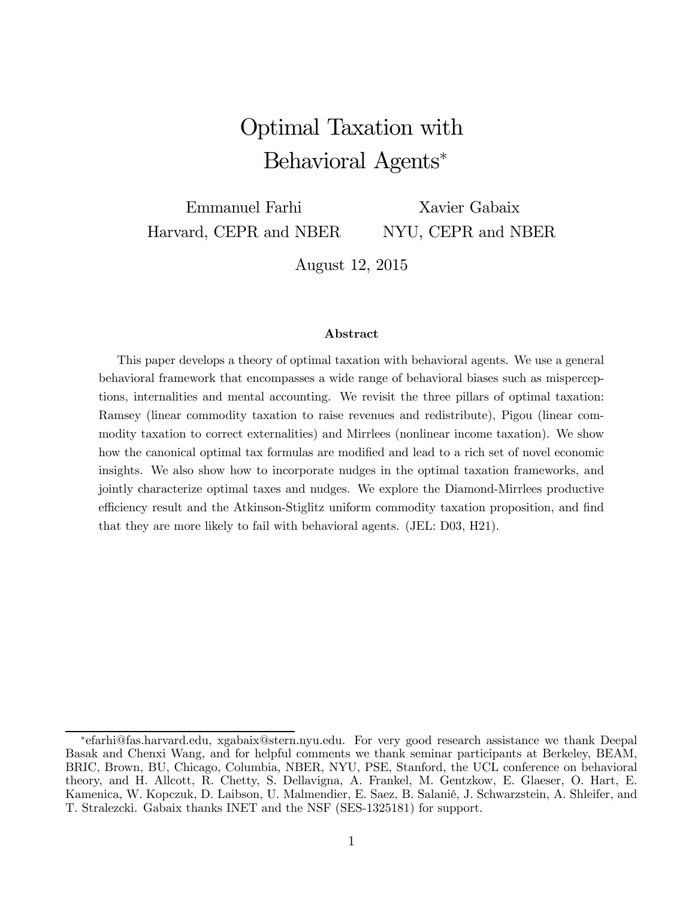# Optimal Taxation with Behavioral Agents<sup>∗</sup>

Emmanuel Farhi Harvard, CEPR and NBER Xavier Gabaix NYU, CEPR and NBER

August 12, 2015

#### Abstract

This paper develops a theory of optimal taxation with behavioral agents. We use a general behavioral framework that encompasses a wide range of behavioral biases such as misperceptions, internalities and mental accounting. We revisit the three pillars of optimal taxation: Ramsey (linear commodity taxation to raise revenues and redistribute), Pigou (linear commodity taxation to correct externalities) and Mirrlees (nonlinear income taxation). We show how the canonical optimal tax formulas are modified and lead to a rich set of novel economic insights. We also show how to incorporate nudges in the optimal taxation frameworks, and jointly characterize optimal taxes and nudges. We explore the Diamond-Mirrlees productive efficiency result and the Atkinson-Stiglitz uniform commodity taxation proposition, and find that they are more likely to fail with behavioral agents. (JEL: D03, H21).

<sup>∗</sup>efarhi@fas.harvard.edu, xgabaix@stern.nyu.edu. For very good research assistance we thank Deepal Basak and Chenxi Wang, and for helpful comments we thank seminar participants at Berkeley, BEAM, BRIC, Brown, BU, Chicago, Columbia, NBER, NYU, PSE, Stanford, the UCL conference on behavioral theory, and H. Allcott, R. Chetty, S. Dellavigna, A. Frankel, M. Gentzkow, E. Glaeser, O. Hart, E. Kamenica, W. Kopczuk, D. Laibson, U. Malmendier, E. Saez, B. Salanié, J. Schwarzstein, A. Shleifer, and T. Stralezcki. Gabaix thanks INET and the NSF (SES-1325181) for support.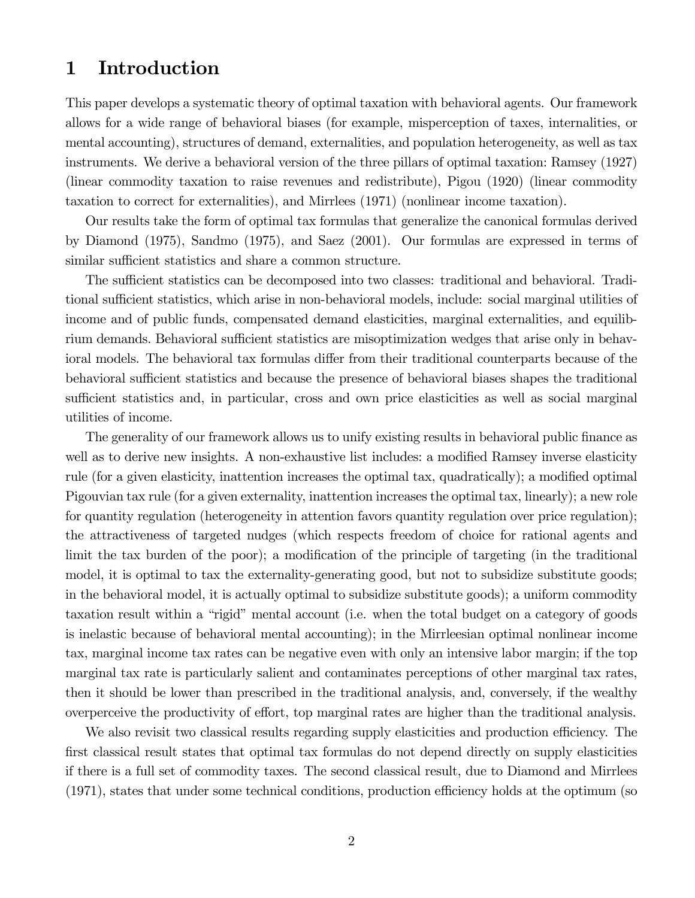## 1 Introduction

This paper develops a systematic theory of optimal taxation with behavioral agents. Our framework allows for a wide range of behavioral biases (for example, misperception of taxes, internalities, or mental accounting), structures of demand, externalities, and population heterogeneity, as well as tax instruments. We derive a behavioral version of the three pillars of optimal taxation: Ramsey (1927) (linear commodity taxation to raise revenues and redistribute), Pigou (1920) (linear commodity taxation to correct for externalities), and Mirrlees (1971) (nonlinear income taxation).

Our results take the form of optimal tax formulas that generalize the canonical formulas derived by Diamond (1975), Sandmo (1975), and Saez (2001). Our formulas are expressed in terms of similar sufficient statistics and share a common structure.

The sufficient statistics can be decomposed into two classes: traditional and behavioral. Traditional sufficient statistics, which arise in non-behavioral models, include: social marginal utilities of income and of public funds, compensated demand elasticities, marginal externalities, and equilibrium demands. Behavioral sufficient statistics are misoptimization wedges that arise only in behavioral models. The behavioral tax formulas differ from their traditional counterparts because of the behavioral sufficient statistics and because the presence of behavioral biases shapes the traditional sufficient statistics and, in particular, cross and own price elasticities as well as social marginal utilities of income.

The generality of our framework allows us to unify existing results in behavioral public finance as well as to derive new insights. A non-exhaustive list includes: a modified Ramsey inverse elasticity rule (for a given elasticity, inattention increases the optimal tax, quadratically); a modified optimal Pigouvian tax rule (for a given externality, inattention increases the optimal tax, linearly); a new role for quantity regulation (heterogeneity in attention favors quantity regulation over price regulation); the attractiveness of targeted nudges (which respects freedom of choice for rational agents and limit the tax burden of the poor); a modification of the principle of targeting (in the traditional model, it is optimal to tax the externality-generating good, but not to subsidize substitute goods; in the behavioral model, it is actually optimal to subsidize substitute goods); a uniform commodity taxation result within a "rigid" mental account (i.e. when the total budget on a category of goods is inelastic because of behavioral mental accounting); in the Mirrleesian optimal nonlinear income tax, marginal income tax rates can be negative even with only an intensive labor margin; if the top marginal tax rate is particularly salient and contaminates perceptions of other marginal tax rates, then it should be lower than prescribed in the traditional analysis, and, conversely, if the wealthy overperceive the productivity of effort, top marginal rates are higher than the traditional analysis.

We also revisit two classical results regarding supply elasticities and production efficiency. The first classical result states that optimal tax formulas do not depend directly on supply elasticities if there is a full set of commodity taxes. The second classical result, due to Diamond and Mirrlees (1971), states that under some technical conditions, production efficiency holds at the optimum (so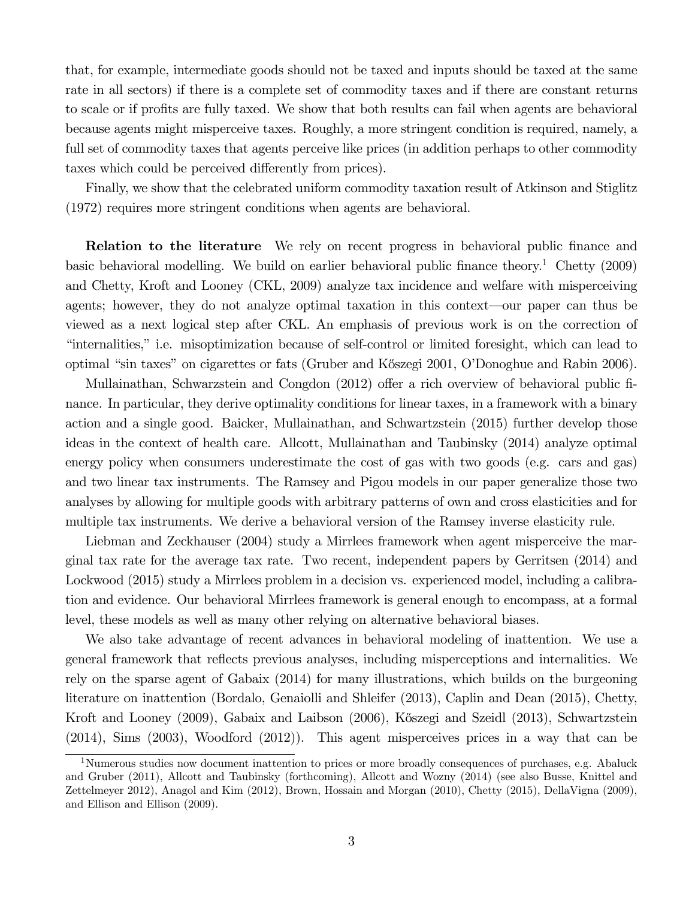that, for example, intermediate goods should not be taxed and inputs should be taxed at the same rate in all sectors) if there is a complete set of commodity taxes and if there are constant returns to scale or if profits are fully taxed. We show that both results can fail when agents are behavioral because agents might misperceive taxes. Roughly, a more stringent condition is required, namely, a full set of commodity taxes that agents perceive like prices (in addition perhaps to other commodity taxes which could be perceived differently from prices).

Finally, we show that the celebrated uniform commodity taxation result of Atkinson and Stiglitz (1972) requires more stringent conditions when agents are behavioral.

**Relation to the literature** We rely on recent progress in behavioral public finance and basic behavioral modelling. We build on earlier behavioral public finance theory.<sup>1</sup> Chetty (2009) and Chetty, Kroft and Looney (CKL, 2009) analyze tax incidence and welfare with misperceiving agents; however, they do not analyze optimal taxation in this context–our paper can thus be viewed as a next logical step after CKL. An emphasis of previous work is on the correction of "internalities," i.e. misoptimization because of self-control or limited foresight, which can lead to optimal "sin taxes" on cigarettes or fats (Gruber and K˝oszegi 2001, O'Donoghue and Rabin 2006).

Mullainathan, Schwarzstein and Congdon (2012) offer a rich overview of behavioral public finance. In particular, they derive optimality conditions for linear taxes, in a framework with a binary action and a single good. Baicker, Mullainathan, and Schwartzstein (2015) further develop those ideas in the context of health care. Allcott, Mullainathan and Taubinsky (2014) analyze optimal energy policy when consumers underestimate the cost of gas with two goods (e.g. cars and gas) and two linear tax instruments. The Ramsey and Pigou models in our paper generalize those two analyses by allowing for multiple goods with arbitrary patterns of own and cross elasticities and for multiple tax instruments. We derive a behavioral version of the Ramsey inverse elasticity rule.

Liebman and Zeckhauser (2004) study a Mirrlees framework when agent misperceive the marginal tax rate for the average tax rate. Two recent, independent papers by Gerritsen (2014) and Lockwood (2015) study a Mirrlees problem in a decision vs. experienced model, including a calibration and evidence. Our behavioral Mirrlees framework is general enough to encompass, at a formal level, these models as well as many other relying on alternative behavioral biases.

We also take advantage of recent advances in behavioral modeling of inattention. We use a general framework that reflects previous analyses, including misperceptions and internalities. We rely on the sparse agent of Gabaix (2014) for many illustrations, which builds on the burgeoning literature on inattention (Bordalo, Genaiolli and Shleifer (2013), Caplin and Dean (2015), Chetty, Kroft and Looney (2009), Gabaix and Laibson (2006), Kőszegi and Szeidl (2013), Schwartzstein (2014), Sims (2003), Woodford (2012)). This agent misperceives prices in a way that can be

<sup>&</sup>lt;sup>1</sup>Numerous studies now document inattention to prices or more broadly consequences of purchases, e.g. Abaluck and Gruber (2011), Allcott and Taubinsky (forthcoming), Allcott and Wozny (2014) (see also Busse, Knittel and Zettelmeyer 2012), Anagol and Kim (2012), Brown, Hossain and Morgan (2010), Chetty (2015), DellaVigna (2009), and Ellison and Ellison (2009).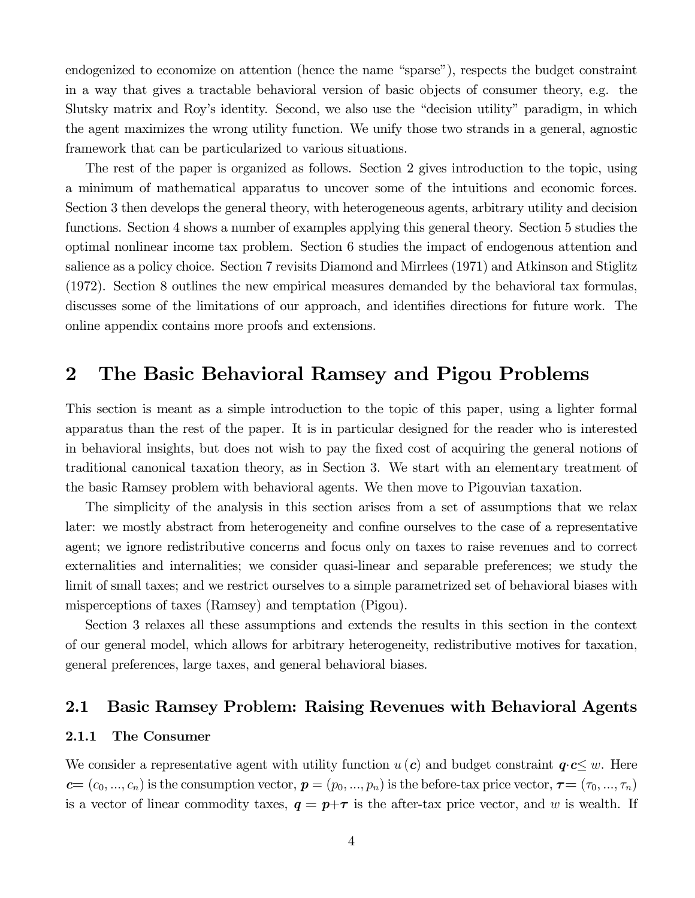endogenized to economize on attention (hence the name "sparse"), respects the budget constraint in a way that gives a tractable behavioral version of basic objects of consumer theory, e.g. the Slutsky matrix and Roy's identity. Second, we also use the "decision utility" paradigm, in which the agent maximizes the wrong utility function. We unify those two strands in a general, agnostic framework that can be particularized to various situations.

The rest of the paper is organized as follows. Section 2 gives introduction to the topic, using a minimum of mathematical apparatus to uncover some of the intuitions and economic forces. Section 3 then develops the general theory, with heterogeneous agents, arbitrary utility and decision functions. Section 4 shows a number of examples applying this general theory. Section 5 studies the optimal nonlinear income tax problem. Section 6 studies the impact of endogenous attention and salience as a policy choice. Section 7 revisits Diamond and Mirrlees (1971) and Atkinson and Stiglitz (1972). Section 8 outlines the new empirical measures demanded by the behavioral tax formulas, discusses some of the limitations of our approach, and identifies directions for future work. The online appendix contains more proofs and extensions.

## 2 The Basic Behavioral Ramsey and Pigou Problems

This section is meant as a simple introduction to the topic of this paper, using a lighter formal apparatus than the rest of the paper. It is in particular designed for the reader who is interested in behavioral insights, but does not wish to pay the fixed cost of acquiring the general notions of traditional canonical taxation theory, as in Section 3. We start with an elementary treatment of the basic Ramsey problem with behavioral agents. We then move to Pigouvian taxation.

The simplicity of the analysis in this section arises from a set of assumptions that we relax later: we mostly abstract from heterogeneity and confine ourselves to the case of a representative agent; we ignore redistributive concerns and focus only on taxes to raise revenues and to correct externalities and internalities; we consider quasi-linear and separable preferences; we study the limit of small taxes; and we restrict ourselves to a simple parametrized set of behavioral biases with misperceptions of taxes (Ramsey) and temptation (Pigou).

Section 3 relaxes all these assumptions and extends the results in this section in the context of our general model, which allows for arbitrary heterogeneity, redistributive motives for taxation, general preferences, large taxes, and general behavioral biases.

### 2.1 Basic Ramsey Problem: Raising Revenues with Behavioral Agents

#### 2.1.1 The Consumer

We consider a representative agent with utility function  $u(c)$  and budget constraint  $q \cdot c \leq w$ . Here  $c=(c_0, ..., c_n)$  is the consumption vector,  $p=(p_0, ..., p_n)$  is the before-tax price vector,  $\tau=(\tau_0, ..., \tau_n)$ is a vector of linear commodity taxes,  $q = p+\tau$  is the after-tax price vector, and w is wealth. If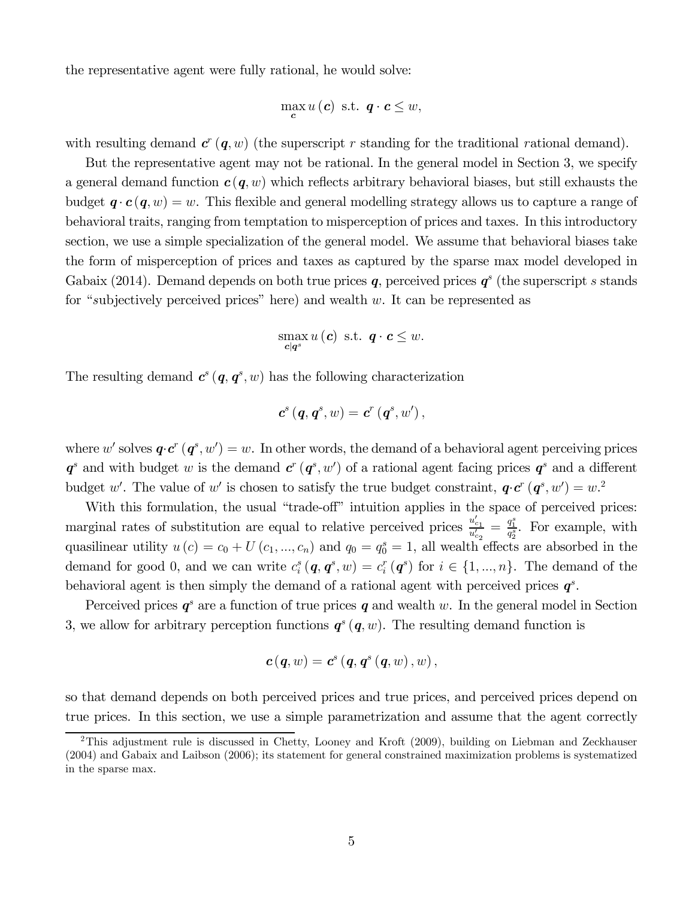the representative agent were fully rational, he would solve:

$$
\max_{\mathbf{c}} u(\mathbf{c}) \text{ s.t. } \mathbf{q} \cdot \mathbf{c} \leq w,
$$

with resulting demand  $c^{r}$  (q, w) (the superscript r standing for the traditional rational demand).

But the representative agent may not be rational. In the general model in Section 3, we specify a general demand function  $c(q, w)$  which reflects arbitrary behavioral biases, but still exhausts the budget  $q \cdot c(q, w) = w$ . This flexible and general modelling strategy allows us to capture a range of behavioral traits, ranging from temptation to misperception of prices and taxes. In this introductory section, we use a simple specialization of the general model. We assume that behavioral biases take the form of misperception of prices and taxes as captured by the sparse max model developed in Gabaix (2014). Demand depends on both true prices q, perceived prices  $q^s$  (the superscript s stands for "subjectively perceived prices" here) and wealth  $w$ . It can be represented as

$$
\max_{\mathbf{c}|\mathbf{q}^s} u(\mathbf{c}) \text{ s.t. } \mathbf{q} \cdot \mathbf{c} \leq w.
$$

The resulting demand  $c^{s}(q, q^{s}, w)$  has the following characterization

$$
\boldsymbol{c}^{s}\left(\boldsymbol{q},\boldsymbol{q}^{s},w\right)=\boldsymbol{c}^{r}\left(\boldsymbol{q}^{s},w'\right),
$$

where w' solves  $\mathbf{q} \cdot \mathbf{c}^r (\mathbf{q}^s, w') = w$ . In other words, the demand of a behavioral agent perceiving prices  $q^s$  and with budget w is the demand  $c^r(q^s, w')$  of a rational agent facing prices  $q^s$  and a different budget w'. The value of w' is chosen to satisfy the true budget constraint,  $q \cdot c^r (q^s, w') = w^2$ .

With this formulation, the usual "trade-off" intuition applies in the space of perceived prices: marginal rates of substitution are equal to relative perceived prices  $\frac{u'_{c_1}}{u'}$  $\frac{u'_{c_1}}{u'_{c_2}} = \frac{q_1^s}{q_2^s}$ . For example, with quasilinear utility  $u(c) = c_0 + U(c_1, ..., c_n)$  and  $q_0 = q_0^s = 1$ , all wealth effects are absorbed in the demand for good 0, and we can write  $c_i^s(q, q^s, w) = c_i^r(q^s)$  for  $i \in \{1, ..., n\}$ . The demand of the behavioral agent is then simply the demand of a rational agent with perceived prices  $q^s$ .

Perceived prices  $q^s$  are a function of true prices q and wealth w. In the general model in Section 3, we allow for arbitrary perception functions  $q^{s}(q, w)$ . The resulting demand function is

$$
\boldsymbol{c}\left(\boldsymbol{q},w\right)=\boldsymbol{c}^{s}\left(\boldsymbol{q},\boldsymbol{q}^{s}\left(\boldsymbol{q},w\right),w\right),
$$

so that demand depends on both perceived prices and true prices, and perceived prices depend on true prices. In this section, we use a simple parametrization and assume that the agent correctly

<sup>&</sup>lt;sup>2</sup>This adjustment rule is discussed in Chetty, Looney and Kroft (2009), building on Liebman and Zeckhauser (2004) and Gabaix and Laibson (2006); its statement for general constrained maximization problems is systematized in the sparse max.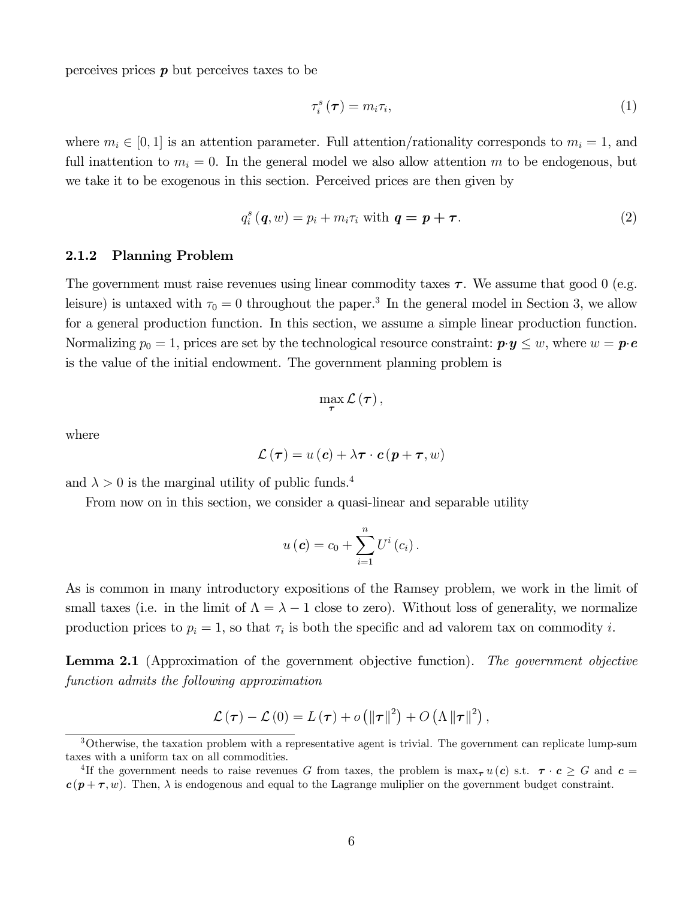perceives prices  $p$  but perceives taxes to be

$$
\tau_i^s(\boldsymbol{\tau}) = m_i \tau_i,\tag{1}
$$

where  $m_i \in [0, 1]$  is an attention parameter. Full attention/rationality corresponds to  $m_i = 1$ , and full inattention to  $m_i = 0$ . In the general model we also allow attention m to be endogenous, but we take it to be exogenous in this section. Perceived prices are then given by

$$
q_i^s(\boldsymbol{q},w) = p_i + m_i \tau_i \text{ with } \boldsymbol{q} = \boldsymbol{p} + \boldsymbol{\tau}. \tag{2}
$$

#### 2.1.2 Planning Problem

The government must raise revenues using linear commodity taxes  $\tau$ . We assume that good 0 (e.g. leisure) is untaxed with  $\tau_0 = 0$  throughout the paper.<sup>3</sup> In the general model in Section 3, we allow for a general production function. In this section, we assume a simple linear production function. Normalizing  $p_0 = 1$ , prices are set by the technological resource constraint:  $\mathbf{p} \cdot \mathbf{y} \leq w$ , where  $w = \mathbf{p} \cdot \mathbf{e}$ is the value of the initial endowment. The government planning problem is

$$
\max_{\boldsymbol{\tau}} \mathcal{L}(\boldsymbol{\tau}),
$$

where

$$
\mathcal{L}(\boldsymbol{\tau}) = u(\boldsymbol{c}) + \lambda \boldsymbol{\tau} \cdot \boldsymbol{c} (\boldsymbol{p} + \boldsymbol{\tau}, w)
$$

and  $\lambda > 0$  is the marginal utility of public funds.<sup>4</sup>

From now on in this section, we consider a quasi-linear and separable utility

$$
u\left(\boldsymbol{c}\right)=c_0+\sum_{i=1}^n U^i\left(c_i\right).
$$

As is common in many introductory expositions of the Ramsey problem, we work in the limit of small taxes (i.e. in the limit of  $\Lambda = \lambda - 1$  close to zero). Without loss of generality, we normalize production prices to  $p_i = 1$ , so that  $\tau_i$  is both the specific and ad valorem tax on commodity i.

Lemma 2.1 (Approximation of the government objective function). The government objective function admits the following approximation

$$
\mathcal{L}(\boldsymbol{\tau}) - \mathcal{L}(0) = L(\boldsymbol{\tau}) + o\left(\|\boldsymbol{\tau}\|^2\right) + O\left(\Lambda\|\boldsymbol{\tau}\|^2\right),
$$

<sup>3</sup>Otherwise, the taxation problem with a representative agent is trivial. The government can replicate lump-sum taxes with a uniform tax on all commodities.

<sup>&</sup>lt;sup>4</sup>If the government needs to raise revenues G from taxes, the problem is max<sub>r</sub>  $u(c)$  s.t.  $\tau \cdot c \geq G$  and  $c =$  $c(p+\tau, w)$ . Then,  $\lambda$  is endogenous and equal to the Lagrange muliplier on the government budget constraint.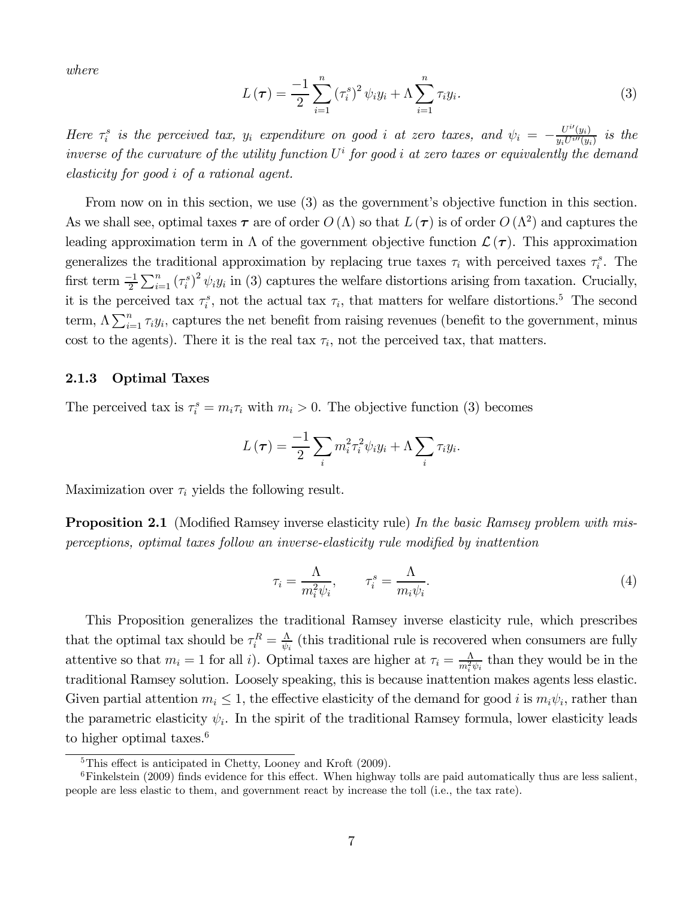where

$$
L(\boldsymbol{\tau}) = \frac{-1}{2} \sum_{i=1}^{n} (\tau_i^s)^2 \psi_i y_i + \Lambda \sum_{i=1}^{n} \tau_i y_i.
$$
 (3)

Here  $\tau_i^s$  is the perceived tax,  $y_i$  expenditure on good i at zero taxes, and  $\psi_i = -\frac{U^{i'}(y_i)}{y_i U^{i'}(y_i)}$  is the inverse of the curvature of the utility function  $U^i$  for good *i* at zero taxes or equivalently the demand  $elasticity for good i of a rational agent.$ 

From now on in this section, we use (3) as the government's objective function in this section. As we shall see, optimal taxes  $\tau$  are of order  $O(\Lambda)$  so that  $L(\tau)$  is of order  $O(\Lambda^2)$  and captures the leading approximation term in  $\Lambda$  of the government objective function  $\mathcal{L}(\tau)$ . This approximation generalizes the traditional approximation by replacing true taxes  $\tau_i$  with perceived taxes  $\tau_i^s$ . The first term  $\frac{-1}{2}\sum_{i=1}^{n}(\tau_i^s)^2 \psi_i y_i$  in (3) captures the welfare distortions arising from taxation. Crucially, it is the perceived tax  $\tau_i^s$ , not the actual tax  $\tau_i$ , that matters for welfare distortions.<sup>5</sup> The second term,  $\Lambda \sum_{i=1}^{n} \tau_i y_i$ , captures the net benefit from raising revenues (benefit to the government, minus cost to the agents). There it is the real tax  $\tau_i$ , not the perceived tax, that matters.

#### 2.1.3 Optimal Taxes

The perceived tax is  $\tau_i^s = m_i \tau_i$  with  $m_i > 0$ . The objective function (3) becomes

$$
L(\tau) = \frac{-1}{2} \sum_{i} m_i^2 \tau_i^2 \psi_i y_i + \Lambda \sum_{i} \tau_i y_i.
$$

Maximization over  $\tau_i$  yields the following result.

**Proposition 2.1** (Modified Ramsey inverse elasticity rule) In the basic Ramsey problem with misperceptions, optimal taxes follow an inverse-elasticity rule modified by inattention

$$
\tau_i = \frac{\Lambda}{m_i^2 \psi_i}, \qquad \tau_i^s = \frac{\Lambda}{m_i \psi_i}.
$$
\n<sup>(4)</sup>

This Proposition generalizes the traditional Ramsey inverse elasticity rule, which prescribes that the optimal tax should be  $\tau_i^R = \frac{\Lambda}{\psi_i}$  (this traditional rule is recovered when consumers are fully attentive so that  $m_i = 1$  for all i). Optimal taxes are higher at  $\tau_i = \frac{\Lambda}{m_i^2 \psi_i}$  than they would be in the traditional Ramsey solution. Loosely speaking, this is because inattention makes agents less elastic. Given partial attention  $m_i \leq 1$ , the effective elasticity of the demand for good *i* is  $m_i \psi_i$ , rather than the parametric elasticity  $\psi_i$ . In the spirit of the traditional Ramsey formula, lower elasticity leads to higher optimal taxes.<sup>6</sup>

<sup>5</sup>This effect is anticipated in Chetty, Looney and Kroft (2009).

<sup>&</sup>lt;sup>6</sup>Finkelstein (2009) finds evidence for this effect. When highway tolls are paid automatically thus are less salient, people are less elastic to them, and government react by increase the toll (i.e., the tax rate).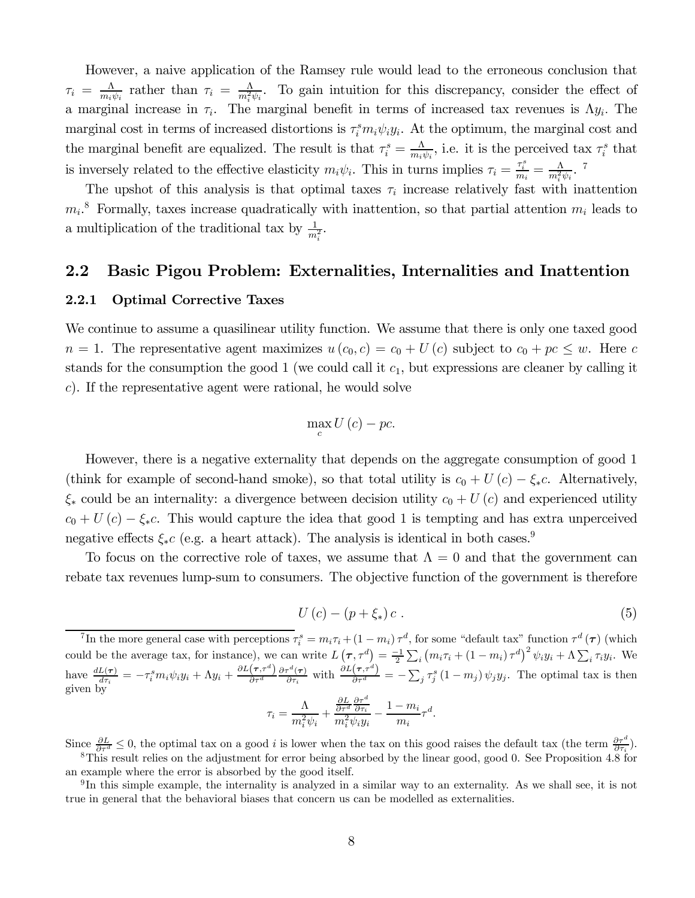However, a naive application of the Ramsey rule would lead to the erroneous conclusion that  $\tau_i = \frac{\Lambda}{m_i \psi_i}$  rather than  $\tau_i = \frac{\Lambda}{m_i^2 \psi_i}$ . To gain intuition for this discrepancy, consider the effect of a marginal increase in  $\tau_i$ . The marginal benefit in terms of increased tax revenues is  $\Lambda y_i$ . The marginal cost in terms of increased distortions is  $\tau_i^s m_i \psi_i y_i$ . At the optimum, the marginal cost and the marginal benefit are equalized. The result is that  $\tau_i^s = \frac{\Lambda}{m_i \psi_i}$ , i.e. it is the perceived tax  $\tau_i^s$  that is inversely related to the effective elasticity  $m_i \psi_i$ . This in turns implies  $\tau_i = \frac{\tau_i^s}{m_i} = \frac{\Lambda}{m_i^2 \psi_i}$ . <sup>7</sup>

The upshot of this analysis is that optimal taxes  $\tau_i$  increase relatively fast with inattention  $m_i$ <sup>8</sup> Formally, taxes increase quadratically with inattention, so that partial attention  $m_i$  leads to a multiplication of the traditional tax by  $\frac{1}{m_i^2}$ .

### 2.2 Basic Pigou Problem: Externalities, Internalities and Inattention

#### 2.2.1 Optimal Corrective Taxes

We continue to assume a quasilinear utility function. We assume that there is only one taxed good  $n = 1$ . The representative agent maximizes  $u(c_0, c) = c_0 + U(c)$  subject to  $c_0 + pc \leq w$ . Here c stands for the consumption the good 1 (we could call it  $c_1$ , but expressions are cleaner by calling it ). If the representative agent were rational, he would solve

$$
\max_{c} U\left(c\right) - pc.
$$

However, there is a negative externality that depends on the aggregate consumption of good 1 (think for example of second-hand smoke), so that total utility is  $c_0 + U(c) - \xi_*c$ . Alternatively,  $\xi_*$  could be an internality: a divergence between decision utility  $c_0 + U(c)$  and experienced utility  $c_0 + U(c) - \xi_*c$ . This would capture the idea that good 1 is tempting and has extra unperceived negative effects  $\xi_* c$  (e.g. a heart attack). The analysis is identical in both cases.<sup>9</sup>

To focus on the corrective role of taxes, we assume that  $\Lambda = 0$  and that the government can rebate tax revenues lump-sum to consumers. The objective function of the government is therefore

$$
U(c) - (p + \xi_*)c . \tag{5}
$$

<sup>7</sup>In the more general case with perceptions  $\tau_i^s = m_i \tau_i + (1 - m_i) \tau_i^d$ , for some "default tax" function  $\tau^d(\tau)$  (which could be the average tax, for instance), we can write  $L(\tau, \tau^d) = \frac{-1}{2} \sum_i (m_i \tau_i + (1 - m_i) \tau^d)^2 \psi_i y_i + \Lambda \sum_i \tau_i y_i$ . We have  $\frac{dL(\tau)}{d\tau_i} = -\tau_i^s m_i \psi_i y_i + \Lambda y_i + \frac{\partial L(\tau, \tau^d)}{\partial \tau^d}$  $\partial\tau^d$  $\frac{\partial \tau^d(\tau)}{\partial \tau_i}$  with  $\frac{\partial L(\tau, \tau^d)}{\partial \tau^d} = -\sum_j \tau_j^s (1 - m_j) \psi_j y_j$ . The optimal tax is then given by

$$
\tau_i = \frac{\Lambda}{m_i^2 \psi_i} + \frac{\frac{\partial L}{\partial \tau^d} \frac{\partial \tau^d}{\partial \tau_i}}{m_i^2 \psi_i y_i} - \frac{1 - m_i}{m_i} \tau^d.
$$

Since  $\frac{\partial L}{\partial \tau^d} \leq 0$ , the optimal tax on a good *i* is lower when the tax on this good raises the default tax (the term  $\frac{\partial \tau^d}{\partial \tau_i}$ ).

8This result relies on the adjustment for error being absorbed by the linear good, good 0. See Proposition 4.8 for an example where the error is absorbed by the good itself.

 $9\text{In this simple example, the internally is analyzed in a similar way to an externality. As we shall see, it is not$ true in general that the behavioral biases that concern us can be modelled as externalities.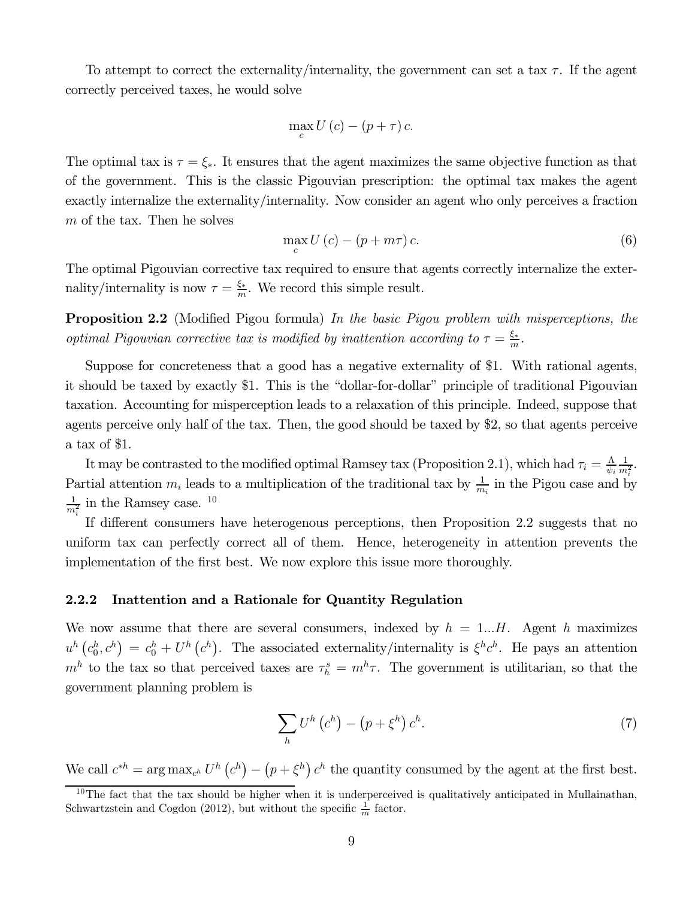To attempt to correct the externality/internality, the government can set a tax  $\tau$ . If the agent correctly perceived taxes, he would solve

$$
\max_{c} U(c) - (p + \tau) c.
$$

The optimal tax is  $\tau = \xi_*$ . It ensures that the agent maximizes the same objective function as that of the government. This is the classic Pigouvian prescription: the optimal tax makes the agent exactly internalize the externality/internality. Now consider an agent who only perceives a fraction  $m$  of the tax. Then he solves

$$
\max_{c} U(c) - (p + m\tau)c. \tag{6}
$$

The optimal Pigouvian corrective tax required to ensure that agents correctly internalize the externality/internality is now  $\tau = \frac{\xi_*}{m}$ . We record this simple result.

**Proposition 2.2** (Modified Pigou formula) In the basic Pigou problem with misperceptions, the optimal Pigouvian corrective tax is modified by inattention according to  $\tau = \frac{\xi_*}{m}$ .

Suppose for concreteness that a good has a negative externality of \$1. With rational agents, it should be taxed by exactly \$1. This is the "dollar-for-dollar" principle of traditional Pigouvian taxation. Accounting for misperception leads to a relaxation of this principle. Indeed, suppose that agents perceive only half of the tax. Then, the good should be taxed by \$2, so that agents perceive a tax of \$1.

It may be contrasted to the modified optimal Ramsey tax (Proposition 2.1), which had  $\tau_i = \frac{\Lambda}{\psi_i}$  $\frac{1}{m_i^2}$ . Partial attention  $m_i$  leads to a multiplication of the traditional tax by  $\frac{1}{m_i}$  in the Pigou case and by  $\frac{1}{m_i^2}$  in the Ramsey case. <sup>10</sup>

If different consumers have heterogenous perceptions, then Proposition 2.2 suggests that no uniform tax can perfectly correct all of them. Hence, heterogeneity in attention prevents the implementation of the first best. We now explore this issue more thoroughly.

#### 2.2.2 Inattention and a Rationale for Quantity Regulation

We now assume that there are several consumers, indexed by  $h = 1...H$ . Agent h maximizes  $u^h(c_0^h, c^h) = c_0^h + U^h(c^h)$ . The associated externality/internality is  $\xi^h c^h$ . He pays an attention  $m<sup>h</sup>$  to the tax so that perceived taxes are  $\tau_h^s = m^h \tau$ . The government is utilitarian, so that the government planning problem is

$$
\sum_{h} U^{h} \left( c^{h} \right) - \left( p + \xi^{h} \right) c^{h}.
$$
\n
$$
(7)
$$

We call  $c^{*h} = \arg \max_{c^h} U^h(c^h) - (p + \xi^h) c^h$  the quantity consumed by the agent at the first best.

 $10$ The fact that the tax should be higher when it is underperceived is qualitatively anticipated in Mullainathan, Schwartzstein and Cogdon (2012), but without the specific  $\frac{1}{m}$  factor.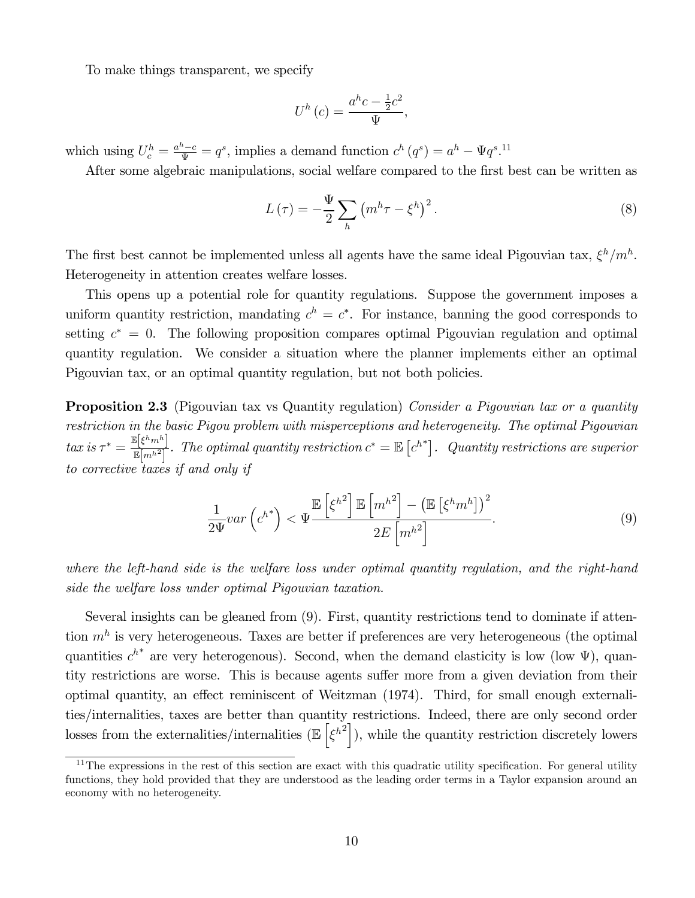To make things transparent, we specify

$$
U^h(c) = \frac{a^h c - \frac{1}{2}c^2}{\Psi},
$$

which using  $U_c^h = \frac{a^h - c}{\Psi} = q^s$ , implies a demand function  $c^h(q^s) = a^h - \Psi q^{s.11}$ 

After some algebraic manipulations, social welfare compared to the first best can be written as

$$
L(\tau) = -\frac{\Psi}{2} \sum_{h} \left( m^h \tau - \xi^h \right)^2.
$$
 (8)

The first best cannot be implemented unless all agents have the same ideal Pigouvian tax,  $\xi^h/m^h$ . Heterogeneity in attention creates welfare losses.

This opens up a potential role for quantity regulations. Suppose the government imposes a uniform quantity restriction, mandating  $c^h = c^*$ . For instance, banning the good corresponds to setting  $c^* = 0$ . The following proposition compares optimal Pigouvian regulation and optimal quantity regulation. We consider a situation where the planner implements either an optimal Pigouvian tax, or an optimal quantity regulation, but not both policies.

**Proposition 2.3** (Pigouvian tax vs Quantity regulation) Consider a Pigouvian tax or a quantity restriction in the basic Pigou problem with misperceptions and heterogeneity. The optimal Pigouvian  $\text{tan is } \tau^* = \frac{\mathbb{E}[\xi^h m^h]}{\mathbb{E}[m^h]^2}$ . The optimal quantity restriction  $c^* = \mathbb{E}[c^h]^2$ . Quantity restrictions are superior to corrective taxes if and only if

$$
\frac{1}{2\Psi}var\left(c^{h^*}\right) < \Psi \frac{\mathbb{E}\left[\xi^{h^2}\right] \mathbb{E}\left[m^{h^2}\right] - \left(\mathbb{E}\left[\xi^h m^h\right]\right)^2}{2E\left[m^{h^2}\right]}.\tag{9}
$$

where the left-hand side is the welfare loss under optimal quantity regulation, and the right-hand side the welfare loss under optimal Pigouvian taxation.

Several insights can be gleaned from (9). First, quantity restrictions tend to dominate if attention  $m<sup>h</sup>$  is very heterogeneous. Taxes are better if preferences are very heterogeneous (the optimal quantities  $c^{h^*}$  are very heterogenous). Second, when the demand elasticity is low (low  $\Psi$ ), quantity restrictions are worse. This is because agents suffer more from a given deviation from their optimal quantity, an effect reminiscent of Weitzman (1974). Third, for small enough externalities/internalities, taxes are better than quantity restrictions. Indeed, there are only second order losses from the externalities/internalities  $(\mathbb{E}\left[\xi^{h^2}\right])$ , while the quantity restriction discretely lowers

 $11$ The expressions in the rest of this section are exact with this quadratic utility specification. For general utility functions, they hold provided that they are understood as the leading order terms in a Taylor expansion around an economy with no heterogeneity.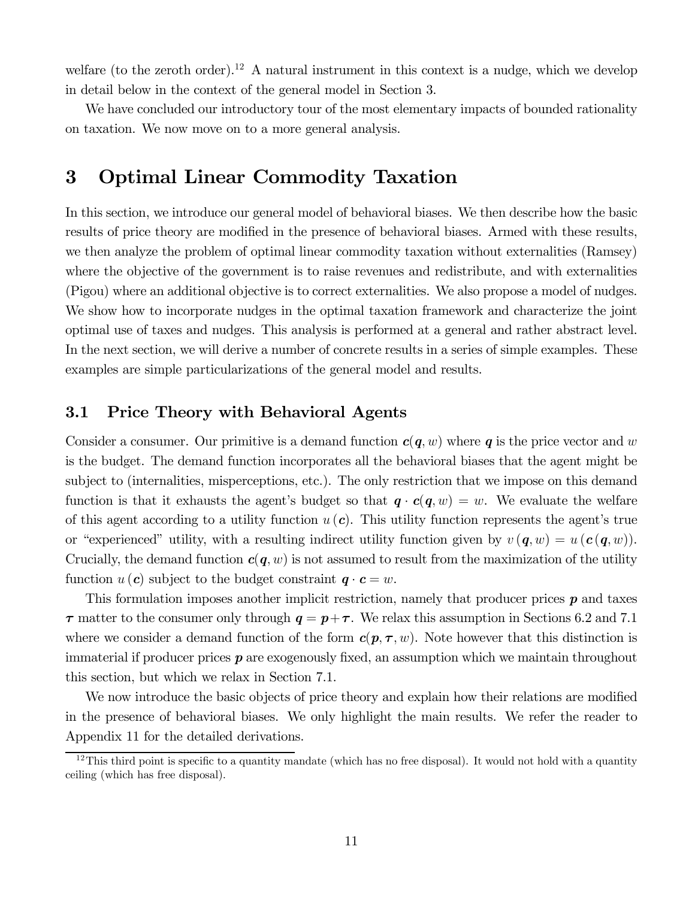welfare (to the zeroth order).<sup>12</sup> A natural instrument in this context is a nudge, which we develop in detail below in the context of the general model in Section 3.

We have concluded our introductory tour of the most elementary impacts of bounded rationality on taxation. We now move on to a more general analysis.

## 3 Optimal Linear Commodity Taxation

In this section, we introduce our general model of behavioral biases. We then describe how the basic results of price theory are modified in the presence of behavioral biases. Armed with these results, we then analyze the problem of optimal linear commodity taxation without externalities (Ramsey) where the objective of the government is to raise revenues and redistribute, and with externalities (Pigou) where an additional objective is to correct externalities. We also propose a model of nudges. We show how to incorporate nudges in the optimal taxation framework and characterize the joint optimal use of taxes and nudges. This analysis is performed at a general and rather abstract level. In the next section, we will derive a number of concrete results in a series of simple examples. These examples are simple particularizations of the general model and results.

### 3.1 Price Theory with Behavioral Agents

Consider a consumer. Our primitive is a demand function  $c(q, w)$  where q is the price vector and w is the budget. The demand function incorporates all the behavioral biases that the agent might be subject to (internalities, misperceptions, etc.). The only restriction that we impose on this demand function is that it exhausts the agent's budget so that  $q \cdot c(q, w) = w$ . We evaluate the welfare of this agent according to a utility function  $u(c)$ . This utility function represents the agent's true or "experienced" utility, with a resulting indirect utility function given by  $v(\mathbf{q}, w) = u(\mathbf{c}(\mathbf{q}, w))$ . Crucially, the demand function  $c(q, w)$  is not assumed to result from the maximization of the utility function  $u(c)$  subject to the budget constraint  $q \cdot c = w$ .

This formulation imposes another implicit restriction, namely that producer prices  $p$  and taxes  $\tau$  matter to the consumer only through  $q = p + \tau$ . We relax this assumption in Sections 6.2 and 7.1 where we consider a demand function of the form  $c(p, \tau, w)$ . Note however that this distinction is immaterial if producer prices  $p$  are exogenously fixed, an assumption which we maintain throughout this section, but which we relax in Section 7.1.

We now introduce the basic objects of price theory and explain how their relations are modified in the presence of behavioral biases. We only highlight the main results. We refer the reader to Appendix 11 for the detailed derivations.

 $12$ This third point is specific to a quantity mandate (which has no free disposal). It would not hold with a quantity ceiling (which has free disposal).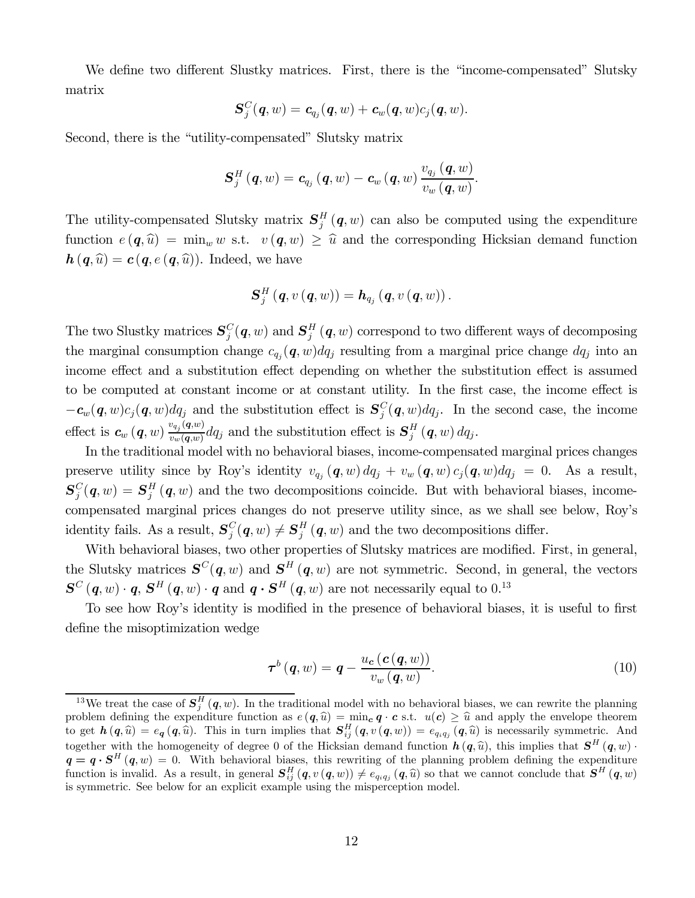We define two different Slustky matrices. First, there is the "income-compensated" Slutsky matrix

$$
\boldsymbol{S}_j^C(\boldsymbol{q},w)=\boldsymbol{c}_{q_j}(\boldsymbol{q},w)+\boldsymbol{c}_{w}(\boldsymbol{q},w)c_j(\boldsymbol{q},w).
$$

Second, there is the "utility-compensated" Slutsky matrix

$$
\boldsymbol{S}_{j}^{H}\left(\boldsymbol{q},w\right)=\boldsymbol{c}_{q_{j}}\left(\boldsymbol{q},w\right)-\boldsymbol{c}_{w}\left(\boldsymbol{q},w\right)\frac{v_{q_{j}}\left(\boldsymbol{q},w\right)}{v_{w}\left(\boldsymbol{q},w\right)}.
$$

The utility-compensated Slutsky matrix  $S_j^H(q, w)$  can also be computed using the expenditure function  $e(q, \hat{u}) = \min_{w} w$  s.t.  $v(q, w) \geq \hat{u}$  and the corresponding Hicksian demand function  $h(q, \hat{u}) = c(q, e(q, \hat{u}))$ . Indeed, we have

$$
\boldsymbol{S}_{j}^{H}\left(\boldsymbol{q},v\left(\boldsymbol{q},w\right)\right)=\boldsymbol{h}_{q_{j}}\left(\boldsymbol{q},v\left(\boldsymbol{q},w\right)\right).
$$

The two Slustky matrices  $S_j^C(q, w)$  and  $S_j^H(q, w)$  correspond to two different ways of decomposing the marginal consumption change  $c_{q_i}(\mathbf{q}, w) dq_j$  resulting from a marginal price change  $dq_j$  into an income effect and a substitution effect depending on whether the substitution effect is assumed to be computed at constant income or at constant utility. In the first case, the income effect is  $-c_w(q, w)c_j(q, w) dq_j$  and the substitution effect is  $S_j^C(q, w) dq_j$ . In the second case, the income effect is  $c_w(q, w) \frac{v_{q_j}(q, w)}{v_w(q, w)} dq_j$  and the substitution effect is  $S_j^H(q, w) dq_j$ .

In the traditional model with no behavioral biases, income-compensated marginal prices changes preserve utility since by Roy's identity  $v_{q_j}(q, w) dq_j + v_w(q, w) c_j(q, w) dq_j = 0$ . As a result,  ${\bf S}_j^C({\bf q},w)={\bf S}_j^H\left({\bf q},w\right)$  and the two decompositions coincide. But with behavioral biases, incomecompensated marginal prices changes do not preserve utility since, as we shall see below, Roy's identity fails. As a result,  $S_j^C(q, w) \neq S_j^H(q, w)$  and the two decompositions differ.

With behavioral biases, two other properties of Slutsky matrices are modified. First, in general, the Slutsky matrices  $S^{C}(q, w)$  and  $S^{H}(q, w)$  are not symmetric. Second, in general, the vectors  $\boldsymbol{S}^C\left(\boldsymbol{q},w\right)\cdot\boldsymbol{q},\,\boldsymbol{S}^H\left(\boldsymbol{q},w\right)\cdot\boldsymbol{q} \text{ and } \boldsymbol{q}\cdot\boldsymbol{S}^H\left(\boldsymbol{q},w\right) \text{ are not necessarily equal to } 0.^{13}$ 

To see how Roy's identity is modified in the presence of behavioral biases, it is useful to first define the misoptimization wedge

$$
\boldsymbol{\tau}^{b}(\boldsymbol{q},w) = \boldsymbol{q} - \frac{u_{c}(\boldsymbol{c}(\boldsymbol{q},w))}{v_{w}(\boldsymbol{q},w)}.
$$
\n(10)

<sup>&</sup>lt;sup>13</sup>We treat the case of  $S_j^H(q, w)$ . In the traditional model with no behavioral biases, we can rewrite the planning problem defining the expenditure function as  $e(q, \hat{u}) = \min_{\mathbf{c}} q \cdot \mathbf{c}$  s.t.  $u(\mathbf{c}) \geq \hat{u}$  and apply the envelope theorem to get  $h(q, \hat{u}) = e_q(q, \hat{u})$ . This in turn implies that  $S_{ij}^H(q, v(q, w)) = e_{q_i q_j}(q, \hat{u})$  is necessarily symmetric. And together with the homogeneity of degree 0 of the Hicksian demand function  $h(q, \hat{u})$ , this implies that  $S<sup>H</sup>(q, w)$ .  $q = q \cdot S^H(q, w) = 0$ . With behavioral biases, this rewriting of the planning problem defining the expenditure function is invalid. As a result, in general  $S_{ij}^H(q, v(q, w)) \neq e_{q_i q_j}(q, \hat{u})$  so that we cannot conclude that  $S^H(q, w)$ is symmetric. See below for an explicit example using the misperception model.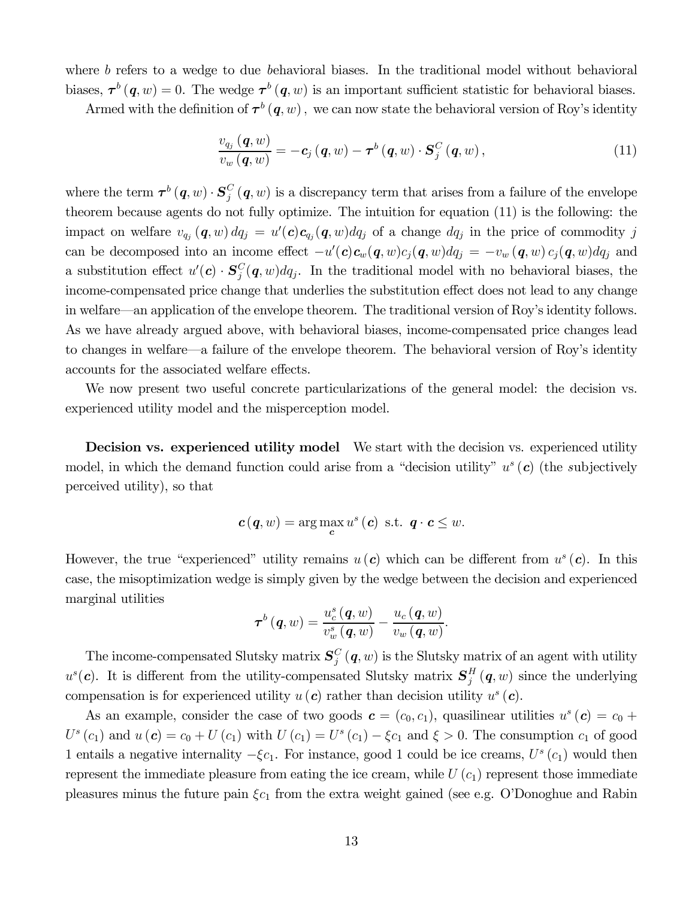where  $b$  refers to a wedge to due behavioral biases. In the traditional model without behavioral biases,  $\tau^b(q, w) = 0$ . The wedge  $\tau^b(q, w)$  is an important sufficient statistic for behavioral biases.

Armed with the definition of  $\tau^b(q, w)$ , we can now state the behavioral version of Roy's identity

$$
\frac{v_{q_j} (q, w)}{v_w (q, w)} = -c_j (q, w) - \tau^b (q, w) \cdot S_j^C (q, w), \qquad (11)
$$

where the term  $\tau^{b} (q, w) \cdot S_j^C (q, w)$  is a discrepancy term that arises from a failure of the envelope theorem because agents do not fully optimize. The intuition for equation (11) is the following: the impact on welfare  $v_{q_j}$   $(q, w) dq_j = u'(c)c_{q_j}(q, w) dq_j$  of a change  $dq_j$  in the price of commodity j can be decomposed into an income effect  $-u'(\mathbf{c})\mathbf{c}_w(\mathbf{q}, w)c_j(\mathbf{q}, w)dq_j = -v_w(\mathbf{q}, w)c_j(\mathbf{q}, w)dq_j$  and a substitution effect  $u'(c) \cdot S_j^C(q, w) dq_j$ . In the traditional model with no behavioral biases, the income-compensated price change that underlies the substitution effect does not lead to any change in welfare–an application of the envelope theorem. The traditional version of Roy's identity follows. As we have already argued above, with behavioral biases, income-compensated price changes lead to changes in welfare–a failure of the envelope theorem. The behavioral version of Roy's identity accounts for the associated welfare effects.

We now present two useful concrete particularizations of the general model: the decision vs. experienced utility model and the misperception model.

Decision vs. experienced utility model We start with the decision vs. experienced utility model, in which the demand function could arise from a "decision utility"  $u^s(c)$  (the subjectively perceived utility), so that

$$
\boldsymbol{c}(\boldsymbol{q},w) = \arg\max_{\boldsymbol{c}} u^s(\boldsymbol{c}) \text{ s.t. } \boldsymbol{q} \cdot \boldsymbol{c} \leq w.
$$

However, the true "experienced" utility remains  $u(c)$  which can be different from  $u<sup>s</sup>(c)$ . In this case, the misoptimization wedge is simply given by the wedge between the decision and experienced marginal utilities

$$
\boldsymbol{\tau}^{b}\left(\boldsymbol{q},w\right)=\frac{u_{c}^{s}\left(\boldsymbol{q},w\right)}{v_{w}^{s}\left(\boldsymbol{q},w\right)}-\frac{u_{c}\left(\boldsymbol{q},w\right)}{v_{w}\left(\boldsymbol{q},w\right)}.
$$

The income-compensated Slutsky matrix  $S_j^C(q, w)$  is the Slutsky matrix of an agent with utility  $u^s(c)$ . It is different from the utility-compensated Slutsky matrix  $S_j^H(q, w)$  since the underlying compensation is for experienced utility  $u(c)$  rather than decision utility  $u<sup>s</sup>(c)$ .

As an example, consider the case of two goods  $\boldsymbol{c} = (c_0, c_1)$ , quasilinear utilities  $u^s(\boldsymbol{c}) = c_0 + c_1$  $U^{s}(c_1)$  and  $u(c) = c_0 + U(c_1)$  with  $U(c_1) = U^{s}(c_1) - \xi c_1$  and  $\xi > 0$ . The consumption  $c_1$  of good 1 entails a negative internality  $-\xi c_1$ . For instance, good 1 could be ice creams,  $U^s(c_1)$  would then represent the immediate pleasure from eating the ice cream, while  $U(c_1)$  represent those immediate pleasures minus the future pain  $\xi c_1$  from the extra weight gained (see e.g. O'Donoghue and Rabin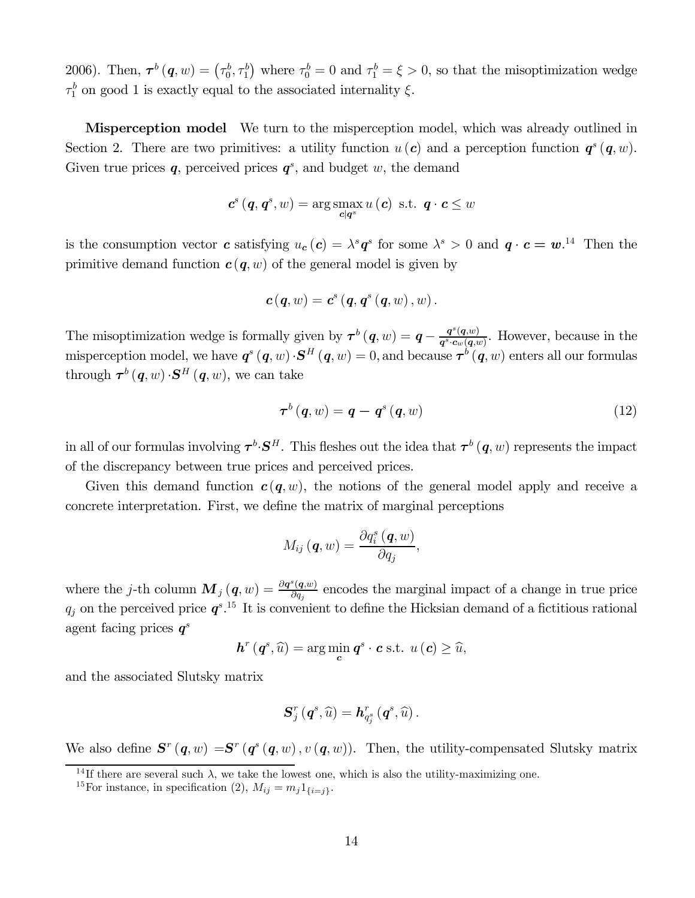2006). Then,  $\tau^b(q, w) = (\tau_0^b, \tau_1^b)$  where  $\tau_0^b = 0$  and  $\tau_1^b = \xi > 0$ , so that the misoptimization wedge  $\tau_1^b$  on good 1 is exactly equal to the associated internality  $\xi$ .

**Misperception model** We turn to the misperception model, which was already outlined in Section 2. There are two primitives: a utility function  $u(c)$  and a perception function  $q^{s}(q, w)$ . Given true prices  $q$ , perceived prices  $q^s$ , and budget w, the demand

$$
c^{s}(\boldsymbol{q},\boldsymbol{q}^{s},w)=\arg\max_{\boldsymbol{c}|\boldsymbol{q}^{s}}u(\boldsymbol{c})\ \ \text{s.t.}\ \ \boldsymbol{q}\cdot\boldsymbol{c}\leq w
$$

is the consumption vector c satisfying  $u_c(c) = \lambda^s q^s$  for some  $\lambda^s > 0$  and  $q \cdot c = w$ .<sup>14</sup> Then the primitive demand function  $c(q, w)$  of the general model is given by

$$
\boldsymbol{c}\left(\boldsymbol{q},w\right)=\boldsymbol{c}^{s}\left(\boldsymbol{q},\boldsymbol{q}^{s}\left(\boldsymbol{q},w\right),w\right).
$$

The misoptimization wedge is formally given by  $\tau^b(q, w) = q - \frac{q^s(q, w)}{q^s \cdot c_w(q, w)}$ . However, because in the misperception model, we have  $q^{s}(q, w) \cdot S^{H}(q, w) = 0$ , and because  $\tau^{b}(q, w)$  enters all our formulas through  $\boldsymbol{\tau}^b(\boldsymbol{q},w) \cdot \mathbf{S}^H(\boldsymbol{q},w)$ , we can take

$$
\boldsymbol{\tau}^{b}(\boldsymbol{q},w)=\boldsymbol{q}-\boldsymbol{q}^{s}(\boldsymbol{q},w) \tag{12}
$$

in all of our formulas involving  $\tau^b \cdot S^H$ . This fleshes out the idea that  $\tau^b(q, w)$  represents the impact of the discrepancy between true prices and perceived prices.

Given this demand function  $c(q, w)$ , the notions of the general model apply and receive a concrete interpretation. First, we define the matrix of marginal perceptions

$$
M_{ij}(\boldsymbol{q},w)=\frac{\partial q_i^s(\boldsymbol{q},w)}{\partial q_j},
$$

where the j-th column  $\mathbf{M}_j(q,w) = \frac{\partial q^s(q,w)}{\partial q_j}$  encodes the marginal impact of a change in true price  $q_j$  on the perceived price  $\boldsymbol{q}^{s}$ .<sup>15</sup> It is convenient to define the Hicksian demand of a fictitious rational agent facing prices  $q^s$ 

$$
h^{r}\left(q^{s},\widehat{u}\right)=\arg\min_{\mathbf{c}} q^{s}\cdot\mathbf{c} \text{ s.t. } u\left(\mathbf{c}\right)\geq\widehat{u},
$$

and the associated Slutsky matrix

$$
\boldsymbol{S}_{j}^{r}\left(\boldsymbol{q}^{s},\widehat{u}\right)=\boldsymbol{h}_{q_{j}^{s}}^{r}\left(\boldsymbol{q}^{s},\widehat{u}\right).
$$

We also define  $S^{r}(q, w) = S^{r}(q^{s}(q, w), v(q, w))$ . Then, the utility-compensated Slutsky matrix

<sup>&</sup>lt;sup>14</sup>If there are several such  $\lambda$ , we take the lowest one, which is also the utility-maximizing one.

<sup>&</sup>lt;sup>15</sup>For instance, in specification (2),  $M_{ij} = m_j 1_{\{i=j\}}$ .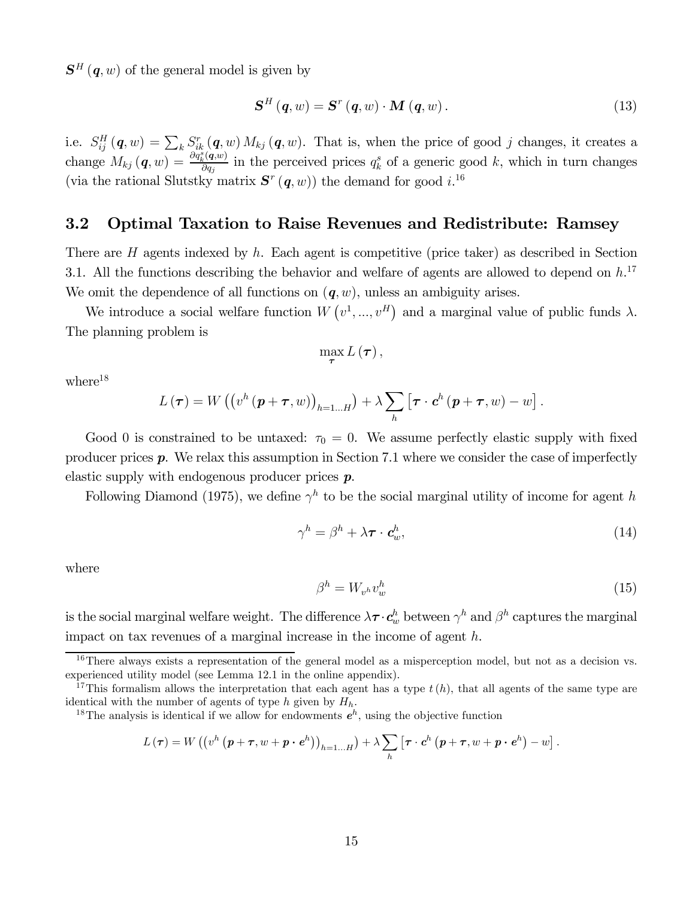$S<sup>H</sup>(q, w)$  of the general model is given by

$$
\mathbf{S}^{H}\left(\mathbf{q},w\right)=\mathbf{S}^{r}\left(\mathbf{q},w\right)\cdot\mathbf{M}\left(\mathbf{q},w\right). \tag{13}
$$

i.e.  $S_{ij}^H(\boldsymbol{q},w) = \sum_k S_{ik}^r(\boldsymbol{q},w) M_{kj}(\boldsymbol{q},w)$ . That is, when the price of good j changes, it creates a change  $M_{kj}(q, w) = \frac{\partial q_k^s(q, w)}{\partial q_j}$  in the perceived prices  $q_k^s$  of a generic good k, which in turn changes (via the rational Slutstky matrix  $S^{r} (q, w)$ ) the demand for good i.<sup>16</sup>

### 3.2 Optimal Taxation to Raise Revenues and Redistribute: Ramsey

There are  $H$  agents indexed by  $h$ . Each agent is competitive (price taker) as described in Section 3.1. All the functions describing the behavior and welfare of agents are allowed to depend on  $h$ .<sup>17</sup> We omit the dependence of all functions on  $(q, w)$ , unless an ambiguity arises.

We introduce a social welfare function  $W(v^1, ..., v^H)$  and a marginal value of public funds  $\lambda$ . The planning problem is

$$
\max _{\boldsymbol{\tau}}L\left( \boldsymbol{\tau}\right) ,
$$

 $where<sup>18</sup>$ 

$$
L(\boldsymbol{\tau}) = W((v^h(\boldsymbol{p}+\boldsymbol{\tau},w))_{h=1...H}) + \lambda \sum_h [\boldsymbol{\tau} \cdot \boldsymbol{c}^h(\boldsymbol{p}+\boldsymbol{\tau},w) - w].
$$

Good 0 is constrained to be untaxed:  $\tau_0 = 0$ . We assume perfectly elastic supply with fixed producer prices  $p$ . We relax this assumption in Section 7.1 where we consider the case of imperfectly elastic supply with endogenous producer prices p.

Following Diamond (1975), we define  $\gamma^h$  to be the social marginal utility of income for agent h

$$
\gamma^h = \beta^h + \lambda \boldsymbol{\tau} \cdot \boldsymbol{c}_w^h,\tag{14}
$$

where

$$
\beta^h = W_{v^h} v^h_w \tag{15}
$$

is the social marginal welfare weight. The difference  $\lambda \tau \cdot c_w^h$  between  $\gamma^h$  and  $\beta^h$  captures the marginal impact on tax revenues of a marginal increase in the income of agent  $h$ .

$$
L(\boldsymbol{\tau}) = W\left(\left(v^h\left(\boldsymbol{p}+\boldsymbol{\tau},w+\boldsymbol{p}\cdot\boldsymbol{e}^h\right)\right)_{h=1...H}\right) + \lambda \sum_h \left[\boldsymbol{\tau}\cdot\boldsymbol{c}^h\left(\boldsymbol{p}+\boldsymbol{\tau},w+\boldsymbol{p}\cdot\boldsymbol{e}^h\right)-w\right].
$$

 $16$ There always exists a representation of the general model as a misperception model, but not as a decision vs. experienced utility model (see Lemma 12.1 in the online appendix).

<sup>&</sup>lt;sup>17</sup>This formalism allows the interpretation that each agent has a type  $t(h)$ , that all agents of the same type are identical with the number of agents of type *h* given by  $H_h$ .<br><sup>18</sup>The analysis is identical if we allow for endowments  $e^h$ , using the objective function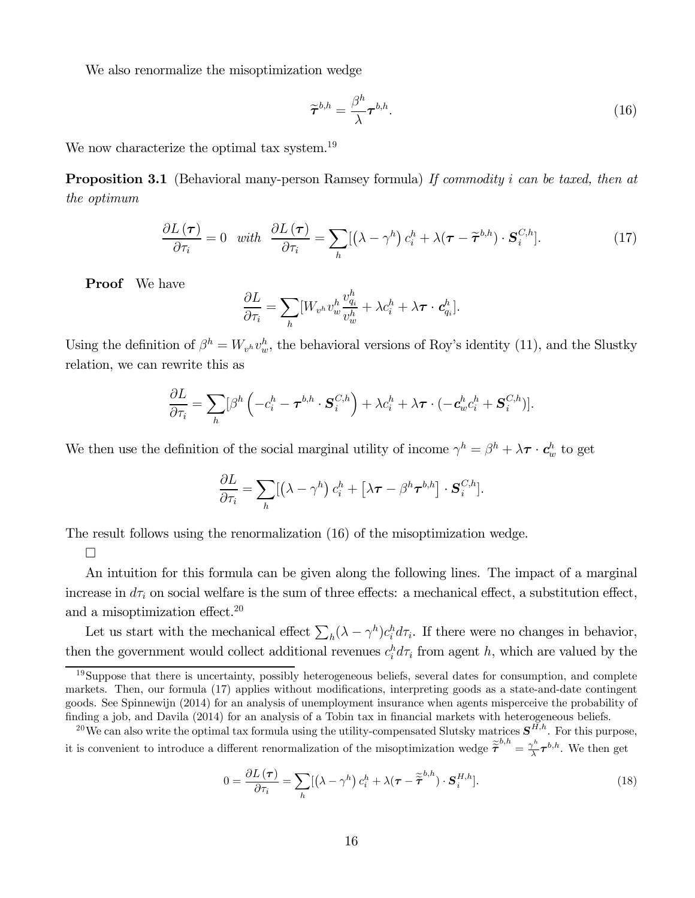We also renormalize the misoptimization wedge

$$
\widetilde{\boldsymbol{\tau}}^{b,h} = \frac{\beta^h}{\lambda} \boldsymbol{\tau}^{b,h}.\tag{16}
$$

We now characterize the optimal tax system.<sup>19</sup>

**Proposition 3.1** (Behavioral many-person Ramsey formula) If commodity i can be taxed, then at the optimum

$$
\frac{\partial L(\boldsymbol{\tau})}{\partial \tau_i} = 0 \quad \text{with} \quad \frac{\partial L(\boldsymbol{\tau})}{\partial \tau_i} = \sum_h [(\lambda - \gamma^h) c_i^h + \lambda (\boldsymbol{\tau} - \widetilde{\boldsymbol{\tau}}^{b,h}) \cdot \mathbf{S}_i^{C,h}]. \tag{17}
$$

Proof We have

$$
\frac{\partial L}{\partial \tau_i} = \sum_h [W_{v^h} v^h_w \frac{v^h_{q_i}}{v^h_w} + \lambda c^h_i + \lambda \boldsymbol{\tau} \cdot \boldsymbol{c}^h_{q_i}].
$$

Using the definition of  $\beta^h = W_{v^h} v_w^h$ , the behavioral versions of Roy's identity (11), and the Slustky relation, we can rewrite this as

$$
\frac{\partial L}{\partial \tau_i} = \sum_h [\beta^h \left( -c_i^h - \boldsymbol{\tau}^{b,h} \cdot \boldsymbol{S}_i^{C,h} \right) + \lambda c_i^h + \lambda \boldsymbol{\tau} \cdot (-\boldsymbol{c}_w^h c_i^h + \boldsymbol{S}_i^{C,h})].
$$

We then use the definition of the social marginal utility of income  $\gamma^h = \beta^h + \lambda \tau \cdot c_w^h$  to get

$$
\frac{\partial L}{\partial \tau_i} = \sum_h [(\lambda - \gamma^h) c_i^h + [\lambda \boldsymbol{\tau} - \beta^h \boldsymbol{\tau}^{b,h}] \cdot \mathbf{S}_i^{C,h}].
$$

The result follows using the renormalization (16) of the misoptimization wedge.

¤

An intuition for this formula can be given along the following lines. The impact of a marginal increase in  $d\tau_i$  on social welfare is the sum of three effects: a mechanical effect, a substitution effect, and a misoptimization effect.20

Let us start with the mechanical effect  $\sum_{h} (\lambda - \gamma^h) c_i^h d\tau_i$ . If there were no changes in behavior, then the government would collect additional revenues  $c_i^h d\tau_i$  from agent h, which are valued by the

$$
0 = \frac{\partial L(\boldsymbol{\tau})}{\partial \tau_i} = \sum_h [(\lambda - \gamma^h) c_i^h + \lambda (\boldsymbol{\tau} - \tilde{\boldsymbol{\tau}}^{b,h}) \cdot \mathbf{S}_i^{H,h}]. \tag{18}
$$

 $19$ Suppose that there is uncertainty, possibly heterogeneous beliefs, several dates for consumption, and complete markets. Then, our formula (17) applies without modifications, interpreting goods as a state-and-date contingent goods. See Spinnewijn (2014) for an analysis of unemployment insurance when agents misperceive the probability of finding a job, and Davila (2014) for an analysis of a Tobin tax in financial markets with heterogeneous beliefs.

<sup>&</sup>lt;sup>20</sup>We can also write the optimal tax formula using the utility-compensated Slutsky matrices  $S^{\tilde{H},h}$ . For this purpose, it is convenient to introduce a different renormalization of the misoptimization wedge  $\tilde{\tilde{\tau}}^{b,h} = \frac{\gamma^h}{\lambda} \tau^{b,h}$ . We then get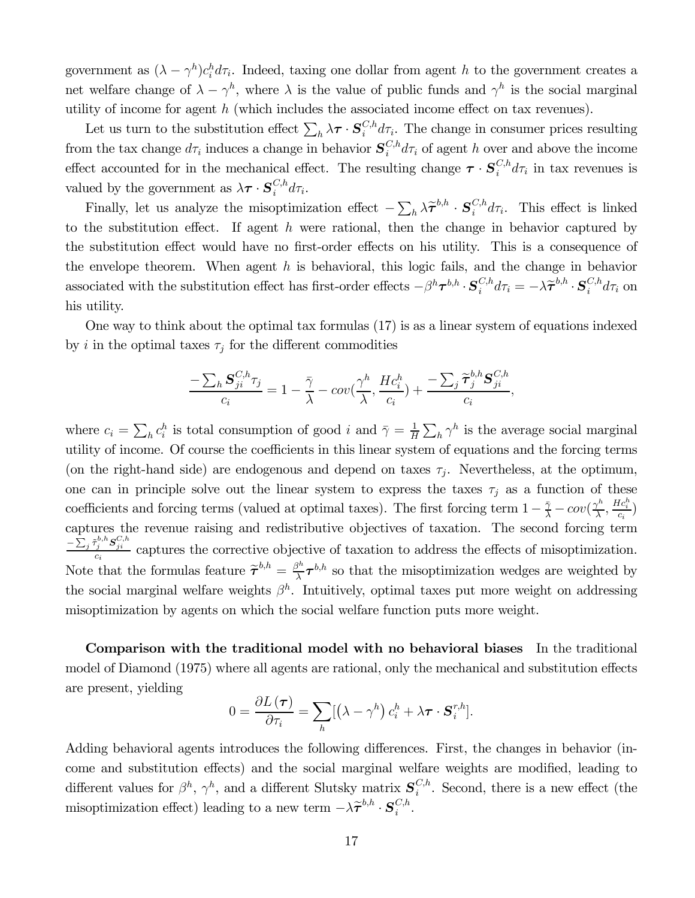government as  $(\lambda - \gamma^h)c_i^h d\tau_i$ . Indeed, taxing one dollar from agent h to the government creates a net welfare change of  $\lambda - \gamma^h$ , where  $\lambda$  is the value of public funds and  $\gamma^h$  is the social marginal utility of income for agent  $h$  (which includes the associated income effect on tax revenues).

Let us turn to the substitution effect  $\sum_h \lambda \tau \cdot \mathbf{S}_i^{C,h} d\tau_i$ . The change in consumer prices resulting from the tax change  $d\tau_i$  induces a change in behavior  $S_i^{C,h} d\tau_i$  of agent h over and above the income effect accounted for in the mechanical effect. The resulting change  $\tau \cdot S_i^{C,h} d\tau_i$  in tax revenues is valued by the government as  $\lambda \tau \cdot S_i^{C,h} d\tau_i$ .

Finally, let us analyze the misoptimization effect  $-\sum_h \lambda \tilde{\tau}^{b,h} \cdot S_i^{C,h} d\tau_i$ . This effect is linked to the substitution effect. If agent  $h$  were rational, then the change in behavior captured by the substitution effect would have no first-order effects on his utility. This is a consequence of the envelope theorem. When agent  $h$  is behavioral, this logic fails, and the change in behavior associated with the substitution effect has first-order effects  $-\beta^h \tau^{b,h} \cdot S_i^{C,h} d\tau_i = -\lambda \tilde{\tau}^{b,h} \cdot S_i^{C,h} d\tau_i$  on his utility.

One way to think about the optimal tax formulas (17) is as a linear system of equations indexed by *i* in the optimal taxes  $\tau_j$  for the different commodities

$$
\frac{-\sum_{h} \mathbf{S}_{ji}^{C,h} \tau_j}{c_i} = 1 - \frac{\bar{\gamma}}{\lambda} - cov(\frac{\gamma^h}{\lambda}, \frac{Hc_i^h}{c_i}) + \frac{-\sum_{j} \widetilde{\tau}_j^{b,h} \mathbf{S}_{ji}^{C,h}}{c_i},
$$

where  $c_i = \sum_h c_i^h$  is total consumption of good *i* and  $\bar{\gamma} = \frac{1}{H} \sum_h \gamma^h$  is the average social marginal utility of income. Of course the coefficients in this linear system of equations and the forcing terms (on the right-hand side) are endogenous and depend on taxes  $\tau_j$ . Nevertheless, at the optimum, one can in principle solve out the linear system to express the taxes  $\tau_j$  as a function of these coefficients and forcing terms (valued at optimal taxes). The first forcing term  $1 - \frac{\tilde{\gamma}}{\lambda} - cov(\frac{\gamma^h}{\lambda}, \frac{Hc_i^h}{c_i})$ captures the revenue raising and redistributive objectives of taxation. The second forcing term  $-\frac{\sum_j \tilde{\tau}_j^{b,h} S_{ji}^{C,h}}{c_i}$  captures the corrective objective of taxation to address the effects of misoptimization. Note that the formulas feature  $\tilde{\tau}^{b,h} = \frac{\beta^h}{\lambda} \tau^{b,h}$  so that the misoptimization wedges are weighted by the social marginal welfare weights  $\beta^h$ . Intuitively, optimal taxes put more weight on addressing misoptimization by agents on which the social welfare function puts more weight.

Comparison with the traditional model with no behavioral biases In the traditional model of Diamond (1975) where all agents are rational, only the mechanical and substitution effects are present, yielding

$$
0 = \frac{\partial L(\boldsymbol{\tau})}{\partial \tau_i} = \sum_h [(\lambda - \gamma^h) c_i^h + \lambda \boldsymbol{\tau} \cdot \boldsymbol{S}_i^{r,h}].
$$

Adding behavioral agents introduces the following differences. First, the changes in behavior (income and substitution effects) and the social marginal welfare weights are modified, leading to different values for  $\beta^h$ ,  $\gamma^h$ , and a different Slutsky matrix  $S_i^{C,h}$ . Second, there is a new effect (the misoptimization effect) leading to a new term  $-\lambda \widetilde{\tau}^{b,h} \cdot \mathbf{S}_i^{C,h}$ .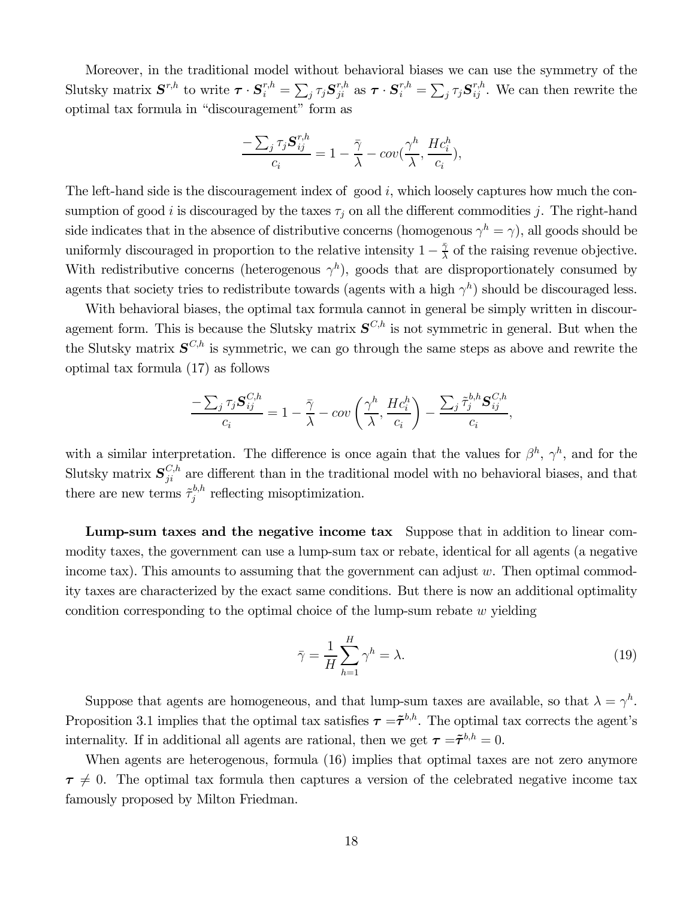Moreover, in the traditional model without behavioral biases we can use the symmetry of the Slutsky matrix  $S^{r,h}$  to write  $\boldsymbol{\tau} \cdot S_i^{r,h} = \sum_j \tau_j S_{ji}^{r,h}$  as  $\boldsymbol{\tau} \cdot S_i^{r,h} = \sum_j \tau_j S_{ij}^{r,h}$ . We can then rewrite the optimal tax formula in "discouragement" form as

$$
\frac{-\sum_{j} \tau_{j} \mathbf{S}_{ij}^{r,h}}{c_{i}} = 1 - \frac{\bar{\gamma}}{\lambda} - cov(\frac{\gamma^{h}}{\lambda}, \frac{Hc_{i}^{h}}{c_{i}}),
$$

The left-hand side is the discouragement index of good  $i$ , which loosely captures how much the consumption of good *i* is discouraged by the taxes  $\tau_i$  on all the different commodities *j*. The right-hand side indicates that in the absence of distributive concerns (homogenous  $\gamma^h = \gamma$ ), all goods should be uniformly discouraged in proportion to the relative intensity  $1 - \frac{\bar{\gamma}}{\lambda}$  of the raising revenue objective. With redistributive concerns (heterogenous  $\gamma^h$ ), goods that are disproportionately consumed by agents that society tries to redistribute towards (agents with a high  $\gamma^h$ ) should be discouraged less.

With behavioral biases, the optimal tax formula cannot in general be simply written in discouragement form. This is because the Slutsky matrix  $S^{C,h}$  is not symmetric in general. But when the the Slutsky matrix  $S^{C,h}$  is symmetric, we can go through the same steps as above and rewrite the optimal tax formula (17) as follows

$$
\frac{-\sum_{j} \tau_{j} \mathbf{S}_{ij}^{C,h}}{c_{i}} = 1 - \frac{\bar{\gamma}}{\lambda} - cov\left(\frac{\gamma^{h}}{\lambda}, \frac{Hc_{i}^{h}}{c_{i}}\right) - \frac{\sum_{j} \tilde{\tau}_{j}^{b,h} \mathbf{S}_{ij}^{C,h}}{c_{i}},
$$

with a similar interpretation. The difference is once again that the values for  $\beta^h$ ,  $\gamma^h$ , and for the Slutsky matrix  $S_{ji}^{\mathcal{C},h}$  are different than in the traditional model with no behavioral biases, and that there are new terms  $\tilde{\tau}_j^{b,h}$  reflecting misoptimization.

Lump-sum taxes and the negative income tax Suppose that in addition to linear commodity taxes, the government can use a lump-sum tax or rebate, identical for all agents (a negative income tax). This amounts to assuming that the government can adjust  $w$ . Then optimal commodity taxes are characterized by the exact same conditions. But there is now an additional optimality condition corresponding to the optimal choice of the lump-sum rebate  $w$  yielding

$$
\bar{\gamma} = \frac{1}{H} \sum_{h=1}^{H} \gamma^h = \lambda.
$$
\n(19)

Suppose that agents are homogeneous, and that lump-sum taxes are available, so that  $\lambda = \gamma^h$ . Proposition 3.1 implies that the optimal tax satisfies  $\tau = \tilde{\tau}^{b,h}$ . The optimal tax corrects the agent's internality. If in additional all agents are rational, then we get  $\tau = \tilde{\tau}^{b,h} = 0$ .

When agents are heterogenous, formula  $(16)$  implies that optimal taxes are not zero anymore  $\tau \neq 0$ . The optimal tax formula then captures a version of the celebrated negative income tax famously proposed by Milton Friedman.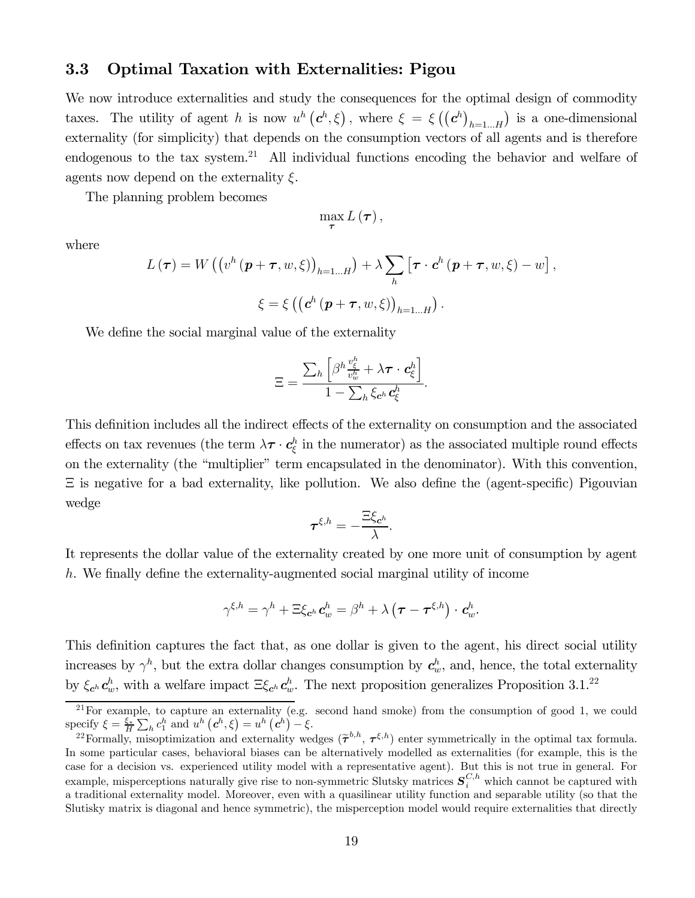### 3.3 Optimal Taxation with Externalities: Pigou

We now introduce externalities and study the consequences for the optimal design of commodity taxes. The utility of agent h is now  $u^h(c^h, \xi)$ , where  $\xi = \xi(c^h)_{h=1...H}$  is a one-dimensional externality (for simplicity) that depends on the consumption vectors of all agents and is therefore endogenous to the tax system.<sup>21</sup> All individual functions encoding the behavior and welfare of agents now depend on the externality  $\xi$ .

The planning problem becomes

$$
\max_{\boldsymbol{\tau}}L(\boldsymbol{\tau}),
$$

where

$$
L(\boldsymbol{\tau}) = W((v^h(\boldsymbol{p} + \boldsymbol{\tau}, w, \xi))_{h=1...H}) + \lambda \sum_h [\boldsymbol{\tau} \cdot \boldsymbol{c}^h(\boldsymbol{p} + \boldsymbol{\tau}, w, \xi) - w],
$$
  

$$
\xi = \xi ((\boldsymbol{c}^h(\boldsymbol{p} + \boldsymbol{\tau}, w, \xi))_{h=1...H}).
$$

We define the social marginal value of the externality

$$
\Xi = \frac{\sum_{h} \left[ \beta^h \frac{v_{\xi}^h}{v_w^h} + \lambda \boldsymbol{\tau} \cdot \boldsymbol{c}_{\xi}^h \right]}{1 - \sum_{h} \xi_{\boldsymbol{c}^h} \boldsymbol{c}_{\xi}^h}.
$$

This definition includes all the indirect effects of the externality on consumption and the associated effects on tax revenues (the term  $\lambda \tau \cdot c_{\xi}^{h}$  in the numerator) as the associated multiple round effects on the externality (the "multiplier" term encapsulated in the denominator). With this convention, Ξ is negative for a bad externality, like pollution. We also define the (agent-specific) Pigouvian wedge

$$
\pmb{\tau}^{\xi,h}=-\frac{\Xi\xi_{\pmb{c}^h}}{\lambda}.
$$

It represents the dollar value of the externality created by one more unit of consumption by agent . We finally define the externality-augmented social marginal utility of income

$$
\gamma^{\xi,h} = \gamma^h + \Xi \xi_{\boldsymbol{c}^h} \boldsymbol{c}^h_w = \beta^h + \lambda \left( \boldsymbol{\tau} - \boldsymbol{\tau}^{\xi,h} \right) \cdot \boldsymbol{c}^h_w.
$$

This definition captures the fact that, as one dollar is given to the agent, his direct social utility increases by  $\gamma^h$ , but the extra dollar changes consumption by  $c_w^h$ , and, hence, the total externality by  $\xi_{c^h} c^h_w$ , with a welfare impact  $\Xi \xi_{c^h} c^h_w$ . The next proposition generalizes Proposition 3.1.<sup>22</sup>

 $21$ For example, to capture an externality (e.g. second hand smoke) from the consumption of good 1, we could specify  $\xi = \frac{\xi_*}{H} \sum_h c_1^h$  and  $u^h \left( c^h, \xi \right) = u^h \left( c^h \right)$ 

<sup>&</sup>lt;sup>22</sup>Formally, misoptimization and externality wedges  $(\tilde{\tau}^{b,h}, \tau^{\xi,h})$  enter symmetrically in the optimal tax formula. In some particular cases, behavioral biases can be alternatively modelled as externalities (for example, this is the case for a decision vs. experienced utility model with a representative agent). But this is not true in general. For example, misperceptions naturally give rise to non-symmetric Slutsky matrices  $S_i^{C,h}$  which cannot be captured with a traditional externality model. Moreover, even with a quasilinear utility function and separable utility (so that the Slutisky matrix is diagonal and hence symmetric), the misperception model would require externalities that directly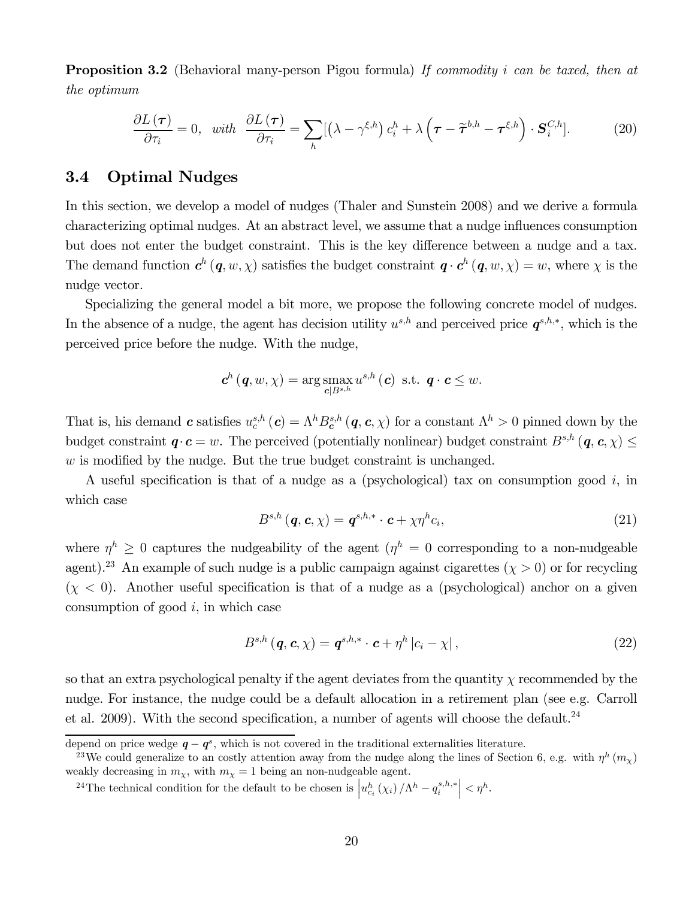**Proposition 3.2** (Behavioral many-person Pigou formula) If commodity i can be taxed, then at the optimum

$$
\frac{\partial L(\boldsymbol{\tau})}{\partial \tau_i} = 0, \quad \text{with} \quad \frac{\partial L(\boldsymbol{\tau})}{\partial \tau_i} = \sum_h [(\lambda - \gamma^{\xi, h}) c_i^h + \lambda (\boldsymbol{\tau} - \widetilde{\boldsymbol{\tau}}^{b, h} - \boldsymbol{\tau}^{\xi, h}) \cdot \mathbf{S}_i^{C, h}]. \tag{20}
$$

### 3.4 Optimal Nudges

In this section, we develop a model of nudges (Thaler and Sunstein 2008) and we derive a formula characterizing optimal nudges. At an abstract level, we assume that a nudge influences consumption but does not enter the budget constraint. This is the key difference between a nudge and a tax. The demand function  $c^h(q, w, \chi)$  satisfies the budget constraint  $q \cdot c^h(q, w, \chi) = w$ , where  $\chi$  is the nudge vector.

Specializing the general model a bit more, we propose the following concrete model of nudges. In the absence of a nudge, the agent has decision utility  $u^{s,h}$  and perceived price  $q^{s,h,*}$ , which is the perceived price before the nudge. With the nudge,

$$
\mathbf{c}^h(\mathbf{q},w,\chi)=\arg\max_{\mathbf{c}|B^{s,h}}u^{s,h}(\mathbf{c})\ \ \text{s.t.}\ \ \mathbf{q}\cdot\mathbf{c}\leq w.
$$

That is, his demand  $c$  satisfies  $u_c^{s,h}(c) = \Lambda^h B_c^{s,h}(q, c, \chi)$  for a constant  $\Lambda^h > 0$  pinned down by the budget constraint  $\boldsymbol{q} \cdot \boldsymbol{c} = w$ . The perceived (potentially nonlinear) budget constraint  $B^{s,h}(\boldsymbol{q}, \boldsymbol{c}, \chi) \leq$  $w$  is modified by the nudge. But the true budget constraint is unchanged.

A useful specification is that of a nudge as a (psychological) tax on consumption good  $i$ , in which case

$$
B^{s,h}(\boldsymbol{q},\boldsymbol{c},\chi)=\boldsymbol{q}^{s,h,*}\cdot\boldsymbol{c}+\chi\eta^hc_i,
$$
\n(21)

where  $\eta^h \geq 0$  captures the nudgeability of the agent  $(\eta^h = 0$  corresponding to a non-nudgeable agent).<sup>23</sup> An example of such nudge is a public campaign against cigarettes  $(\chi > 0)$  or for recycling  $(x < 0)$ . Another useful specification is that of a nudge as a (psychological) anchor on a given consumption of good  $i$ , in which case

$$
B^{s,h}(\boldsymbol{q},\boldsymbol{c},\chi)=\boldsymbol{q}^{s,h,*}\cdot\boldsymbol{c}+\eta^h\left|c_i-\chi\right|,\tag{22}
$$

so that an extra psychological penalty if the agent deviates from the quantity  $\chi$  recommended by the nudge. For instance, the nudge could be a default allocation in a retirement plan (see e.g. Carroll et al. 2009). With the second specification, a number of agents will choose the default.<sup>24</sup>

<sup>24</sup>The technical condition for the default to be chosen is  $\left|u_{c_i}^h(\chi_i)/\Lambda^h-q_i^{s,h,*}\right| < \eta^h$ .

depend on price wedge  $q - q^s$ , which is not covered in the traditional externalities literature.

<sup>&</sup>lt;sup>23</sup>We could generalize to an costly attention away from the nudge along the lines of Section 6, e.g. with  $\eta^h$   $(m_\chi)$ weakly decreasing in  $m_{\chi}$ , with  $m_{\chi} = 1$  being an non-nudgeable agent.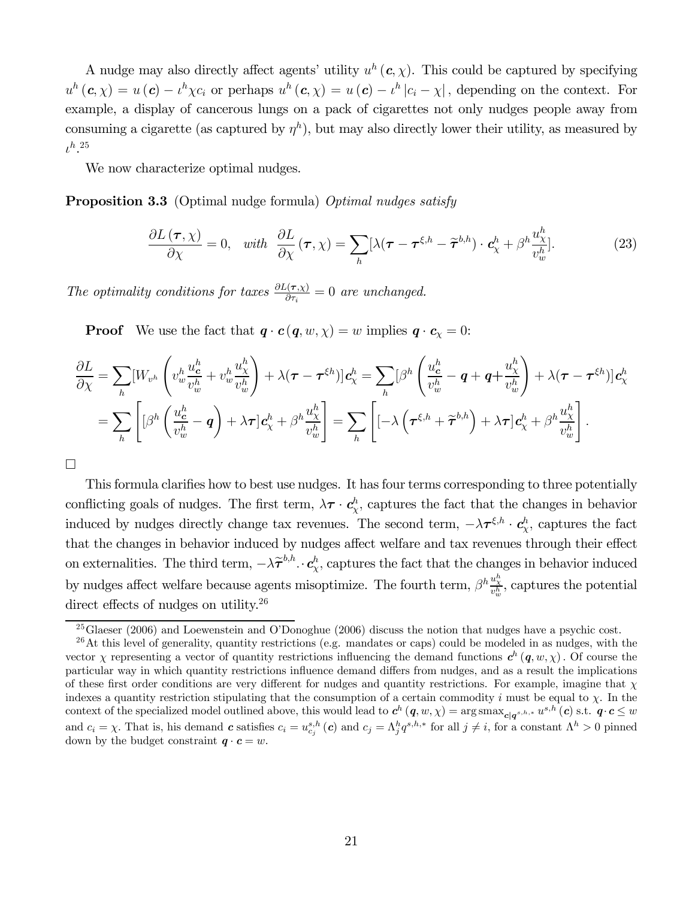A nudge may also directly affect agents' utility  $u^h(c, \chi)$ . This could be captured by specifying  $u^h(c, \chi) = u(c) - \iota^h \chi c_i$  or perhaps  $u^h(c, \chi) = u(c) - \iota^h |c_i - \chi|$ , depending on the context. For example, a display of cancerous lungs on a pack of cigarettes not only nudges people away from consuming a cigarette (as captured by  $\eta^h$ ), but may also directly lower their utility, as measured by  $\iota^h.^{25}$ 

We now characterize optimal nudges.

**Proposition 3.3** (Optimal nudge formula) *Optimal nudges satisfy* 

$$
\frac{\partial L(\boldsymbol{\tau}, \chi)}{\partial \chi} = 0, \quad \text{with} \quad \frac{\partial L}{\partial \chi}(\boldsymbol{\tau}, \chi) = \sum_{h} [\lambda(\boldsymbol{\tau} - \boldsymbol{\tau}^{\xi, h} - \widetilde{\boldsymbol{\tau}}^{b, h}) \cdot \boldsymbol{c}_{\chi}^{h} + \beta^{h} \frac{u_{\chi}^{h}}{v_{w}^{h}}]. \tag{23}
$$

The optimality conditions for taxes  $\frac{\partial L(\tau, \chi)}{\partial \tau_i} = 0$  are unchanged.

**Proof** We use the fact that  $q \cdot c(q, w, \chi) = w$  implies  $q \cdot c_{\chi} = 0$ :

$$
\frac{\partial L}{\partial \chi} = \sum_{h} [W_{v^h} \left( v^h_{w} \frac{u^h_{c}}{v^h_{w}} + v^h_{w} \frac{u^h_{\chi}}{v^h_{w}} \right) + \lambda (\tau - \tau^{\xi h})] c_{\chi}^h = \sum_{h} [\beta^h \left( \frac{u^h_{c}}{v^h_{w}} - q + q + \frac{u^h_{\chi}}{v^h_{w}} \right) + \lambda (\tau - \tau^{\xi h})] c_{\chi}^h
$$
  

$$
= \sum_{h} \left[ [\beta^h \left( \frac{u^h_{c}}{v^h_{w}} - q \right) + \lambda \tau] c_{\chi}^h + \beta^h \frac{u^h_{\chi}}{v^h_{w}} \right] = \sum_{h} \left[ [-\lambda \left( \tau^{\xi, h} + \widetilde{\tau}^{b, h} \right) + \lambda \tau] c_{\chi}^h + \beta^h \frac{u^h_{\chi}}{v^h_{w}} \right].
$$

¤

This formula clarifies how to best use nudges. It has four terms corresponding to three potentially conflicting goals of nudges. The first term,  $\lambda \tau \cdot c_{\chi}^h$ , captures the fact that the changes in behavior induced by nudges directly change tax revenues. The second term,  $-\lambda\tau^{\xi,h} \cdot c_{\chi}^{h}$ , captures the fact that the changes in behavior induced by nudges affect welfare and tax revenues through their effect on externalities. The third term,  $-\lambda \tilde{\tau}^{b,h} \cdot c_{\chi}^h$ , captures the fact that the changes in behavior induced by nudges affect welfare because agents misoptimize. The fourth term,  $\beta^h \frac{u^h_\chi}{v^h_w}$ , captures the potential direct effects of nudges on utility.<sup>26</sup>

 $^{25}$ Glaeser (2006) and Loewenstein and O'Donoghue (2006) discuss the notion that nudges have a psychic cost.

 $26$ At this level of generality, quantity restrictions (e.g. mandates or caps) could be modeled in as nudges, with the vector  $\chi$  representing a vector of quantity restrictions influencing the demand functions  $c^h(q, w, \chi)$ . Of course the particular way in which quantity restrictions influence demand differs from nudges, and as a result the implications of these first order conditions are very different for nudges and quantity restrictions. For example, imagine that  $\chi$ indexes a quantity restriction stipulating that the consumption of a certain commodity  $i$  must be equal to  $\chi$ . In the context of the specialized model outlined above, this would lead to  $c^h(q, w, \chi) = \arg \max_{c|q^{s,h,*}} u^{s,h}(c)$  s.t.  $q \cdot c \leq w$ and  $c_i = \chi$ . That is, his demand c satisfies  $c_i = u_{c_j}^{s,h}(c)$  and  $c_j = \Lambda_j^h q^{s,h,*}$  for all  $j \neq i$ , for a constant  $\Lambda^h > 0$  pinned down by the budget constraint  $q \cdot c = w$ .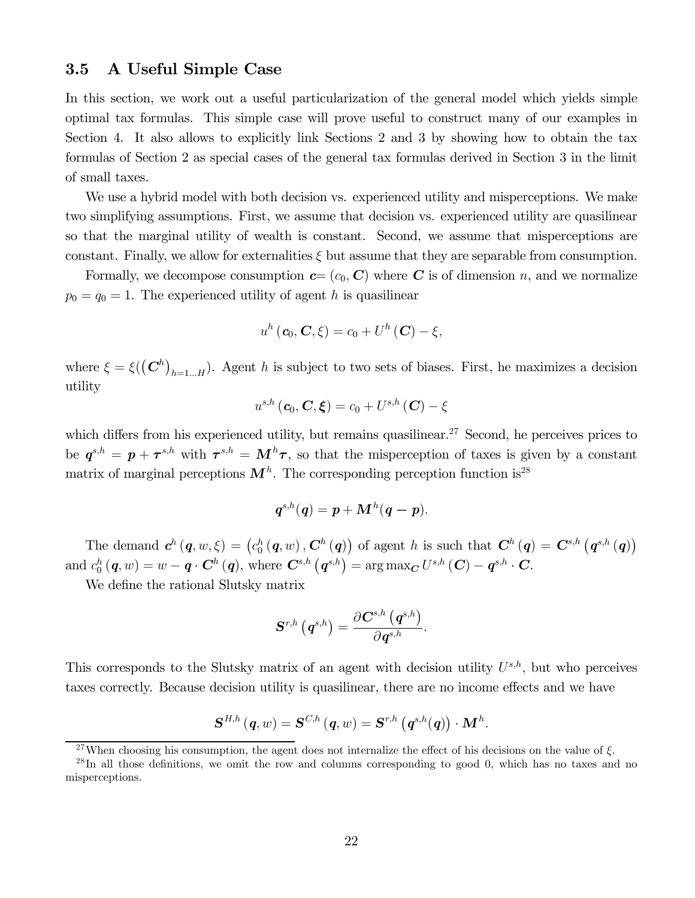### 3.5 A Useful Simple Case

In this section, we work out a useful particularization of the general model which yields simple optimal tax formulas. This simple case will prove useful to construct many of our examples in Section 4. It also allows to explicitly link Sections 2 and 3 by showing how to obtain the tax formulas of Section 2 as special cases of the general tax formulas derived in Section 3 in the limit of small taxes.

We use a hybrid model with both decision vs. experienced utility and misperceptions. We make two simplifying assumptions. First, we assume that decision vs. experienced utility are quasilinear so that the marginal utility of wealth is constant. Second, we assume that misperceptions are constant. Finally, we allow for externalities  $\xi$  but assume that they are separable from consumption.

Formally, we decompose consumption  $c=(c_0, \mathbf{C})$  where C is of dimension n, and we normalize  $p_0 = q_0 = 1$ . The experienced utility of agent h is quasilinear

$$
u^{h}(\boldsymbol{c}_{0},\boldsymbol{C},\xi)=c_{0}+U^{h}(\boldsymbol{C})-\xi,
$$

where  $\xi = \xi(\left(\mathbf{C}^h\right)_{h=1...H})$ . Agent h is subject to two sets of biases. First, he maximizes a decision utility

$$
u^{s,h}\left(\boldsymbol{c}_{0},\boldsymbol{C},\boldsymbol{\xi}\right)=c_{0}+U^{s,h}\left(\boldsymbol{C}\right)-\xi
$$

which differs from his experienced utility, but remains quasilinear.<sup>27</sup> Second, he perceives prices to be  $q^{s,h} = p + \tau^{s,h}$  with  $\tau^{s,h} = M^h \tau$ , so that the misperception of taxes is given by a constant matrix of marginal perceptions  $M<sup>h</sup>$ . The corresponding perception function is<sup>28</sup>

$$
q^{s,h}(q) = p + \mathbf{M}^h(q-p).
$$

The demand  $c^h(q, w, \xi) = (c_0^h(q, w), \mathbf{C}^h(q))$  of agent h is such that  $\mathbf{C}^h(q) = \mathbf{C}^{s,h}(q^{s,h}(q))$ and  $c_0^h(q, w) = w - q \cdot \mathbf{C}^h(q)$ , where  $\mathbf{C}^{s,h}(q^{s,h}) = \arg \max_{\mathbf{C}} U^{s,h}(\mathbf{C}) - q^{s,h} \cdot \mathbf{C}$ .

We define the rational Slutsky matrix

$$
\boldsymbol{S}^{r,h}\left(\boldsymbol{q}^{s,h}\right)=\frac{\partial\boldsymbol{C}^{s,h}\left(\boldsymbol{q}^{s,h}\right)}{\partial\boldsymbol{q}^{s,h}}.
$$

This corresponds to the Slutsky matrix of an agent with decision utility  $U^{s,h}$ , but who perceives taxes correctly. Because decision utility is quasilinear, there are no income effects and we have

$$
\boldsymbol{S}^{H,h}\left(\boldsymbol{q},w\right)=\boldsymbol{S}^{C,h}\left(\boldsymbol{q},w\right)=\boldsymbol{S}^{r,h}\left(\boldsymbol{q}^{s,h}(\boldsymbol{q})\right)\cdot\boldsymbol{M}^{h}.
$$

<sup>&</sup>lt;sup>27</sup>When choosing his consumption, the agent does not internalize the effect of his decisions on the value of  $\xi$ .

<sup>&</sup>lt;sup>28</sup>In all those definitions, we omit the row and columns corresponding to good 0, which has no taxes and no misperceptions.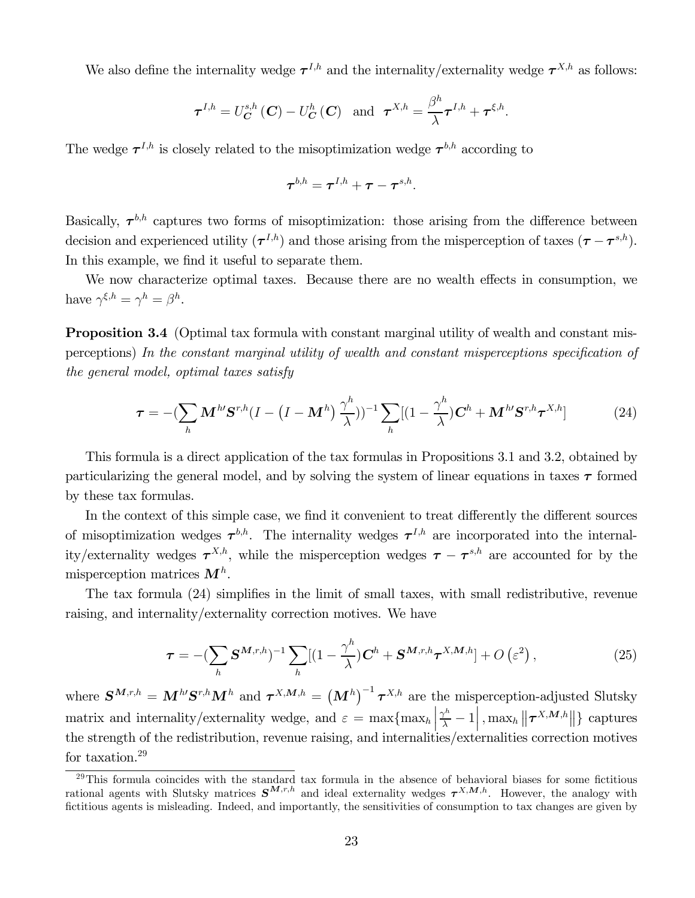We also define the internality wedge  $\tau^{I,h}$  and the internality/externality wedge  $\tau^{X,h}$  as follows:

$$
\boldsymbol{\tau}^{I,h}=U_{\boldsymbol{C}}^{s,h}\left(\boldsymbol{C}\right)-U_{\boldsymbol{C}}^{h}\left(\boldsymbol{C}\right) \text{ and } \boldsymbol{\tau}^{X,h}=\frac{\beta^{h}}{\lambda}\boldsymbol{\tau}^{I,h}+\boldsymbol{\tau}^{\xi,h}.
$$

The wedge  $\tau^{I,h}$  is closely related to the misoptimization wedge  $\tau^{b,h}$  according to

$$
\boldsymbol{\tau}^{b,h}=\boldsymbol{\tau}^{I,h}+\boldsymbol{\tau}-\boldsymbol{\tau}^{s,h}.
$$

Basically,  $\tau^{b,h}$  captures two forms of misoptimization: those arising from the difference between decision and experienced utility  $(\tau^{I,h})$  and those arising from the misperception of taxes  $(\tau - \tau^{s,h})$ . In this example, we find it useful to separate them.

We now characterize optimal taxes. Because there are no wealth effects in consumption, we have  $\gamma^{\xi,h} = \gamma^h = \beta^h$ .

Proposition 3.4 (Optimal tax formula with constant marginal utility of wealth and constant misperceptions) In the constant marginal utility of wealth and constant misperceptions specification of the general model, optimal taxes satisfy

$$
\boldsymbol{\tau} = -\left(\sum_{h} \mathbf{M}^{h\prime} \mathbf{S}^{r,h} (I - (I - \mathbf{M}^h) \frac{\gamma^h}{\lambda}))^{-1} \sum_{h} [(1 - \frac{\gamma^h}{\lambda}) \mathbf{C}^h + \mathbf{M}^{h\prime} \mathbf{S}^{r,h} \boldsymbol{\tau}^{X,h}]
$$
(24)

This formula is a direct application of the tax formulas in Propositions 3.1 and 3.2, obtained by particularizing the general model, and by solving the system of linear equations in taxes  $\tau$  formed by these tax formulas.

In the context of this simple case, we find it convenient to treat differently the different sources of misoptimization wedges  $\tau^{b,h}$ . The internality wedges  $\tau^{l,h}$  are incorporated into the internality/externality wedges  $\tau^{X,h}$ , while the misperception wedges  $\tau - \tau^{s,h}$  are accounted for by the misperception matrices  $M^h$ .

The tax formula (24) simplifies in the limit of small taxes, with small redistributive, revenue raising, and internality/externality correction motives. We have

$$
\boldsymbol{\tau} = -\left(\sum_{h} \mathbf{S}^{\mathbf{M},r,h}\right)^{-1} \sum_{h} \left[(1 - \frac{\gamma^h}{\lambda})\mathbf{C}^h + \mathbf{S}^{\mathbf{M},r,h} \boldsymbol{\tau}^{X,\mathbf{M},h}\right] + O\left(\varepsilon^2\right),\tag{25}
$$

where  $S^{M,r,h} = M^{h} S^{r,h} M^h$  and  $\tau^{X,M,h} = (M^h)^{-1} \tau^{X,h}$  are the misperception-adjusted Slutsky matrix and internality/externality wedge, and  $\varepsilon = \max\{\max_h\}$  $\left\lceil \frac{\gamma^h}{\lambda} - 1 \right\rceil$ ,  $\max_h \left\lVert \boldsymbol{\tau}^{X, \boldsymbol{M}, h} \right\rVert$  captures the strength of the redistribution, revenue raising, and internalities/externalities correction motives for taxation.<sup>29</sup>

<sup>&</sup>lt;sup>29</sup>This formula coincides with the standard tax formula in the absence of behavioral biases for some fictitious rational agents with Slutsky matrices  $S^{M,r,h}$  and ideal externality wedges  $\tau^{X,M,h}$ . However, the analogy with fictitious agents is misleading. Indeed, and importantly, the sensitivities of consumption to tax changes are given by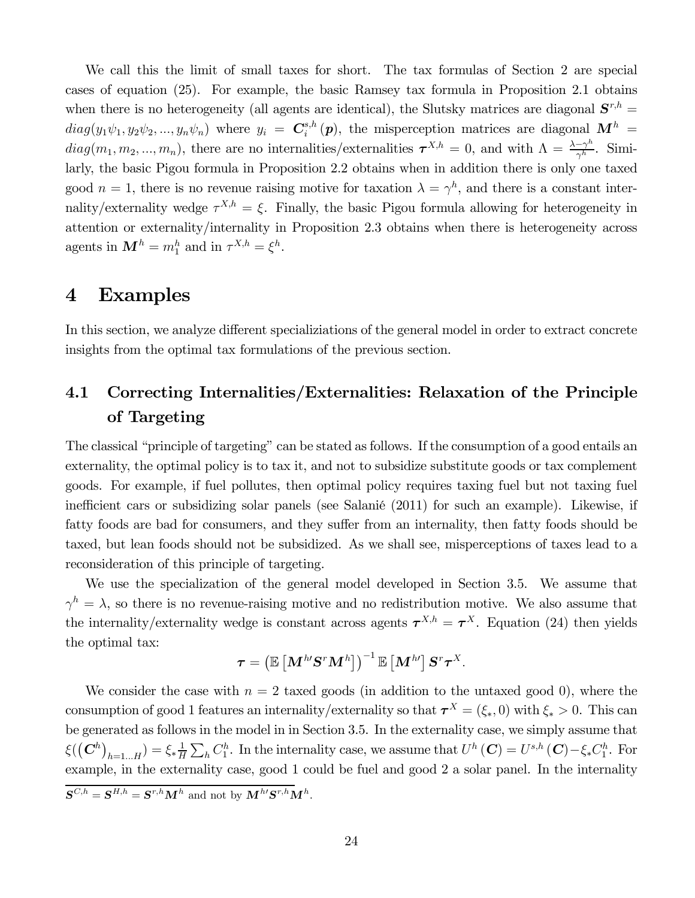We call this the limit of small taxes for short. The tax formulas of Section 2 are special cases of equation (25). For example, the basic Ramsey tax formula in Proposition 2.1 obtains when there is no heterogeneity (all agents are identical), the Slutsky matrices are diagonal  $S^{r,h}$  =  $diag(y_1 \psi_1, y_2 \psi_2, ..., y_n \psi_n)$  where  $y_i = C_i^{s,h}(p)$ , the misperception matrices are diagonal  $\mathbf{M}^h$  =  $diag(m_1, m_2, ..., m_n)$ , there are no internalities/externalities  $\tau^{X,h} = 0$ , and with  $\Lambda = \frac{\lambda - \gamma^h}{\gamma^h}$ . Similarly, the basic Pigou formula in Proposition 2.2 obtains when in addition there is only one taxed good  $n = 1$ , there is no revenue raising motive for taxation  $\lambda = \gamma^h$ , and there is a constant internality/externality wedge  $\tau^{X,h} = \xi$ . Finally, the basic Pigou formula allowing for heterogeneity in attention or externality/internality in Proposition 2.3 obtains when there is heterogeneity across agents in  $\mathbf{M}^h = m_1^h$  and in  $\tau^{X,h} = \xi^h$ .

## 4 Examples

In this section, we analyze different specializiations of the general model in order to extract concrete insights from the optimal tax formulations of the previous section.

## 4.1 Correcting Internalities/Externalities: Relaxation of the Principle of Targeting

The classical "principle of targeting" can be stated as follows. If the consumption of a good entails an externality, the optimal policy is to tax it, and not to subsidize substitute goods or tax complement goods. For example, if fuel pollutes, then optimal policy requires taxing fuel but not taxing fuel inefficient cars or subsidizing solar panels (see Salanié (2011) for such an example). Likewise, if fatty foods are bad for consumers, and they suffer from an internality, then fatty foods should be taxed, but lean foods should not be subsidized. As we shall see, misperceptions of taxes lead to a reconsideration of this principle of targeting.

We use the specialization of the general model developed in Section 3.5. We assume that  $\gamma^h = \lambda$ , so there is no revenue-raising motive and no redistribution motive. We also assume that the internality/externality wedge is constant across agents  $\tau^{X,h} = \tau^X$ . Equation (24) then yields the optimal tax:

$$
\boldsymbol{\tau} = \left( \mathbb{E}\left[ \boldsymbol{M}^{h\prime}\boldsymbol{S}^{r}\boldsymbol{M}^{h}\right]\right)^{-1}\mathbb{E}\left[ \boldsymbol{M}^{h\prime}\right]\boldsymbol{S}^{r}\boldsymbol{\tau}^{X}.
$$

We consider the case with  $n = 2$  taxed goods (in addition to the untaxed good 0), where the consumption of good 1 features an internality/externality so that  $\tau^X = (\xi_*, 0)$  with  $\xi_* > 0$ . This can be generated as follows in the model in in Section 3.5. In the externality case, we simply assume that  $\xi(\left(\mathbf{C}^{h}\right)_{h=1...H})=\xi_{*}\frac{1}{H}\sum_{h}C_{1}^{h}$ . In the internality case, we assume that  $U^{h}\left(\mathbf{C}\right)=U^{s,h}\left(\mathbf{C}\right)-\xi_{*}C_{1}^{h}$ . For example, in the externality case, good 1 could be fuel and good 2 a solar panel. In the internality  $\mathbf{S}^{C,h} = \mathbf{S}^{H,h} = \mathbf{S}^{r,h} \mathbf{M}^h$  and not by  $\mathbf{M}^{h} \mathbf{S}^{r,h} \mathbf{M}^h$ .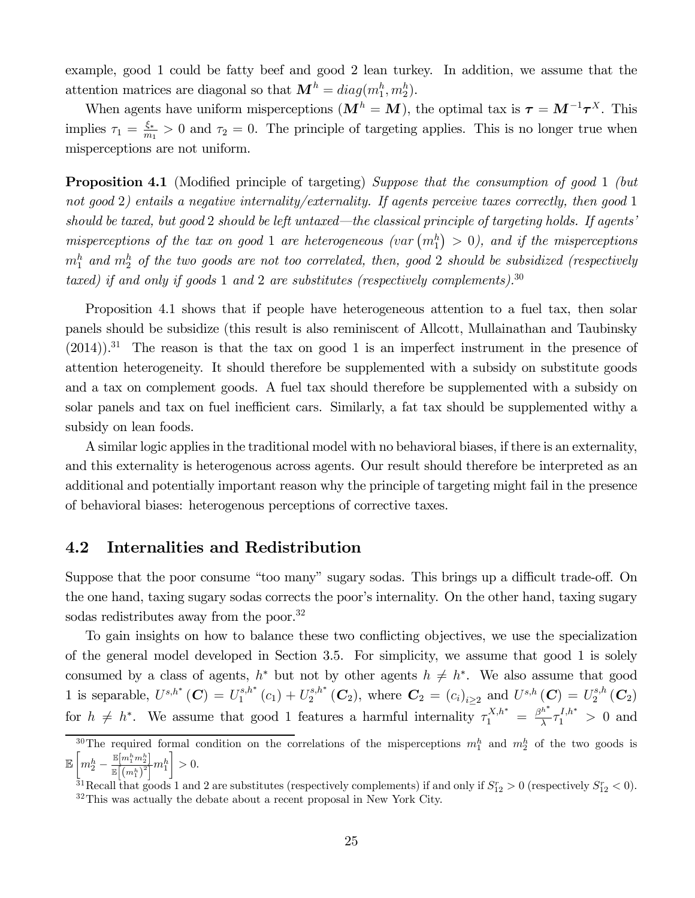example, good 1 could be fatty beef and good 2 lean turkey. In addition, we assume that the attention matrices are diagonal so that  $\mathbf{M}^h = diag(m_1^h, m_2^h)$ .

When agents have uniform misperceptions  $(M^h = M)$ , the optimal tax is  $\tau = M^{-1} \tau^X$ . This implies  $\tau_1 = \frac{\xi_*}{m_1} > 0$  and  $\tau_2 = 0$ . The principle of targeting applies. This is no longer true when misperceptions are not uniform.

**Proposition 4.1** (Modified principle of targeting) Suppose that the consumption of good 1 (but not good 2) entails a negative internality/externality. If agents perceive taxes correctly, then good 1 should be taxed, but good 2 should be left untaxed–the classical principle of targeting holds. If agents' misperceptions of the tax on good 1 are heterogeneous (var  $(m_1^h) > 0$ ), and if the misperceptions  $m_1^h$  and  $m_2^h$  of the two goods are not too correlated, then, good 2 should be subsidized (respectively taxed) if and only if goods 1 and 2 are substitutes (respectively complements).<sup>30</sup>

Proposition 4.1 shows that if people have heterogeneous attention to a fuel tax, then solar panels should be subsidize (this result is also reminiscent of Allcott, Mullainathan and Taubinsky  $(2014)$ .<sup>31</sup> The reason is that the tax on good 1 is an imperfect instrument in the presence of attention heterogeneity. It should therefore be supplemented with a subsidy on substitute goods and a tax on complement goods. A fuel tax should therefore be supplemented with a subsidy on solar panels and tax on fuel inefficient cars. Similarly, a fat tax should be supplemented withy a subsidy on lean foods.

A similar logic applies in the traditional model with no behavioral biases, if there is an externality, and this externality is heterogenous across agents. Our result should therefore be interpreted as an additional and potentially important reason why the principle of targeting might fail in the presence of behavioral biases: heterogenous perceptions of corrective taxes.

### 4.2 Internalities and Redistribution

Suppose that the poor consume "too many" sugary sodas. This brings up a difficult trade-off. On the one hand, taxing sugary sodas corrects the poor's internality. On the other hand, taxing sugary sodas redistributes away from the poor.<sup>32</sup>

To gain insights on how to balance these two conflicting objectives, we use the specialization of the general model developed in Section 3.5. For simplicity, we assume that good 1 is solely consumed by a class of agents,  $h^*$  but not by other agents  $h \neq h^*$ . We also assume that good 1 is separable,  $U^{s,h^*}(\mathbf{C}) = U_1^{s,h^*}(c_1) + U_2^{s,h^*}(\mathbf{C}_2)$ , where  $\mathbf{C}_2 = (c_i)_{i \geq 2}$  and  $U^{s,h}(\mathbf{C}) = U_2^{s,h}(\mathbf{C}_2)$ for  $h \neq h^*$ . We assume that good 1 features a harmful internality  $\tau_1^{X,h^*} = \frac{\beta^{h^*}}{\lambda} \tau_1^{I,h^*} > 0$  and

<sup>&</sup>lt;sup>30</sup>The required formal condition on the correlations of the misperceptions  $m_1^h$  and  $m_2^h$  of the two goods is E  $\bigg[ m_2^h - \frac{\mathbb{E}[m_1^h m_2^h]}{\mathbb{E}[ (m_2^h)^2]} \bigg]$  $\frac{\mathbb{E}[m_1 m_2]}{\mathbb{E}\left[\left(m_1^h\right)^2\right]} m_1^h$ ¸  $>0$ .

<sup>&</sup>lt;sup>31</sup>Recall that goods 1 and 2 are substitutes (respectively complements) if and only if  $S_{12}^r > 0$  (respectively  $S_{12}^r < 0$ ).  $32$ This was actually the debate about a recent proposal in New York City.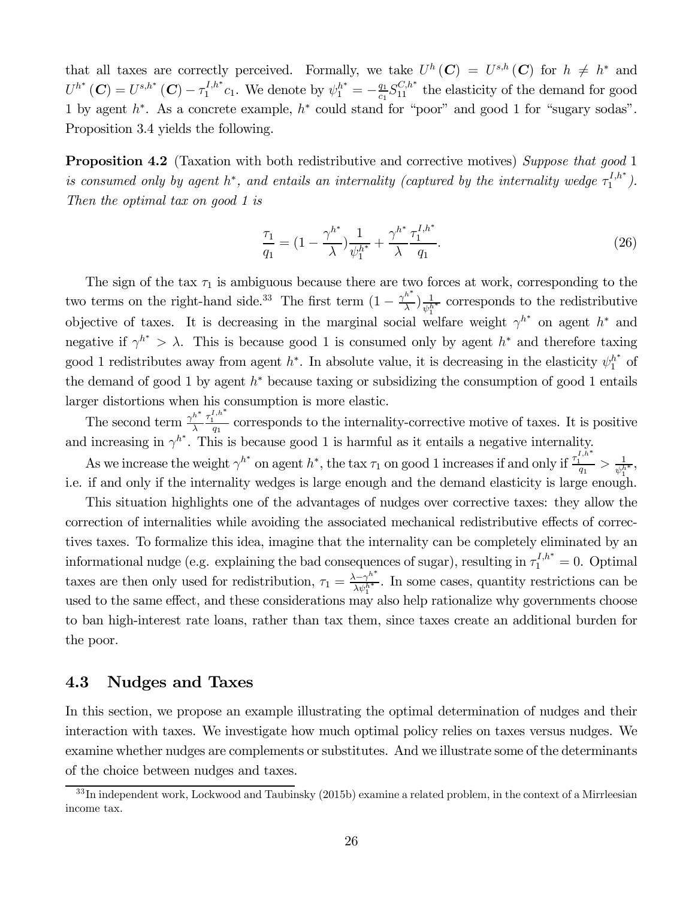that all taxes are correctly perceived. Formally, we take  $U^h(\mathbf{C}) = U^{s,h}(\mathbf{C})$  for  $h \neq h^*$  and  $U^{h^*}(\mathbf{C}) = U^{s,h^*}(\mathbf{C}) - \tau_1^{I,h^*}c_1$ . We denote by  $\psi_1^{h^*} = -\frac{q_1}{c_1}S_{11}^{C,h^*}$  the elasticity of the demand for good 1 by agent  $h^*$ . As a concrete example,  $h^*$  could stand for "poor" and good 1 for "sugary sodas". Proposition 3.4 yields the following.

**Proposition 4.2** (Taxation with both redistributive and corrective motives) Suppose that good 1 is consumed only by agent  $h^*$ , and entails an internality (captured by the internality wedge  $\tau_1^{I,h^*}$ ). Then the optimal tax on good 1 is

$$
\frac{\tau_1}{q_1} = \left(1 - \frac{\gamma^{h^*}}{\lambda}\right) \frac{1}{\psi_1^{h^*}} + \frac{\gamma^{h^*}}{\lambda} \frac{\tau_1^{I,h^*}}{q_1}.
$$
\n(26)

The sign of the tax  $\tau_1$  is ambiguous because there are two forces at work, corresponding to the two terms on the right-hand side.<sup>33</sup> The first term  $(1 - \frac{\gamma^{h^*}}{\lambda}) \frac{1}{\psi_1^{h^*}}$  corresponds to the redistributive objective of taxes. It is decreasing in the marginal social welfare weight  $\gamma^{h^*}$  on agent  $h^*$  and negative if  $\gamma^{h^*} > \lambda$ . This is because good 1 is consumed only by agent  $h^*$  and therefore taxing good 1 redistributes away from agent  $h^*$ . In absolute value, it is decreasing in the elasticity  $\psi_1^{h^*}$  of the demand of good 1 by agent  $h^*$  because taxing or subsidizing the consumption of good 1 entails larger distortions when his consumption is more elastic.

The second term  $\frac{\gamma^{h^*}}{\lambda}$  $\frac{\tau_1^{I,h^*}}{q_1}$  corresponds to the internality-corrective motive of taxes. It is positive and increasing in  $\gamma^{h^*}$ . This is because good 1 is harmful as it entails a negative internality.

As we increase the weight  $\gamma^{h^*}$  on agent  $h^*$ , the tax  $\tau_1$  on good 1 increases if and only if  $\frac{\tau_1^{I,h^*}}{q_1} > \frac{1}{\psi_1^{h^*}}$ , i.e. if and only if the internality wedges is large enough and the demand elasticity is large enough.

This situation highlights one of the advantages of nudges over corrective taxes: they allow the correction of internalities while avoiding the associated mechanical redistributive effects of correctives taxes. To formalize this idea, imagine that the internality can be completely eliminated by an informational nudge (e.g. explaining the bad consequences of sugar), resulting in  $\tau_1^{I,h^*} = 0$ . Optimal taxes are then only used for redistribution,  $\tau_1 = \frac{\lambda - \gamma^{h^*}}{\lambda \psi_1^{h^*}}$ . In some cases, quantity restrictions can be used to the same effect, and these considerations may also help rationalize why governments choose to ban high-interest rate loans, rather than tax them, since taxes create an additional burden for the poor.

### 4.3 Nudges and Taxes

In this section, we propose an example illustrating the optimal determination of nudges and their interaction with taxes. We investigate how much optimal policy relies on taxes versus nudges. We examine whether nudges are complements or substitutes. And we illustrate some of the determinants of the choice between nudges and taxes.

 $33$ In independent work, Lockwood and Taubinsky (2015b) examine a related problem, in the context of a Mirrleesian income tax.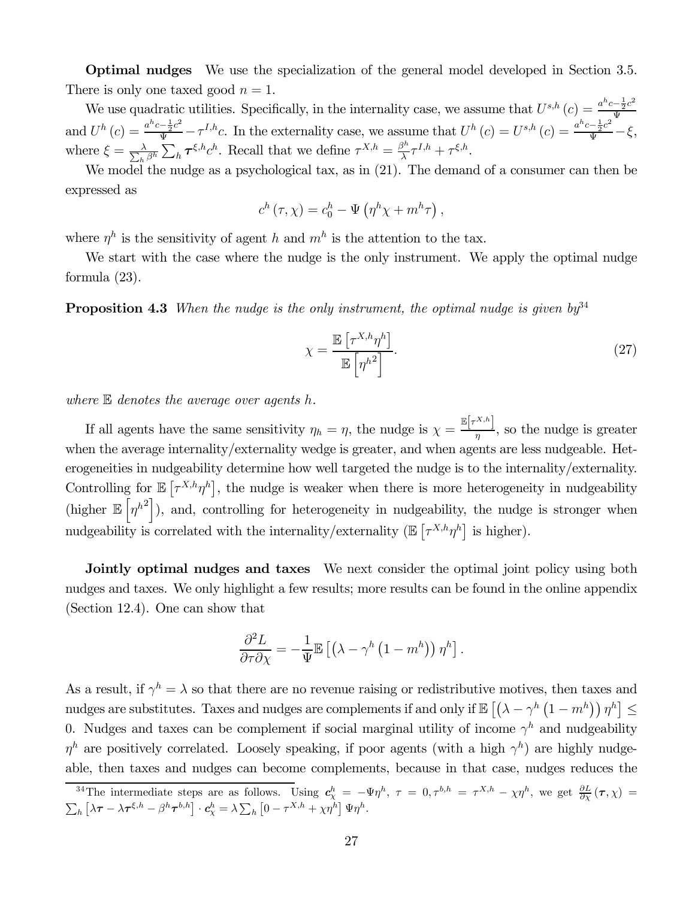Optimal nudges We use the specialization of the general model developed in Section 3.5. There is only one taxed good  $n = 1$ .

We use quadratic utilities. Specifically, in the internality case, we assume that  $U^{s,h}(c) = \frac{a^h c - \frac{1}{2}c^2}{\Psi}$ Ψ and  $U^h(c) = \frac{a^h c - \frac{1}{2}c^2}{\Psi} - \tau^{I,h}c$ . In the externality case, we assume that  $U^h(c) = U^{s,h}(c) = \frac{a^h c - \frac{1}{2}c^2}{\Psi} - \xi$ , where  $\xi = \frac{\lambda}{\sum_{k}}$  $\frac{\lambda}{h \beta^h} \sum_h \tau^{\xi, h} c^h$ . Recall that we define  $\tau^{X, h} = \frac{\beta^h}{\lambda} \tau^{I, h} + \tau^{\xi, h}$ .

We model the nudge as a psychological tax, as in (21). The demand of a consumer can then be expressed as

$$
c^h(\tau,\chi) = c_0^h - \Psi(\eta^h\chi + m^h\tau),
$$

where  $\eta^h$  is the sensitivity of agent h and  $m^h$  is the attention to the tax.

We start with the case where the nudge is the only instrument. We apply the optimal nudge formula (23).

**Proposition 4.3** When the nudge is the only instrument, the optimal nudge is given  $by<sup>34</sup>$ 

$$
\chi = \frac{\mathbb{E}\left[\tau^{X,h}\eta^h\right]}{\mathbb{E}\left[\eta^{h^2}\right]}.\tag{27}
$$

where  $E$  denotes the average over agents h.

If all agents have the same sensitivity  $\eta_h = \eta$ , the nudge is  $\chi = \frac{\mathbb{E}[\tau^{X,h}]}{\eta}$ , so the nudge is greater when the average internality/externality wedge is greater, and when agents are less nudgeable. Heterogeneities in nudgeability determine how well targeted the nudge is to the internality/externality. Controlling for  $\mathbb{E}[\tau^{X,h}\eta^h]$ , the nudge is weaker when there is more heterogeneity in nudgeability (higher  $\mathbb{E}\left[\eta^{h^2}\right]$ ), and, controlling for heterogeneity in nudgeability, the nudge is stronger when nudgeability is correlated with the internality/externality  $(\mathbb{E}\left[\tau^{X,h}\eta^h\right]$  is higher).

Jointly optimal nudges and taxes We next consider the optimal joint policy using both nudges and taxes. We only highlight a few results; more results can be found in the online appendix (Section 12.4). One can show that

$$
\frac{\partial^2 L}{\partial \tau \partial \chi} = -\frac{1}{\Psi} \mathbb{E} \left[ \left( \lambda - \gamma^h \left( 1 - m^h \right) \right) \eta^h \right].
$$

As a result, if  $\gamma^h = \lambda$  so that there are no revenue raising or redistributive motives, then taxes and nudges are substitutes. Taxes and nudges are complements if and only if  $\mathbb{E}\left[\left(\lambda-\gamma^h\left(1-m^h\right)\right)\eta^h\right]\leq$ 0. Nudges and taxes can be complement if social marginal utility of income  $\gamma^h$  and nudgeability  $\eta^h$  are positively correlated. Loosely speaking, if poor agents (with a high  $\gamma^h$ ) are highly nudgeable, then taxes and nudges can become complements, because in that case, nudges reduces the

<sup>&</sup>lt;sup>34</sup>The intermediate steps are as follows. Using  $c_{\chi}^{h} = -\Psi \eta^{h}$ ,  $\tau = 0, \tau^{b,h} = \tau^{X,h} - \chi \eta^{h}$ , we get  $\frac{\partial L}{\partial \chi}(\tau, \chi) =$  $\sum_h \left[ \lambda \boldsymbol{\tau} - \lambda \boldsymbol{\tau}^{\xi,h} - \beta^h \boldsymbol{\tau}^{b,h} \right] \cdot \boldsymbol{c}_{\chi}^h = \lambda \sum_h \left[ 0 - \tau^{X,h} + \chi \eta^h \right] \Psi \eta^h.$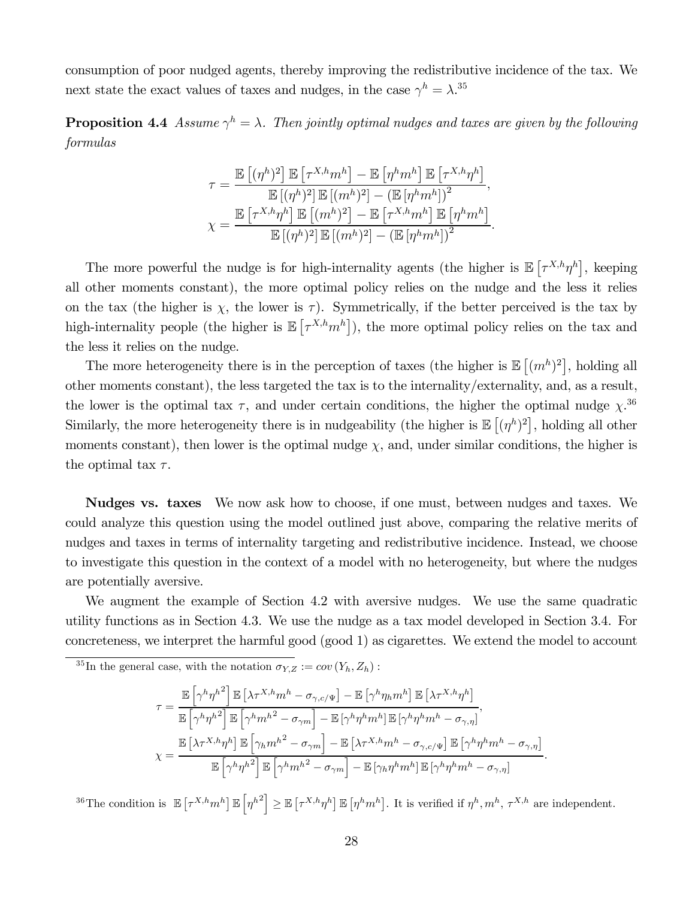consumption of poor nudged agents, thereby improving the redistributive incidence of the tax. We next state the exact values of taxes and nudges, in the case  $\gamma^h = \lambda^{.35}$ 

**Proposition 4.4** Assume  $\gamma^h = \lambda$ . Then jointly optimal nudges and taxes are given by the following formulas

$$
\tau = \frac{\mathbb{E}\left[ (\eta^h)^2 \right] \mathbb{E}\left[ \tau^{X,h} m^h \right] - \mathbb{E}\left[ \eta^h m^h \right] \mathbb{E}\left[ \tau^{X,h} \eta^h \right]}{\mathbb{E}\left[ (\eta^h)^2 \right] \mathbb{E}\left[ (m^h)^2 \right] - \left( \mathbb{E}\left[ \eta^h m^h \right] \right)^2},
$$

$$
\chi = \frac{\mathbb{E}\left[ \tau^{X,h} \eta^h \right] \mathbb{E}\left[ (m^h)^2 \right] - \mathbb{E}\left[ \tau^{X,h} m^h \right] \mathbb{E}\left[ \eta^h m^h \right]}{\mathbb{E}\left[ (\eta^h)^2 \right] \mathbb{E}\left[ (m^h)^2 \right] - \left( \mathbb{E}\left[ \eta^h m^h \right] \right)^2}.
$$

The more powerful the nudge is for high-internality agents (the higher is  $\mathbb{E}[\tau^{X,h}\eta^h]$ , keeping all other moments constant), the more optimal policy relies on the nudge and the less it relies on the tax (the higher is  $\chi$ , the lower is  $\tau$ ). Symmetrically, if the better perceived is the tax by high-internality people (the higher is  $\mathbb{E}[\tau^{X,h}m^h]$ ), the more optimal policy relies on the tax and the less it relies on the nudge.

The more heterogeneity there is in the perception of taxes (the higher is  $\mathbb{E}[(m^h)^2]$ , holding all other moments constant), the less targeted the tax is to the internality/externality, and, as a result, the lower is the optimal tax  $\tau$ , and under certain conditions, the higher the optimal nudge  $\chi$ <sup>36</sup> Similarly, the more heterogeneity there is in nudgeability (the higher is  $\mathbb{E}[(\eta^h)^2]$ , holding all other moments constant), then lower is the optimal nudge  $\chi$ , and, under similar conditions, the higher is the optimal tax  $\tau$ .

Nudges vs. taxes We now ask how to choose, if one must, between nudges and taxes. We could analyze this question using the model outlined just above, comparing the relative merits of nudges and taxes in terms of internality targeting and redistributive incidence. Instead, we choose to investigate this question in the context of a model with no heterogeneity, but where the nudges are potentially aversive.

We augment the example of Section 4.2 with aversive nudges. We use the same quadratic utility functions as in Section 4.3. We use the nudge as a tax model developed in Section 3.4. For concreteness, we interpret the harmful good (good 1) as cigarettes. We extend the model to account

<sup>35</sup>In the general case, with the notation  $\sigma_{Y,Z} := cov(Y_h, Z_h)$ :

$$
\tau = \frac{\mathbb{E}\left[\gamma^h \eta^{h^2}\right] \mathbb{E}\left[\lambda \tau^{X,h} m^h - \sigma_{\gamma,c/\Psi}\right] - \mathbb{E}\left[\gamma^h \eta_h m^h\right] \mathbb{E}\left[\lambda \tau^{X,h} \eta^h\right]}{\mathbb{E}\left[\gamma^h \eta^{h^2}\right] \mathbb{E}\left[\gamma^h m^{h^2} - \sigma_{\gamma m}\right] - \mathbb{E}\left[\gamma^h \eta^h m^h\right] \mathbb{E}\left[\gamma^h \eta^h m^h - \sigma_{\gamma,\eta}\right]},
$$
\n
$$
\chi = \frac{\mathbb{E}\left[\lambda \tau^{X,h} \eta^h\right] \mathbb{E}\left[\gamma_h m^{h^2} - \sigma_{\gamma m}\right] - \mathbb{E}\left[\lambda \tau^{X,h} m^h - \sigma_{\gamma,c/\Psi}\right] \mathbb{E}\left[\gamma^h \eta^h m^h - \sigma_{\gamma,\eta}\right]}{\mathbb{E}\left[\gamma^h \eta^{h^2}\right] \mathbb{E}\left[\gamma^h m^{h^2} - \sigma_{\gamma m}\right] - \mathbb{E}\left[\gamma_h \eta^h m^h\right] \mathbb{E}\left[\gamma^h \eta^h m^h - \sigma_{\gamma,\eta}\right]}.
$$

<sup>36</sup>The condition is  $\mathbb{E}\left[\tau^{X,h}m^h\right]\mathbb{E}\left[\eta^{h^2}\right] \geq \mathbb{E}\left[\tau^{X,h}\eta^h\right]\mathbb{E}\left[\eta^h m^h\right]$ . It is verified if  $\eta^h, m^h, \tau^{X,h}$  are independent.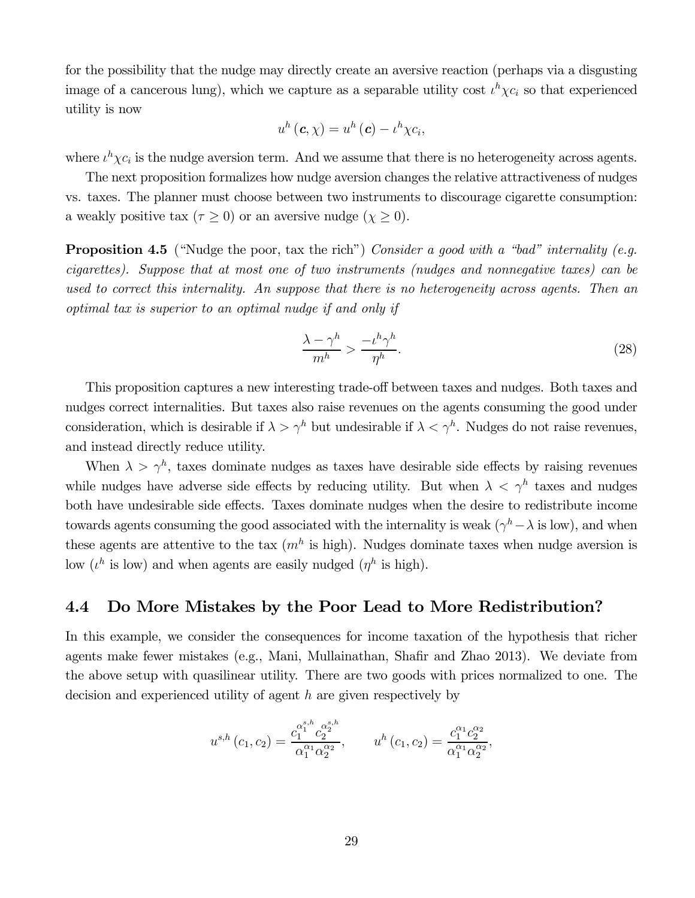for the possibility that the nudge may directly create an aversive reaction (perhaps via a disgusting image of a cancerous lung), which we capture as a separable utility cost  $\iota^h \chi c_i$  so that experienced utility is now

$$
u^{h}(\mathbf{c},\chi)=u^{h}(\mathbf{c})-u^{h}\chi c_{i},
$$

where  $\iota^h\chi c_i$  is the nudge aversion term. And we assume that there is no heterogeneity across agents.

The next proposition formalizes how nudge aversion changes the relative attractiveness of nudges vs. taxes. The planner must choose between two instruments to discourage cigarette consumption: a weakly positive tax ( $\tau \geq 0$ ) or an aversive nudge ( $\chi \geq 0$ ).

**Proposition 4.5** ("Nudge the poor, tax the rich") Consider a good with a "bad" internality (e.g. cigarettes). Suppose that at most one of two instruments (nudges and nonnegative taxes) can be used to correct this internality. An suppose that there is no heterogeneity across agents. Then an optimal tax is superior to an optimal nudge if and only if

$$
\frac{\lambda - \gamma^h}{m^h} > \frac{-\iota^h \gamma^h}{\eta^h}.\tag{28}
$$

This proposition captures a new interesting trade-off between taxes and nudges. Both taxes and nudges correct internalities. But taxes also raise revenues on the agents consuming the good under consideration, which is desirable if  $\lambda > \gamma^h$  but undesirable if  $\lambda < \gamma^h$ . Nudges do not raise revenues, and instead directly reduce utility.

When  $\lambda > \gamma^h$ , taxes dominate nudges as taxes have desirable side effects by raising revenues while nudges have adverse side effects by reducing utility. But when  $\lambda < \gamma^h$  taxes and nudges both have undesirable side effects. Taxes dominate nudges when the desire to redistribute income towards agents consuming the good associated with the internality is weak  $(\gamma^h - \lambda \text{ is low})$ , and when these agents are attentive to the tax  $(m<sup>h</sup>$  is high). Nudges dominate taxes when nudge aversion is low  $(\iota^h$  is low) and when agents are easily nudged  $(\eta^h$  is high).

### 4.4 Do More Mistakes by the Poor Lead to More Redistribution?

In this example, we consider the consequences for income taxation of the hypothesis that richer agents make fewer mistakes (e.g., Mani, Mullainathan, Shafir and Zhao 2013). We deviate from the above setup with quasilinear utility. There are two goods with prices normalized to one. The decision and experienced utility of agent  $h$  are given respectively by

$$
u^{s,h}(c_1, c_2) = \frac{c_1^{\alpha_1^{s,h}} c_2^{\alpha_2^{s,h}}}{\alpha_1^{\alpha_1} \alpha_2^{\alpha_2}}, \qquad u^h(c_1, c_2) = \frac{c_1^{\alpha_1} c_2^{\alpha_2}}{\alpha_1^{\alpha_1} \alpha_2^{\alpha_2}},
$$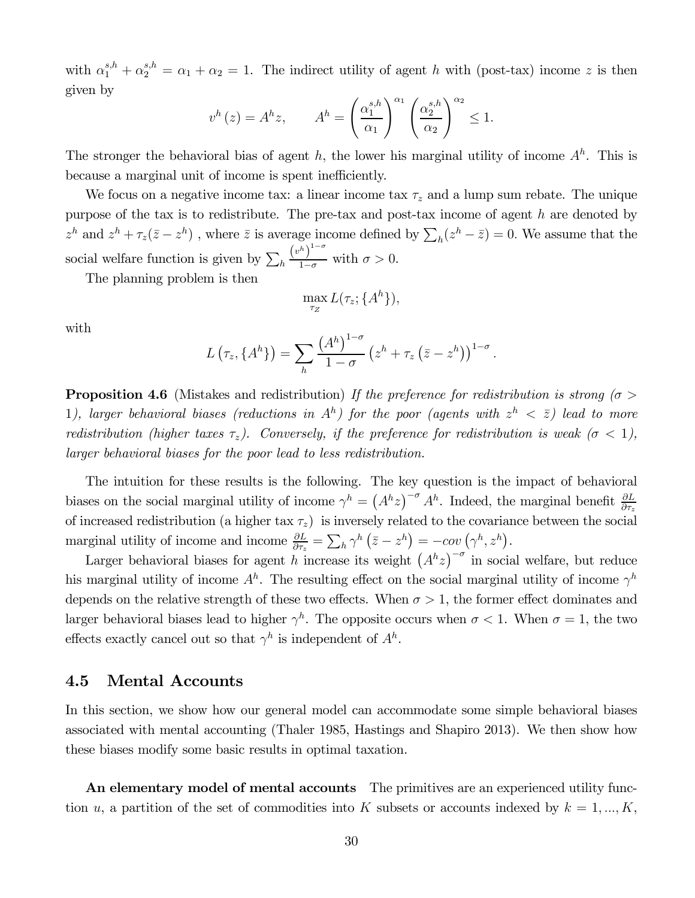with  $\alpha_1^{s,h} + \alpha_2^{s,h} = \alpha_1 + \alpha_2 = 1$ . The indirect utility of agent h with (post-tax) income z is then given by

$$
v^{h}(z) = A^{h}z, \qquad A^{h} = \left(\frac{\alpha_{1}^{s,h}}{\alpha_{1}}\right)^{\alpha_{1}} \left(\frac{\alpha_{2}^{s,h}}{\alpha_{2}}\right)^{\alpha_{2}} \leq 1.
$$

The stronger the behavioral bias of agent h, the lower his marginal utility of income  $A<sup>h</sup>$ . This is because a marginal unit of income is spent inefficiently.

We focus on a negative income tax: a linear income tax  $\tau_z$  and a lump sum rebate. The unique purpose of the tax is to redistribute. The pre-tax and post-tax income of agent  $h$  are denoted by  $z^h$  and  $z^h + \tau_z(\bar{z} - z^h)$ , where  $\bar{z}$  is average income defined by  $\sum_h(z^h - \bar{z}) = 0$ . We assume that the social welfare function is given by  $\sum_h$  $(v^h)^{1-\sigma}$  $\frac{1}{1-\sigma}$  with  $\sigma > 0$ .

The planning problem is then

$$
\max_{\tau_Z} L(\tau_z; \{A^h\}),
$$

with

$$
L(\tau_z, \{A^h\}) = \sum_h \frac{(A^h)^{1-\sigma}}{1-\sigma} (z^h + \tau_z (\bar{z} - z^h))^{1-\sigma}.
$$

**Proposition 4.6** (Mistakes and redistribution) If the preference for redistribution is strong ( $\sigma$ ) 1), larger behavioral biases (reductions in  $A<sup>h</sup>$ ) for the poor (agents with  $z<sup>h</sup> < \overline{z}$ ) lead to more redistribution (higher taxes  $\tau_z$ ). Conversely, if the preference for redistribution is weak ( $\sigma$  < 1), larger behavioral biases for the poor lead to less redistribution.

The intuition for these results is the following. The key question is the impact of behavioral biases on the social marginal utility of income  $\gamma^h = (A^h z)^{-\sigma} A^h$ . Indeed, the marginal benefit  $\frac{\partial L}{\partial \tau_z}$ of increased redistribution (a higher tax  $\tau_z$ ) is inversely related to the covariance between the social marginal utility of income and income  $\frac{\partial L}{\partial \tau_z} = \sum_h \gamma^h (\bar{z} - z^h) = -\text{cov}(\gamma^h, z^h).$ 

Larger behavioral biases for agent h increase its weight  $(A<sup>h</sup>z)^{-\sigma}$  in social welfare, but reduce his marginal utility of income  $A^h$ . The resulting effect on the social marginal utility of income  $\gamma^h$ depends on the relative strength of these two effects. When  $\sigma > 1$ , the former effect dominates and larger behavioral biases lead to higher  $\gamma^h$ . The opposite occurs when  $\sigma < 1$ . When  $\sigma = 1$ , the two effects exactly cancel out so that  $\gamma^h$  is independent of  $A^h$ .

### 4.5 Mental Accounts

In this section, we show how our general model can accommodate some simple behavioral biases associated with mental accounting (Thaler 1985, Hastings and Shapiro 2013). We then show how these biases modify some basic results in optimal taxation.

An elementary model of mental accounts The primitives are an experienced utility function u, a partition of the set of commodities into K subsets or accounts indexed by  $k = 1, ..., K$ ,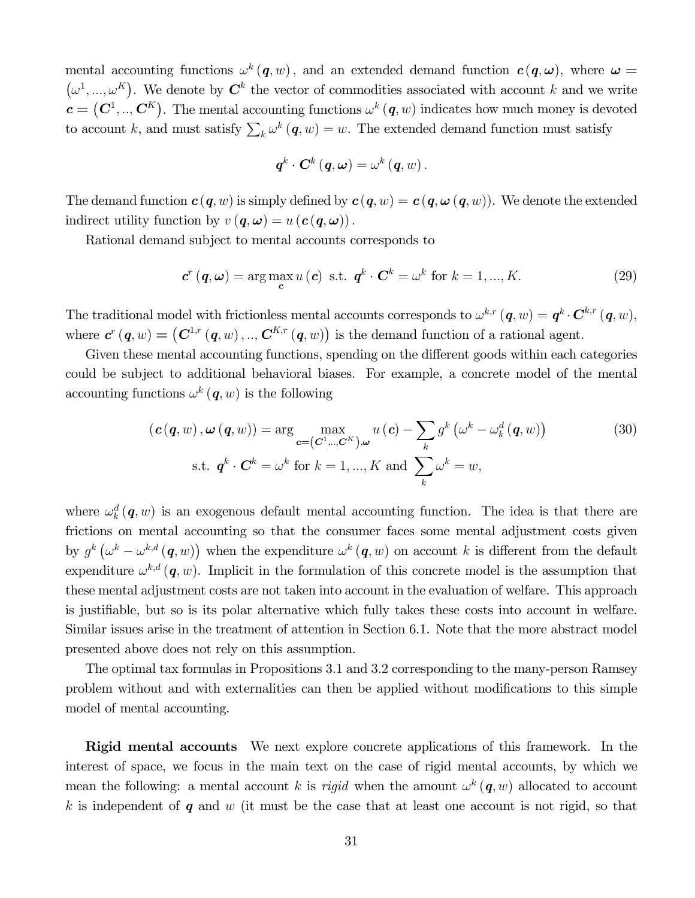mental accounting functions  $\omega^k(q, w)$ , and an extended demand function  $c(q, \omega)$ , where  $\omega =$  $(\omega^1, ..., \omega^K)$ . We denote by  $\mathbf{C}^k$  the vector of commodities associated with account k and we write  $c = (C^1, ..., C^K)$ . The mental accounting functions  $\omega^k(q, w)$  indicates how much money is devoted to account k, and must satisfy  $\sum_{k} \omega^{k} (q, w) = w$ . The extended demand function must satisfy

$$
\boldsymbol{q}^{k}\cdot\boldsymbol{C}^{k}\left(\boldsymbol{q},\boldsymbol{\omega}\right)=\omega^{k}\left(\boldsymbol{q},w\right).
$$

The demand function  $c(q, w)$  is simply defined by  $c(q, w) = c(q, \omega(q, w))$ . We denote the extended indirect utility function by  $v(q, \omega) = u(c(q, \omega))$ .

Rational demand subject to mental accounts corresponds to

$$
\mathbf{c}^r(\mathbf{q},\omega) = \arg\max_{\mathbf{c}} u(\mathbf{c}) \text{ s.t. } \mathbf{q}^k \cdot \mathbf{C}^k = \omega^k \text{ for } k = 1,...,K. \tag{29}
$$

The traditional model with frictionless mental accounts corresponds to  $\omega^{k,r}$   $(q, w) = q^k \cdot \mathbf{C}^{k,r}$   $(q, w)$ , where  $\mathbf{c}^r(\mathbf{q},w) = (\mathbf{C}^{1,r}(\mathbf{q},w), \ldots, \mathbf{C}^{K,r}(\mathbf{q},w))$  is the demand function of a rational agent.

Given these mental accounting functions, spending on the different goods within each categories could be subject to additional behavioral biases. For example, a concrete model of the mental accounting functions  $\omega^k$  (q, w) is the following

$$
(\boldsymbol{c}(\boldsymbol{q}, w), \boldsymbol{\omega}(\boldsymbol{q}, w)) = \arg \max_{\boldsymbol{c} = (\boldsymbol{C}^1, \dots, \boldsymbol{C}^K), \boldsymbol{\omega}} u(\boldsymbol{c}) - \sum_{k} g^k (\boldsymbol{\omega}^k - \boldsymbol{\omega}_k^d(\boldsymbol{q}, w))
$$
(30)  
s.t.  $\boldsymbol{q}^k \cdot \boldsymbol{C}^k = \boldsymbol{\omega}^k$  for  $k = 1, \dots, K$  and  $\sum_{k} \boldsymbol{\omega}^k = w$ ,

where  $\omega_k^d(\mathbf{q}, w)$  is an exogenous default mental accounting function. The idea is that there are frictions on mental accounting so that the consumer faces some mental adjustment costs given by  $g^k(\omega^k - \omega^{k,d}(\boldsymbol{q}, w))$  when the expenditure  $\omega^k(\boldsymbol{q}, w)$  on account k is different from the default expenditure  $\omega^{k,d}(\boldsymbol{q},w)$ . Implicit in the formulation of this concrete model is the assumption that these mental adjustment costs are not taken into account in the evaluation of welfare. This approach is justifiable, but so is its polar alternative which fully takes these costs into account in welfare. Similar issues arise in the treatment of attention in Section 6.1. Note that the more abstract model presented above does not rely on this assumption.

The optimal tax formulas in Propositions 3.1 and 3.2 corresponding to the many-person Ramsey problem without and with externalities can then be applied without modifications to this simple model of mental accounting.

Rigid mental accounts We next explore concrete applications of this framework. In the interest of space, we focus in the main text on the case of rigid mental accounts, by which we mean the following: a mental account k is rigid when the amount  $\omega^k(q, w)$  allocated to account  $k$  is independent of  $q$  and  $w$  (it must be the case that at least one account is not rigid, so that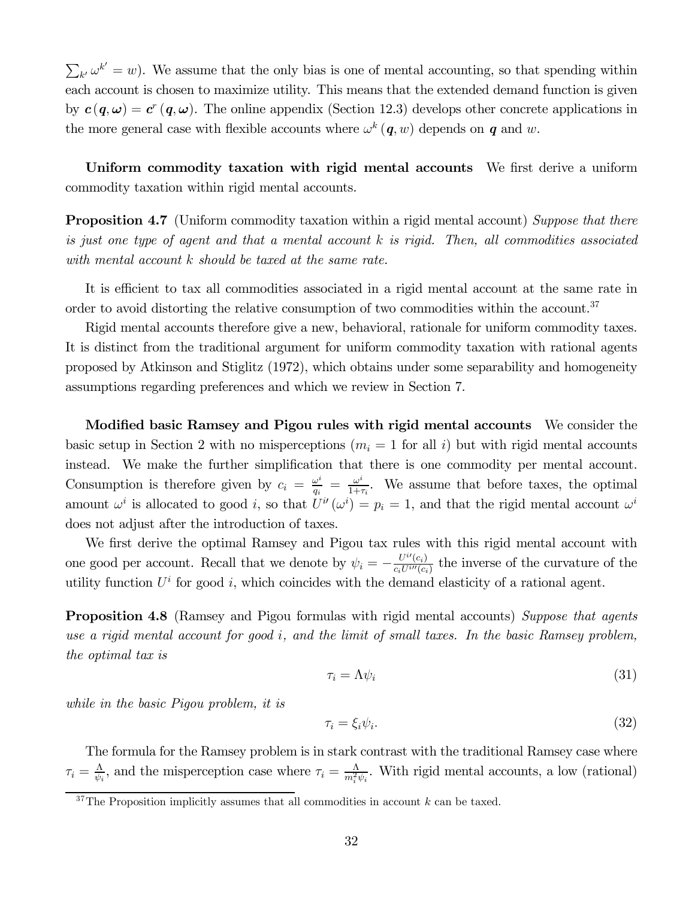$\sum_{k'} \omega^{k'} = w$ ). We assume that the only bias is one of mental accounting, so that spending within each account is chosen to maximize utility. This means that the extended demand function is given by  $c(q, \omega) = c^r(q, \omega)$ . The online appendix (Section 12.3) develops other concrete applications in the more general case with flexible accounts where  $\omega^k(q, w)$  depends on q and w.

Uniform commodity taxation with rigid mental accounts We first derive a uniform commodity taxation within rigid mental accounts.

**Proposition 4.7** (Uniform commodity taxation within a rigid mental account) Suppose that there is just one type of agent and that a mental account  $k$  is rigid. Then, all commodities associated with mental account  $k$  should be taxed at the same rate.

It is efficient to tax all commodities associated in a rigid mental account at the same rate in order to avoid distorting the relative consumption of two commodities within the account.<sup>37</sup>

Rigid mental accounts therefore give a new, behavioral, rationale for uniform commodity taxes. It is distinct from the traditional argument for uniform commodity taxation with rational agents proposed by Atkinson and Stiglitz (1972), which obtains under some separability and homogeneity assumptions regarding preferences and which we review in Section 7.

Modified basic Ramsey and Pigou rules with rigid mental accounts We consider the basic setup in Section 2 with no misperceptions  $(m_i = 1$  for all i) but with rigid mental accounts instead. We make the further simplification that there is one commodity per mental account. Consumption is therefore given by  $c_i = \frac{\omega^i}{q_i} = \frac{\omega^i}{1+\tau_i}$ . We assume that before taxes, the optimal amount  $\omega^i$  is allocated to good i, so that  $U^{i'}(\omega^i) = p_i = 1$ , and that the rigid mental account  $\omega^i$ does not adjust after the introduction of taxes.

We first derive the optimal Ramsey and Pigou tax rules with this rigid mental account with one good per account. Recall that we denote by  $\psi_i = -\frac{U^{i\prime}(c_i)}{c_i U^{i\prime\prime}(c_i)}$  the inverse of the curvature of the utility function  $U^i$  for good i, which coincides with the demand elasticity of a rational agent.

**Proposition 4.8** (Ramsey and Pigou formulas with rigid mental accounts) Suppose that agents use a rigid mental account for good  $i$ , and the limit of small taxes. In the basic Ramsey problem, the optimal tax is

$$
\tau_i = \Lambda \psi_i \tag{31}
$$

while in the basic Pigou problem, it is

$$
\tau_i = \xi_i \psi_i. \tag{32}
$$

The formula for the Ramsey problem is in stark contrast with the traditional Ramsey case where  $\tau_i = \frac{\Lambda}{\psi_i}$ , and the misperception case where  $\tau_i = \frac{\Lambda}{m_i^2 \psi_i}$ . With rigid mental accounts, a low (rational)

 $37$ The Proposition implicitly assumes that all commodities in account  $k$  can be taxed.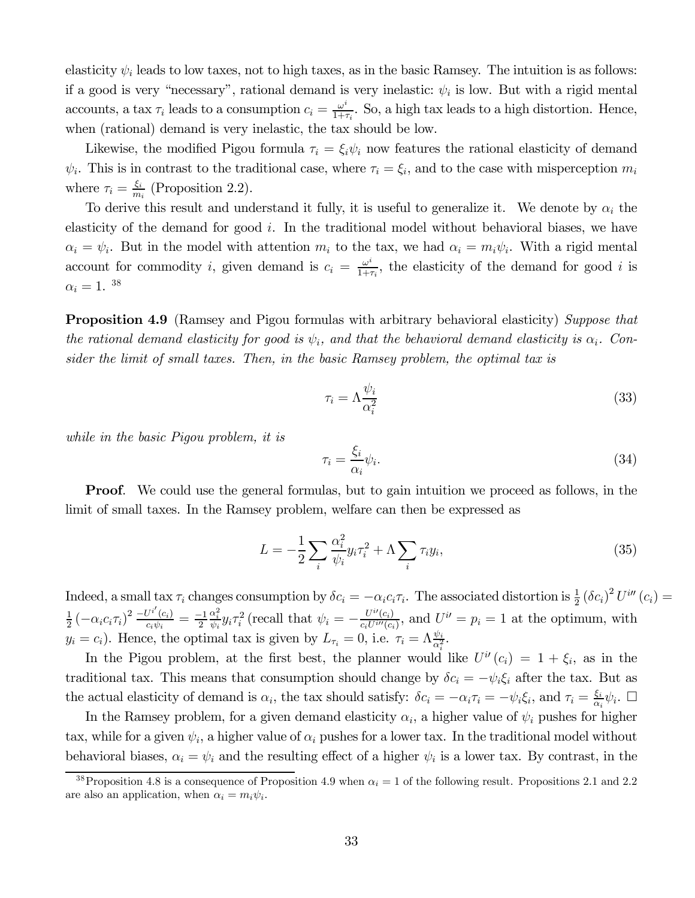elasticity  $\psi_i$  leads to low taxes, not to high taxes, as in the basic Ramsey. The intuition is as follows: if a good is very "necessary", rational demand is very inelastic:  $\psi_i$  is low. But with a rigid mental accounts, a tax  $\tau_i$  leads to a consumption  $c_i = \frac{\omega^i}{1+\tau_i}$ . So, a high tax leads to a high distortion. Hence, when (rational) demand is very inelastic, the tax should be low.

Likewise, the modified Pigou formula  $\tau_i = \xi_i \psi_i$  now features the rational elasticity of demand  $\psi_i$ . This is in contrast to the traditional case, where  $\tau_i = \xi_i$ , and to the case with misperception  $m_i$ where  $\tau_i = \frac{\xi_i}{m_i}$  (Proposition 2.2).

To derive this result and understand it fully, it is useful to generalize it. We denote by  $\alpha_i$  the elasticity of the demand for good  $i$ . In the traditional model without behavioral biases, we have  $\alpha_i = \psi_i$ . But in the model with attention  $m_i$  to the tax, we had  $\alpha_i = m_i \psi_i$ . With a rigid mental account for commodity *i*, given demand is  $c_i = \frac{\omega^i}{1+\tau_i}$ , the elasticity of the demand for good *i* is  $\alpha_i = 1.$ <sup>38</sup>

**Proposition 4.9** (Ramsey and Pigou formulas with arbitrary behavioral elasticity) Suppose that the rational demand elasticity for good is  $\psi_i$ , and that the behavioral demand elasticity is  $\alpha_i$ . Consider the limit of small taxes. Then, in the basic Ramsey problem, the optimal tax is

$$
\tau_i = \Lambda \frac{\psi_i}{\alpha_i^2} \tag{33}
$$

while in the basic Pigou problem, it is

$$
\tau_i = \frac{\xi_i}{\alpha_i} \psi_i. \tag{34}
$$

**Proof.** We could use the general formulas, but to gain intuition we proceed as follows, in the limit of small taxes. In the Ramsey problem, welfare can then be expressed as

$$
L = -\frac{1}{2} \sum_{i} \frac{\alpha_i^2}{\psi_i} y_i \tau_i^2 + \Lambda \sum_{i} \tau_i y_i,
$$
\n(35)

Indeed, a small tax  $\tau_i$  changes consumption by  $\delta c_i = -\alpha_i c_i \tau_i$ . The associated distortion is  $\frac{1}{2} (\delta c_i)^2 U^{i''}(c_i) =$  $\frac{1}{2} \left( -\alpha_i c_i \tau_i \right)^2 \frac{-U^{i'}(c_i)}{c_i \psi_i} = \frac{-1}{2}$  $\frac{\alpha_i^2}{\psi_i} y_i \tau_i^2$  (recall that  $\psi_i = -\frac{U^{i\prime}(c_i)}{c_i U^{i\prime\prime}(c_i)}$ , and  $U^{i\prime} = p_i = 1$  at the optimum, with  $y_i = c_i$ ). Hence, the optimal tax is given by  $L_{\tau_i} = 0$ , i.e.  $\tau_i = \Lambda \frac{\psi_i}{\alpha_i^2}$ .

In the Pigou problem, at the first best, the planner would like  $U^{i'}(c_i) = 1 + \xi_i$ , as in the traditional tax. This means that consumption should change by  $\delta c_i = -\psi_i \xi_i$  after the tax. But as the actual elasticity of demand is  $\alpha_i$ , the tax should satisfy:  $\delta c_i = -\alpha_i \tau_i = -\psi_i \xi_i$ , and  $\tau_i = \frac{\xi_i}{\alpha_i} \psi_i$ .

In the Ramsey problem, for a given demand elasticity  $\alpha_i$ , a higher value of  $\psi_i$  pushes for higher tax, while for a given  $\psi_i$ , a higher value of  $\alpha_i$  pushes for a lower tax. In the traditional model without behavioral biases,  $\alpha_i = \psi_i$  and the resulting effect of a higher  $\psi_i$  is a lower tax. By contrast, in the

<sup>&</sup>lt;sup>38</sup> Proposition 4.8 is a consequence of Proposition 4.9 when  $\alpha_i = 1$  of the following result. Propositions 2.1 and 2.2 are also an application, when  $\alpha_i = m_i \psi_i$ .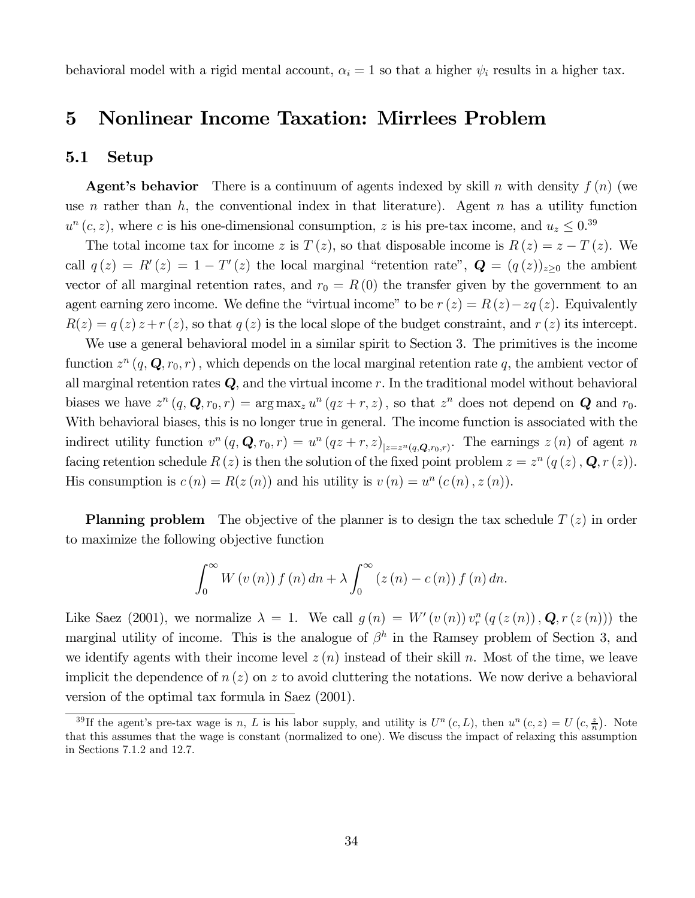behavioral model with a rigid mental account,  $\alpha_i = 1$  so that a higher  $\psi_i$  results in a higher tax.

## 5 Nonlinear Income Taxation: Mirrlees Problem

### 5.1 Setup

**Agent's behavior** There is a continuum of agents indexed by skill n with density  $f(n)$  (we use *n* rather than  $h$ , the conventional index in that literature). Agent  $n$  has a utility function  $u^{n}(c, z)$ , where c is his one-dimensional consumption, z is his pre-tax income, and  $u_{z} \leq 0.39$ 

The total income tax for income z is  $T(z)$ , so that disposable income is  $R(z) = z - T(z)$ . We call  $q(z) = R'(z) = 1 - T'(z)$  the local marginal "retention rate",  $\mathbf{Q} = (q(z))_{z\geq 0}$  the ambient vector of all marginal retention rates, and  $r_0 = R(0)$  the transfer given by the government to an agent earning zero income. We define the "virtual income" to be  $r(z) = R(z) - zq(z)$ . Equivalently  $R(z) = q(z) z + r(z)$ , so that  $q(z)$  is the local slope of the budget constraint, and  $r(z)$  its intercept.

We use a general behavioral model in a similar spirit to Section 3. The primitives is the income function  $z^n$   $(q, \mathbf{Q}, r_0, r)$ , which depends on the local marginal retention rate q, the ambient vector of all marginal retention rates  $Q$ , and the virtual income  $r$ . In the traditional model without behavioral biases we have  $z^n(q, \mathbf{Q}, r_0, r) = \arg \max_z u^n(qz+r, z)$ , so that  $z^n$  does not depend on **Q** and  $r_0$ . With behavioral biases, this is no longer true in general. The income function is associated with the indirect utility function  $v^n(q, \mathbf{Q}, r_0, r) = u^n(qz+r, z)_{|z=z^n(q, \mathbf{Q}, r_0, r)}$ . The earnings  $z(n)$  of agent n facing retention schedule  $R(z)$  is then the solution of the fixed point problem  $z = z^n (q(z), \mathbf{Q}, r(z))$ . His consumption is  $c(n) = R(z(n))$  and his utility is  $v(n) = u^n (c(n), z(n)).$ 

**Planning problem** The objective of the planner is to design the tax schedule  $T(z)$  in order to maximize the following objective function

$$
\int_0^\infty W(v(n)) f(n) dn + \lambda \int_0^\infty (z(n) - c(n)) f(n) dn.
$$

Like Saez (2001), we normalize  $\lambda = 1$ . We call  $g(n) = W'(v(n)) v_r^n (q(z(n)), \mathbf{Q}, r(z(n)))$  the marginal utility of income. This is the analogue of  $\beta^h$  in the Ramsey problem of Section 3, and we identify agents with their income level  $z(n)$  instead of their skill n. Most of the time, we leave implicit the dependence of  $n(z)$  on z to avoid cluttering the notations. We now derive a behavioral version of the optimal tax formula in Saez (2001).

<sup>&</sup>lt;sup>39</sup>If the agent's pre-tax wage is n, L is his labor supply, and utility is  $U^n(c, L)$ , then  $u^n(c, z) = U(c, \frac{z}{n})$ . Note that this assumes that the wage is constant (normalized to one). We discuss the impact of relaxing this assumption in Sections 7.1.2 and 12.7.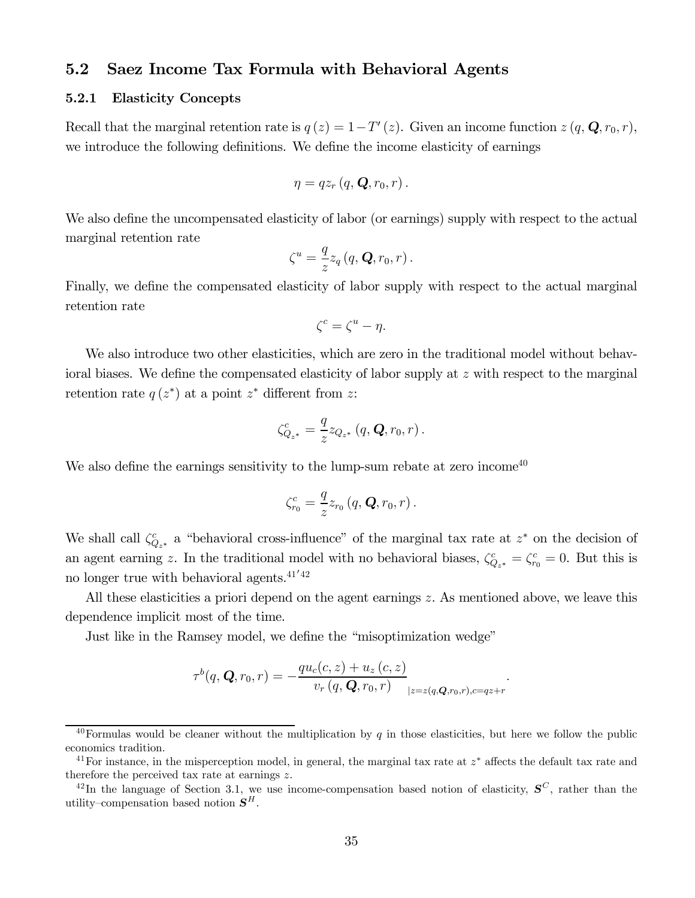### 5.2 Saez Income Tax Formula with Behavioral Agents

#### 5.2.1 Elasticity Concepts

Recall that the marginal retention rate is  $q(z)=1-T'(z)$ . Given an income function  $z(q, \mathbf{Q}, r_0, r)$ , we introduce the following definitions. We define the income elasticity of earnings

$$
\eta = q z_r (q, \mathbf{Q}, r_0, r).
$$

We also define the uncompensated elasticity of labor (or earnings) supply with respect to the actual marginal retention rate

$$
\zeta^u = \frac{q}{z} z_q(q, \mathbf{Q}, r_0, r).
$$

Finally, we define the compensated elasticity of labor supply with respect to the actual marginal retention rate

$$
\zeta^c = \zeta^u - \eta.
$$

We also introduce two other elasticities, which are zero in the traditional model without behavioral biases. We define the compensated elasticity of labor supply at  $z$  with respect to the marginal retention rate  $q(z^*)$  at a point  $z^*$  different from z:

$$
\zeta_{Q_{z^*}}^c = \frac{q}{z} z_{Q_{z^*}}(q, \mathbf{Q}, r_0, r).
$$

We also define the earnings sensitivity to the lump-sum rebate at zero income<sup>40</sup>

$$
\zeta_{r_0}^c = \frac{q}{z} z_{r_0} (q, \mathbf{Q}, r_0, r).
$$

We shall call  $\zeta_{Q_{z^*}}^c$  a "behavioral cross-influence" of the marginal tax rate at  $z^*$  on the decision of an agent earning z. In the traditional model with no behavioral biases,  $\zeta_{Q_{z^*}}^c = \zeta_{r_0}^c = 0$ . But this is no longer true with behavioral agents. $41'42$ 

All these elasticities a priori depend on the agent earnings  $z$ . As mentioned above, we leave this dependence implicit most of the time.

Just like in the Ramsey model, we define the "misoptimization wedge"

$$
\tau^{b}(q, \mathbf{Q}, r_{0}, r) = -\frac{qu_{c}(c, z) + u_{z}(c, z)}{v_{r}(q, \mathbf{Q}, r_{0}, r)}_{|z=z(q, \mathbf{Q}, r_{0}, r), c=qz+r}.
$$

<sup>&</sup>lt;sup>40</sup>Formulas would be cleaner without the multiplication by  $q$  in those elasticities, but here we follow the public economics tradition.

<sup>&</sup>lt;sup>41</sup>For instance, in the misperception model, in general, the marginal tax rate at  $z^*$  affects the default tax rate and therefore the perceived tax rate at earnings  $z$ .

<sup>&</sup>lt;sup>42</sup>In the language of Section 3.1, we use income-compensation based notion of elasticity,  $S^C$ , rather than the utility–compensation based notion  $S<sup>H</sup>$ .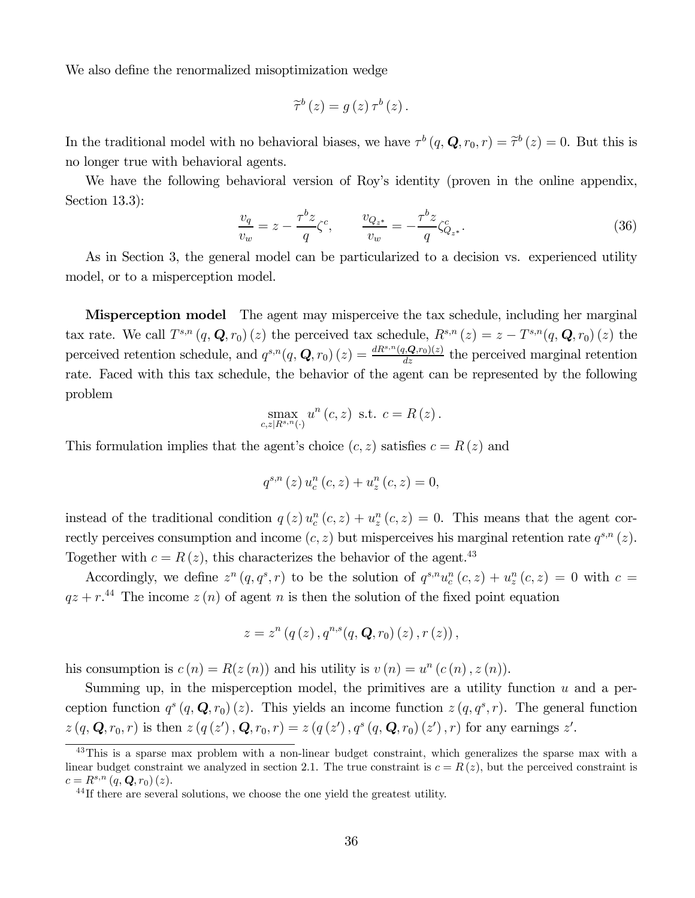We also define the renormalized misoptimization wedge

$$
\widetilde{\tau}^{b}\left(z\right) = g\left(z\right)\tau^{b}\left(z\right).
$$

In the traditional model with no behavioral biases, we have  $\tau^b(q, \mathbf{Q}, r_0, r) = \tilde{\tau}^b(z) = 0$ . But this is no longer true with behavioral agents.

We have the following behavioral version of Roy's identity (proven in the online appendix, Section 13.3):

$$
\frac{v_q}{v_w} = z - \frac{\tau^b z}{q} \zeta^c, \qquad \frac{v_{Q_{z^*}}}{v_w} = -\frac{\tau^b z}{q} \zeta^c_{Q_{z^*}}.
$$
\n(36)

As in Section 3, the general model can be particularized to a decision vs. experienced utility model, or to a misperception model.

**Misperception model** The agent may misperceive the tax schedule, including her marginal tax rate. We call  $T^{s,n}(q, \mathbf{Q}, r_0)(z)$  the perceived tax schedule,  $R^{s,n}(z) = z - T^{s,n}(q, \mathbf{Q}, r_0)(z)$  the perceived retention schedule, and  $q^{s,n}(q, \mathbf{Q}, r_0)(z) = \frac{dR^{s,n}(q, \mathbf{Q}, r_0)(z)}{dz}$  the perceived marginal retention rate. Faced with this tax schedule, the behavior of the agent can be represented by the following problem

$$
\max_{c,z|R^{s,n}(\cdot)} u^n(c,z) \text{ s.t. } c = R(z).
$$

This formulation implies that the agent's choice  $(c, z)$  satisfies  $c = R(z)$  and

$$
q^{s,n}(z) u_c^n(c, z) + u_z^n(c, z) = 0,
$$

instead of the traditional condition  $q(z) u_c^n(c, z) + u_z^n(c, z) = 0$ . This means that the agent correctly perceives consumption and income  $(c, z)$  but misperceives his marginal retention rate  $q^{s,n}(z)$ . Together with  $c = R(z)$ , this characterizes the behavior of the agent.<sup>43</sup>

Accordingly, we define  $z^n(q, q^s, r)$  to be the solution of  $q^{s,n}u_c^n(c, z) + u_z^n(c, z) = 0$  with  $c =$  $qz + r^{44}$  The income  $z(n)$  of agent n is then the solution of the fixed point equation

$$
z = z^{n} (q(z), q^{n,s}(q, \mathbf{Q}, r_{0}) (z), r (z)),
$$

his consumption is  $c(n) = R(z(n))$  and his utility is  $v(n) = u<sup>n</sup>(c(n), z(n))$ .

Summing up, in the misperception model, the primitives are a utility function  $u$  and a perception function  $q^{s}(q, \mathbf{Q}, r_{0})(z)$ . This yields an income function  $z(q, q^{s}, r)$ . The general function  $z(q, \mathbf{Q}, r_0, r)$  is then  $z(q(z'), \mathbf{Q}, r_0, r) = z(q(z'), q^s(q, \mathbf{Q}, r_0)(z'), r)$  for any earnings  $z'.$ 

<sup>&</sup>lt;sup>43</sup>This is a sparse max problem with a non-linear budget constraint, which generalizes the sparse max with a linear budget constraint we analyzed in section 2.1. The true constraint is  $c = R(z)$ , but the perceived constraint is  $c = R^{s,n} (q, \mathbf{Q}, r_0) (z).$ <br><sup>44</sup>If there are several solutions, we choose the one yield the greatest utility.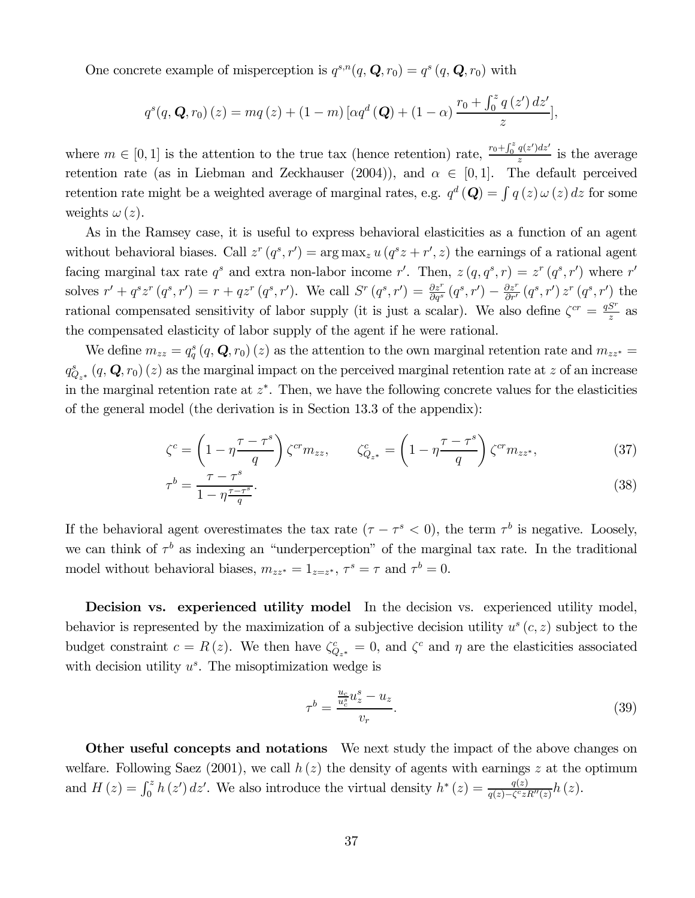One concrete example of misperception is  $q^{s,n}(q, \mathbf{Q}, r_0) = q^s(q, \mathbf{Q}, r_0)$  with

$$
q^{s}(q, \mathbf{Q}, r_{0})(z) = mq(z) + (1 - m) \left[ \alpha q^{d}(\mathbf{Q}) + (1 - \alpha) \frac{r_{0} + \int_{0}^{z} q(z') dz'}{z} \right],
$$

where  $m \in [0, 1]$  is the attention to the true tax (hence retention) rate,  $\frac{r_0 + \int_0^z q(z')dz'}{z}$  is the average retention rate (as in Liebman and Zeckhauser (2004)), and  $\alpha \in [0,1]$ . The default perceived retention rate might be a weighted average of marginal rates, e.g.  $q^d$  (**Q**) =  $\int q(z) \omega(z) dz$  for some weights  $\omega(z)$ .

As in the Ramsey case, it is useful to express behavioral elasticities as a function of an agent without behavioral biases. Call  $z^r(q^s, r') = \arg \max_z u(q^s z + r', z)$  the earnings of a rational agent facing marginal tax rate  $q^s$  and extra non-labor income r'. Then,  $z(q, q^s, r) = z^r (q^s, r')$  where r' solves  $r' + q^s z^r (q^s, r') = r + q z^r (q^s, r')$ . We call  $S^r (q^s, r') = \frac{\partial z^r}{\partial q^s} (q^s, r') - \frac{\partial z^r}{\partial r'} (q^s, r') z^r (q^s, r')$  the rational compensated sensitivity of labor supply (it is just a scalar). We also define  $\zeta^{cr} = \frac{qS^r}{z}$  as the compensated elasticity of labor supply of the agent if he were rational.

We define  $m_{zz} = q_q^s (q, \mathbf{Q}, r_0) (z)$  as the attention to the own marginal retention rate and  $m_{zz^*} =$  $q_{Q_{z^*}}^s(q, \mathbf{Q}, r_0)(z)$  as the marginal impact on the perceived marginal retention rate at z of an increase in the marginal retention rate at  $z^*$ . Then, we have the following concrete values for the elasticities of the general model (the derivation is in Section 13.3 of the appendix):

$$
\zeta^c = \left(1 - \eta \frac{\tau - \tau^s}{q}\right) \zeta^{cr} m_{zz}, \qquad \zeta^c_{Q_{z^*}} = \left(1 - \eta \frac{\tau - \tau^s}{q}\right) \zeta^{cr} m_{zz^*}, \tag{37}
$$

$$
\tau^b = \frac{\tau - \tau^s}{1 - \eta \frac{\tau - \tau^s}{q}}.\tag{38}
$$

If the behavioral agent overestimates the tax rate  $(\tau - \tau^s < 0)$ , the term  $\tau^b$  is negative. Loosely, we can think of  $\tau^b$  as indexing an "underperception" of the marginal tax rate. In the traditional model without behavioral biases,  $m_{zz^*} = 1_{z=z^*}, \tau^s = \tau$  and  $\tau^b = 0$ .

Decision vs. experienced utility model In the decision vs. experienced utility model, behavior is represented by the maximization of a subjective decision utility  $u^s(c, z)$  subject to the budget constraint  $c = R(z)$ . We then have  $\zeta_{Q_{z^*}}^c = 0$ , and  $\zeta_c^c$  and  $\eta$  are the elasticities associated with decision utility  $u^s$ . The misoptimization wedge is

$$
\tau^b = \frac{\frac{u_c}{u_c^s} u_z^s - u_z}{v_r}.\tag{39}
$$

Other useful concepts and notations We next study the impact of the above changes on welfare. Following Saez (2001), we call  $h(z)$  the density of agents with earnings z at the optimum and  $H(z) = \int_0^z h(z') dz'$ . We also introduce the virtual density  $h^*(z) = \frac{q(z)}{q(z) - \zeta^c z R''(z)} h(z)$ .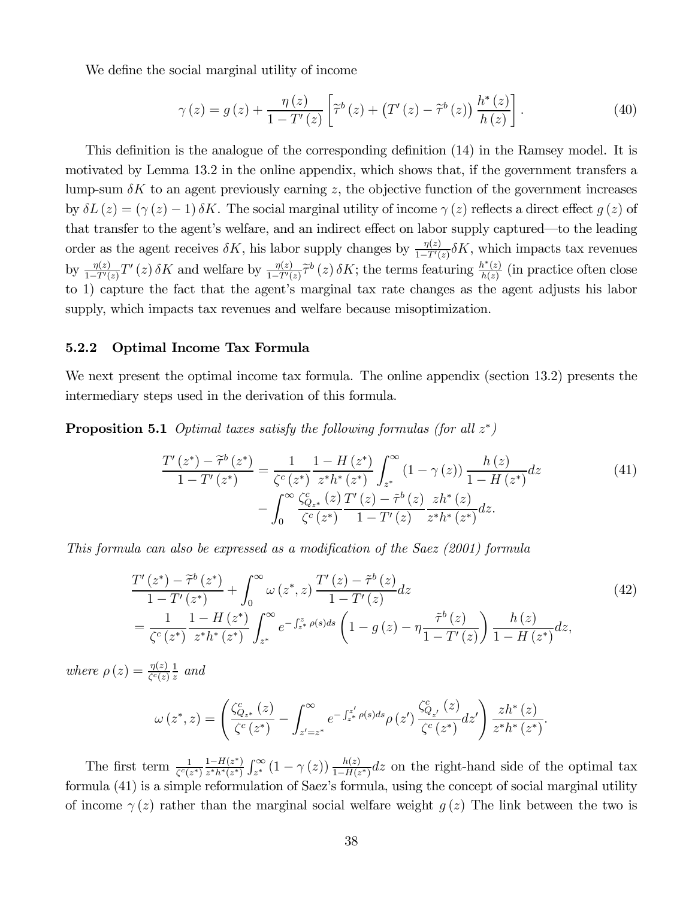We define the social marginal utility of income

$$
\gamma(z) = g(z) + \frac{\eta(z)}{1 - T'(z)} \left[ \tilde{\tau}^b(z) + \left( T'(z) - \tilde{\tau}^b(z) \right) \frac{h^*(z)}{h(z)} \right]. \tag{40}
$$

This definition is the analogue of the corresponding definition (14) in the Ramsey model. It is motivated by Lemma 13.2 in the online appendix, which shows that, if the government transfers a lump-sum  $\delta K$  to an agent previously earning z, the objective function of the government increases by  $\delta L(z) = (\gamma(z) - 1) \delta K$ . The social marginal utility of income  $\gamma(z)$  reflects a direct effect  $g(z)$  of that transfer to the agent's welfare, and an indirect effect on labor supply captured–to the leading order as the agent receives  $\delta K$ , his labor supply changes by  $\frac{\eta(z)}{1-T'(z)}\delta K$ , which impacts tax revenues by  $\frac{\eta(z)}{1-T'(z)}T'(z)\delta K$  and welfare by  $\frac{\eta(z)}{1-T'(z)}\tilde{\tau}^b(z)\delta K$ ; the terms featuring  $\frac{h^*(z)}{h(z)}$  (in practice often close to 1) capture the fact that the agent's marginal tax rate changes as the agent adjusts his labor supply, which impacts tax revenues and welfare because misoptimization.

#### 5.2.2 Optimal Income Tax Formula

We next present the optimal income tax formula. The online appendix (section 13.2) presents the intermediary steps used in the derivation of this formula.

**Proposition 5.1** Optimal taxes satisfy the following formulas (for all  $z^*$ )

$$
\frac{T'(z^*) - \tilde{\tau}^b(z^*)}{1 - T'(z^*)} = \frac{1}{\zeta^c(z^*)} \frac{1 - H(z^*)}{z^* h^*(z^*)} \int_{z^*}^{\infty} (1 - \gamma(z)) \frac{h(z)}{1 - H(z^*)} dz
$$
\n
$$
- \int_0^{\infty} \frac{\zeta_{Q_{z^*}}^c(z)}{\zeta^c(z^*)} \frac{T'(z) - \tilde{\tau}^b(z)}{1 - T'(z)} \frac{zh^*(z)}{z^* h^*(z^*)} dz.
$$
\n(41)

This formula can also be expressed as a modification of the Saez (2001) formula

$$
\frac{T'(z^{*}) - \tilde{\tau}^{b}(z^{*})}{1 - T'(z^{*})} + \int_{0}^{\infty} \omega(z^{*}, z) \frac{T'(z) - \tilde{\tau}^{b}(z)}{1 - T'(z)} dz
$$
\n
$$
= \frac{1}{\zeta^{c}(z^{*})} \frac{1 - H(z^{*})}{z^{*}h^{*}(z^{*})} \int_{z^{*}}^{\infty} e^{-\int_{z^{*}}^{z} \rho(s)ds} \left(1 - g(z) - \eta \frac{\tilde{\tau}^{b}(z)}{1 - T'(z)}\right) \frac{h(z)}{1 - H(z^{*})} dz,
$$
\n(42)

where  $\rho(z) = \frac{\eta(z)}{\zeta^c(z)}$  $rac{1}{z}$  and

$$
\omega(z^*, z) = \left( \frac{\zeta_{Q_{z^*}}^c(z)}{\zeta^c(z^*)} - \int_{z'=z^*}^{\infty} e^{-\int_{z^*}^{z'} \rho(s) ds} \rho(z') \frac{\zeta_{Q_{z'}}^c(z)}{\zeta^c(z^*)} dz' \right) \frac{z h^*(z)}{z^* h^*(z^*)}.
$$

The first term  $\frac{1}{\zeta^c(z^*)}\frac{1-H(z^*)}{z^*h^*(z^*)}\int_{z^*}^{\infty} (1-\gamma(z))\frac{h(z)}{1-H(z^*)}dz$  on the right-hand side of the optimal tax formula (41) is a simple reformulation of Saez's formula, using the concept of social marginal utility of income  $\gamma(z)$  rather than the marginal social welfare weight  $q(z)$ . The link between the two is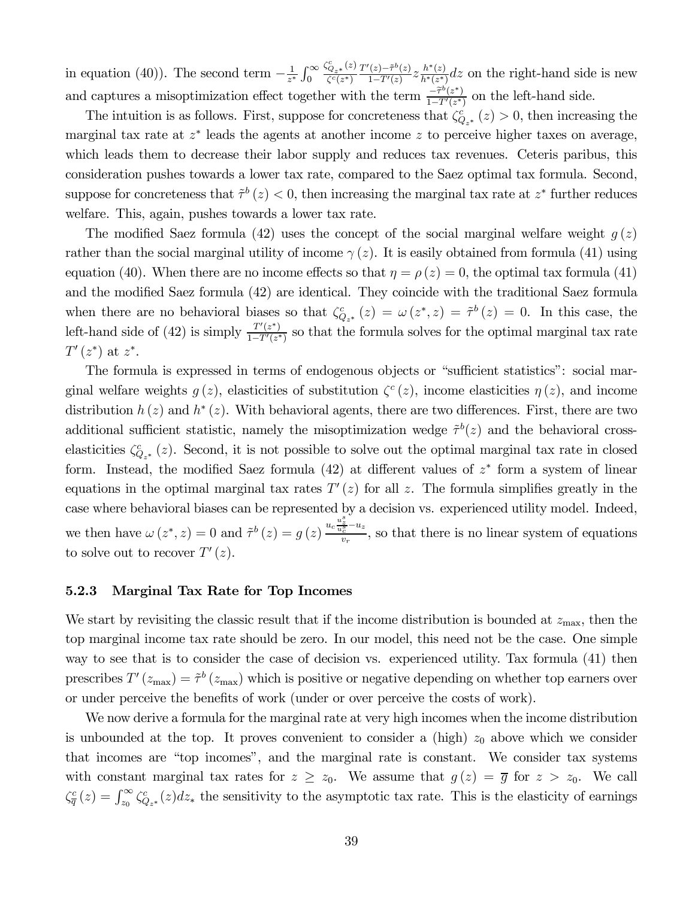in equation (40)). The second term  $-\frac{1}{z^*} \int_0^\infty$  $\frac{\zeta_{Q_{z^*}}^c(z)}{\zeta^c(z^*)}$  $\frac{T'(z)-\tilde{\tau}^b(z)}{1-T'(z)}z\frac{h^*(z)}{h^*(z^*)}dz$  on the right-hand side is new and captures a misoptimization effect together with the term  $\frac{-\tilde{\tau}^b(z^*)}{1-T'(z^*)}$  on the left-hand side.

The intuition is as follows. First, suppose for concreteness that  $\zeta_{Q_{z^*}}^c(z) > 0$ , then increasing the marginal tax rate at  $z^*$  leads the agents at another income  $z$  to perceive higher taxes on average, which leads them to decrease their labor supply and reduces tax revenues. Ceteris paribus, this consideration pushes towards a lower tax rate, compared to the Saez optimal tax formula. Second, suppose for concreteness that  $\tilde{\tau}^b(z) < 0$ , then increasing the marginal tax rate at  $z^*$  further reduces welfare. This, again, pushes towards a lower tax rate.

The modified Saez formula (42) uses the concept of the social marginal welfare weight  $g(z)$ rather than the social marginal utility of income  $\gamma(z)$ . It is easily obtained from formula (41) using equation (40). When there are no income effects so that  $\eta = \rho(z) = 0$ , the optimal tax formula (41) and the modified Saez formula (42) are identical. They coincide with the traditional Saez formula when there are no behavioral biases so that  $\zeta_{Q_{z^*}}^c(z) = \omega(z^*, z) = \tilde{\tau}^b(z) = 0$ . In this case, the left-hand side of (42) is simply  $\frac{T'(z^*)}{1-T'(z^*)}$  so that the formula solves for the optimal marginal tax rate  $T'(z^*)$  at  $z^*$ .

The formula is expressed in terms of endogenous objects or "sufficient statistics": social marginal welfare weights  $q(z)$ , elasticities of substitution  $\zeta^{c}(z)$ , income elasticities  $\eta(z)$ , and income distribution  $h(z)$  and  $h^*(z)$ . With behavioral agents, there are two differences. First, there are two additional sufficient statistic, namely the misoptimization wedge  $\tilde{\tau}^b(z)$  and the behavioral crosselasticities  $\zeta_{Q_{z^*}}^c(z)$ . Second, it is not possible to solve out the optimal marginal tax rate in closed form. Instead, the modified Saez formula (42) at different values of  $z^*$  form a system of linear equations in the optimal marginal tax rates  $T'(z)$  for all z. The formula simplifies greatly in the case where behavioral biases can be represented by a decision vs. experienced utility model. Indeed, we then have  $\omega(z^*, z) = 0$  and  $\tilde{\tau}^b(z) = g(z) \frac{u_c \frac{u_c^s}{u_c^s} - u_z}{v_r}$ , so that there is no linear system of equations to solve out to recover  $T'(z)$ .

#### 5.2.3 Marginal Tax Rate for Top Incomes

We start by revisiting the classic result that if the income distribution is bounded at  $z_{\text{max}}$ , then the top marginal income tax rate should be zero. In our model, this need not be the case. One simple way to see that is to consider the case of decision vs. experienced utility. Tax formula  $(41)$  then prescribes  $T'(z_{\text{max}})=\tilde{\tau}^b(z_{\text{max}})$  which is positive or negative depending on whether top earners over or under perceive the benefits of work (under or over perceive the costs of work).

We now derive a formula for the marginal rate at very high incomes when the income distribution is unbounded at the top. It proves convenient to consider a (high)  $z_0$  above which we consider that incomes are "top incomes", and the marginal rate is constant. We consider tax systems with constant marginal tax rates for  $z \ge z_0$ . We assume that  $g(z) = \overline{g}$  for  $z > z_0$ . We call  $\zeta_{\overline{q}}^c(z) = \int_{z_0}^{\infty} \zeta_{Q_{z^*}}^c(z) dz_*$  the sensitivity to the asymptotic tax rate. This is the elasticity of earnings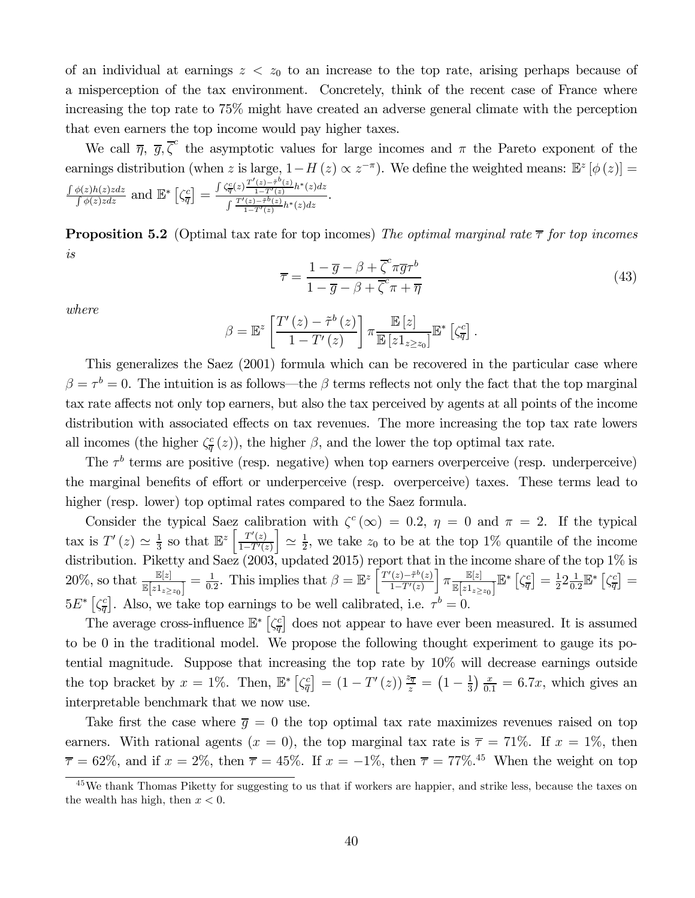of an individual at earnings  $z \, \langle \, z_0 \rangle$  to an increase to the top rate, arising perhaps because of a misperception of the tax environment. Concretely, think of the recent case of France where increasing the top rate to 75% might have created an adverse general climate with the perception that even earners the top income would pay higher taxes.

We call  $\overline{\eta}$ ,  $\overline{g}$ ,  $\overline{\zeta}^c$  the asymptotic values for large incomes and  $\pi$  the Pareto exponent of the earnings distribution (when z is large,  $1-H(z) \propto z^{-\pi}$ ). We define the weighted means:  $\mathbb{E}^{z} [\phi(z)] =$  $\frac{\int \phi(z)h(z)z dz}{\int \phi(z)z dz}$  and  $\mathbb{E}^*\left[\zeta_{\overline{q}}^c\right] = \frac{\int \zeta_{\overline{q}}^c(z) \frac{T'(z)-\tilde{\tau}^b(z)}{1-T'(z)} h^*(z) dz}{\int \frac{T'(z)-\tilde{\tau}^b(z)}{1-\tilde{\tau}^b(z)} h^*(z) dz}$  $\int \frac{T'(z) - \tilde{\tau}^b(z)}{1 - T'(z)} h^*(z) dz$ 

**Proposition 5.2** (Optimal tax rate for top incomes) The optimal marginal rate  $\bar{\tau}$  for top incomes is

$$
\overline{\tau} = \frac{1 - \overline{g} - \beta + \overline{\zeta}^c \pi \overline{g} \tau^b}{1 - \overline{g} - \beta + \overline{\zeta}^c \pi + \overline{\eta}}
$$
(43)

where

$$
\beta = \mathbb{E}^{z} \left[ \frac{T'(z) - \tilde{\tau}^{b}(z)}{1 - T'(z)} \right] \pi \frac{\mathbb{E}[z]}{\mathbb{E}[z \mathbb{1}_{z \ge z_{0}}]} \mathbb{E}^{*} \left[ \zeta_{\overline{q}}^{c} \right].
$$

This generalizes the Saez (2001) formula which can be recovered in the particular case where  $\beta = \tau^b = 0$ . The intuition is as follows—the  $\beta$  terms reflects not only the fact that the top marginal tax rate affects not only top earners, but also the tax perceived by agents at all points of the income distribution with associated effects on tax revenues. The more increasing the top tax rate lowers all incomes (the higher  $\zeta_{\overline{q}}^c(z)$ ), the higher  $\beta$ , and the lower the top optimal tax rate.

The  $\tau^b$  terms are positive (resp. negative) when top earners overperceive (resp. underperceive) the marginal benefits of effort or underperceive (resp. overperceive) taxes. These terms lead to higher (resp. lower) top optimal rates compared to the Saez formula.

Consider the typical Saez calibration with  $\zeta^c(\infty)=0.2$ ,  $\eta=0$  and  $\pi=2$ . If the typical tax is  $T'(z) \simeq \frac{1}{3}$  so that  $\mathbb{E}^z \left[ \frac{T'(z)}{1-T'(z)} \right]$  $1-T'(z)$  $\Big] \simeq \frac{1}{2}$ , we take  $z_0$  to be at the top 1% quantile of the income distribution. Piketty and Saez (2003, updated 2015) report that in the income share of the top 1% is 20%, so that  $\frac{\mathbb{E}[z]}{\mathbb{E}[z]_{z\geq z_0}]} = \frac{1}{0.2}$ . This implies that  $\beta = \mathbb{E}^z \left[ \frac{T'(z) - \tilde{\tau}^b(z)}{1 - T'(z)} \right]$  $1-T'(z)$  $\pi \frac{\mathbb{E}[z]}{\mathbb{E}[z]}$  $\frac{\mathbb{E}[z]}{\mathbb{E}\big[z1_{z\geq z_{0}}\big]}\mathbb{E}^{*}\left[\zeta_{\overline{q}}^{c}\right]=\frac{1}{2}2\frac{1}{0.2}\mathbb{E}^{*}\left[\zeta_{\overline{q}}^{c}\right]=$  $5E^* \left[ \zeta_{\overline{q}}^c \right]$ . Also, we take top earnings to be well calibrated, i.e.  $\tau^b = 0$ .

The average cross-influence  $\mathbb{E}^*$   $\left[\zeta_{\overline{q}}^c\right]$  does not appear to have ever been measured. It is assumed to be 0 in the traditional model. We propose the following thought experiment to gauge its potential magnitude. Suppose that increasing the top rate by 10% will decrease earnings outside the top bracket by  $x = 1\%$ . Then,  $\mathbb{E}^* \left[ \zeta_{\overline{q}}^c \right] = (1 - T'(z)) \frac{z_{\overline{q}}}{z} = (1 - \frac{1}{3}) \frac{x}{0.1} = 6.7x$ , which gives an interpretable benchmark that we now use.

Take first the case where  $\bar{g} = 0$  the top optimal tax rate maximizes revenues raised on top earners. With rational agents  $(x = 0)$ , the top marginal tax rate is  $\overline{\tau} = 71\%$ . If  $x = 1\%$ , then  $\bar{\tau} = 62\%$ , and if  $x = 2\%$ , then  $\bar{\tau} = 45\%$ . If  $x = -1\%$ , then  $\bar{\tau} = 77\%$ .<sup>45</sup> When the weight on top

<sup>&</sup>lt;sup>45</sup>We thank Thomas Piketty for suggesting to us that if workers are happier, and strike less, because the taxes on the wealth has high, then  $x < 0$ .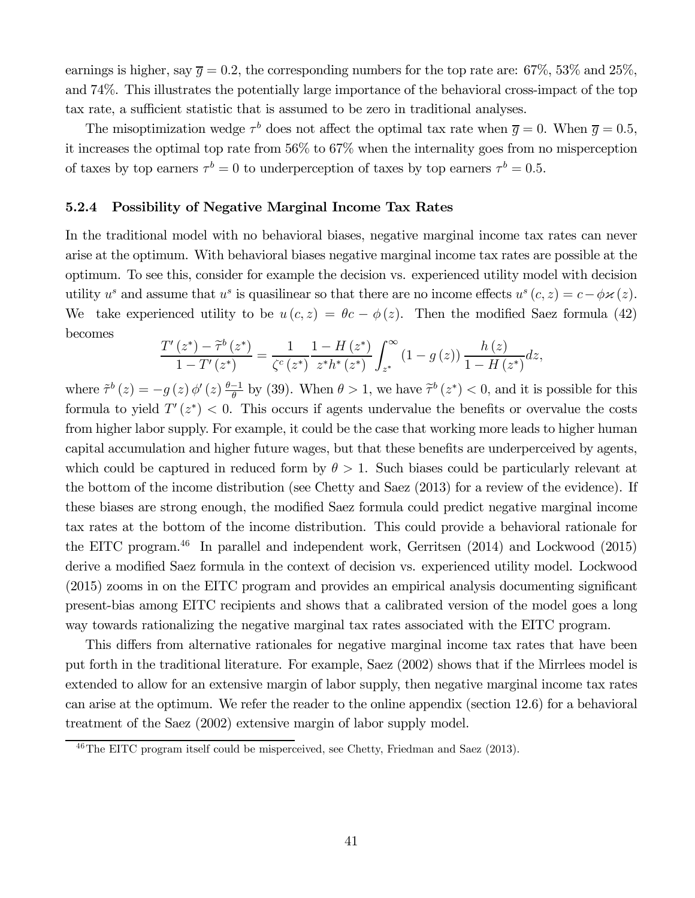earnings is higher, say  $\bar{g} = 0.2$ , the corresponding numbers for the top rate are: 67%, 53% and 25%, and 74%. This illustrates the potentially large importance of the behavioral cross-impact of the top tax rate, a sufficient statistic that is assumed to be zero in traditional analyses.

The misoptimization wedge  $\tau^b$  does not affect the optimal tax rate when  $\bar{g} = 0$ . When  $\bar{g} = 0.5$ , it increases the optimal top rate from 56% to 67% when the internality goes from no misperception of taxes by top earners  $\tau^b = 0$  to underperception of taxes by top earners  $\tau^b = 0.5$ .

#### 5.2.4 Possibility of Negative Marginal Income Tax Rates

In the traditional model with no behavioral biases, negative marginal income tax rates can never arise at the optimum. With behavioral biases negative marginal income tax rates are possible at the optimum. To see this, consider for example the decision vs. experienced utility model with decision utility  $u^s$  and assume that  $u^s$  is quasilinear so that there are no income effects  $u^s(c, z) = c - \phi \varkappa(z)$ . We take experienced utility to be  $u(c, z) = \theta c - \phi(z)$ . Then the modified Saez formula (42) becomes

$$
\frac{T'(z^*) - \tilde{\tau}^b(z^*)}{1 - T'(z^*)} = \frac{1}{\zeta^c(z^*)} \frac{1 - H(z^*)}{z^* h^*(z^*)} \int_{z^*}^{\infty} (1 - g(z)) \frac{h(z)}{1 - H(z^*)} dz,
$$

where  $\tilde{\tau}^b(z) = -g(z) \phi'(z) \frac{\theta-1}{\theta}$  by (39). When  $\theta > 1$ , we have  $\tilde{\tau}^b(z^*) < 0$ , and it is possible for this formula to yield  $T'(z^*)$  < 0. This occurs if agents undervalue the benefits or overvalue the costs from higher labor supply. For example, it could be the case that working more leads to higher human capital accumulation and higher future wages, but that these benefits are underperceived by agents, which could be captured in reduced form by  $\theta > 1$ . Such biases could be particularly relevant at the bottom of the income distribution (see Chetty and Saez (2013) for a review of the evidence). If these biases are strong enough, the modified Saez formula could predict negative marginal income tax rates at the bottom of the income distribution. This could provide a behavioral rationale for the EITC program.<sup>46</sup> In parallel and independent work, Gerritsen  $(2014)$  and Lockwood  $(2015)$ derive a modified Saez formula in the context of decision vs. experienced utility model. Lockwood (2015) zooms in on the EITC program and provides an empirical analysis documenting significant present-bias among EITC recipients and shows that a calibrated version of the model goes a long way towards rationalizing the negative marginal tax rates associated with the EITC program.

This differs from alternative rationales for negative marginal income tax rates that have been put forth in the traditional literature. For example, Saez (2002) shows that if the Mirrlees model is extended to allow for an extensive margin of labor supply, then negative marginal income tax rates can arise at the optimum. We refer the reader to the online appendix (section 12.6) for a behavioral treatment of the Saez (2002) extensive margin of labor supply model.

<sup>46</sup>The EITC program itself could be misperceived, see Chetty, Friedman and Saez (2013).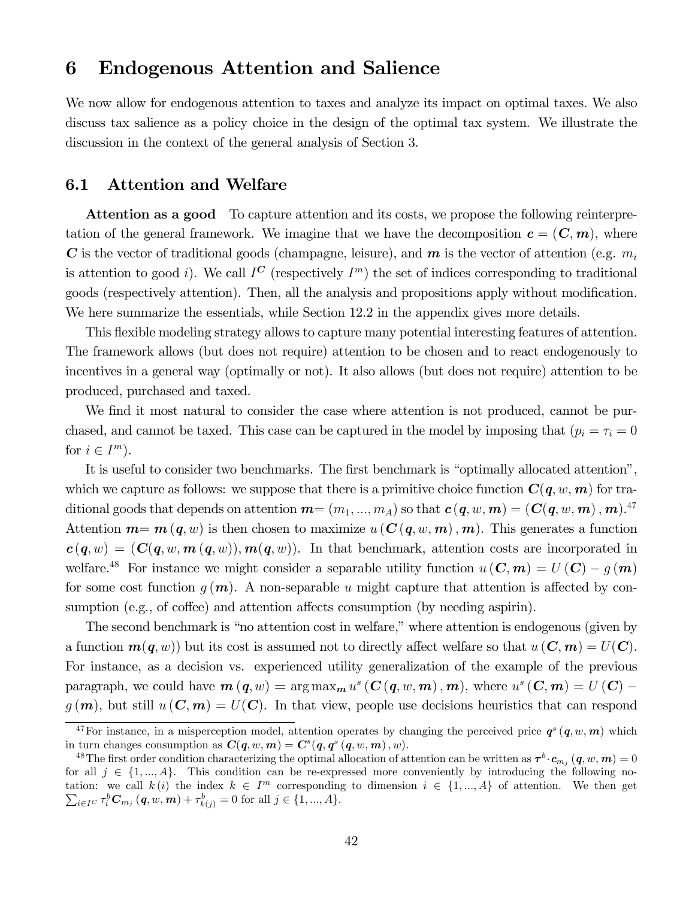## 6 Endogenous Attention and Salience

We now allow for endogenous attention to taxes and analyze its impact on optimal taxes. We also discuss tax salience as a policy choice in the design of the optimal tax system. We illustrate the discussion in the context of the general analysis of Section 3.

### 6.1 Attention and Welfare

Attention as a good To capture attention and its costs, we propose the following reinterpretation of the general framework. We imagine that we have the decomposition  $c = (\mathbf{C}, \mathbf{m})$ , where C is the vector of traditional goods (champagne, leisure), and  $m$  is the vector of attention (e.g.  $m_i$ is attention to good i). We call  $I^{\mathbb{C}}$  (respectively  $I^m$ ) the set of indices corresponding to traditional goods (respectively attention). Then, all the analysis and propositions apply without modification. We here summarize the essentials, while Section 12.2 in the appendix gives more details.

This flexible modeling strategy allows to capture many potential interesting features of attention. The framework allows (but does not require) attention to be chosen and to react endogenously to incentives in a general way (optimally or not). It also allows (but does not require) attention to be produced, purchased and taxed.

We find it most natural to consider the case where attention is not produced, cannot be purchased, and cannot be taxed. This case can be captured in the model by imposing that  $(p_i = \tau_i = 0)$ for  $i \in I^m$ ).

It is useful to consider two benchmarks. The first benchmark is "optimally allocated attention", which we capture as follows: we suppose that there is a primitive choice function  $C(q, w, m)$  for traditional goods that depends on attention  $\bm{m}{=}\ (m_1,...,m_A)$  so that  $\bm{c}\,(\bm{q},w,\bm{m})=(\bm{C}(\bm{q},w,\bm{m})\,,\bm{m})$ .<sup>47</sup> Attention  $m = m(q, w)$  is then chosen to maximize  $u(C(q, w, m), m)$ . This generates a function  $c(q, w) = (C(q, w, m(q, w)), m(q, w))$ . In that benchmark, attention costs are incorporated in welfare.<sup>48</sup> For instance we might consider a separable utility function  $u(\mathbf{C},\mathbf{m}) = U(\mathbf{C}) - q(\mathbf{m})$ for some cost function  $g(m)$ . A non-separable u might capture that attention is affected by consumption (e.g., of coffee) and attention affects consumption (by needing aspirin).

The second benchmark is "no attention cost in welfare," where attention is endogenous (given by a function  $m(q, w)$  but its cost is assumed not to directly affect welfare so that  $u(\mathbf{C}, \mathbf{m}) = U(\mathbf{C})$ . For instance, as a decision vs. experienced utility generalization of the example of the previous paragraph, we could have  $m(q, w) = \arg \max_{m} u^s(C(q, w, m), m)$ , where  $u^s(C, m) = U(C)$  $g(m)$ , but still  $u(\mathbf{C}, m) = U(\mathbf{C})$ . In that view, people use decisions heuristics that can respond

<sup>&</sup>lt;sup>47</sup>For instance, in a misperception model, attention operates by changing the perceived price  $q^s(q, w, m)$  which in turn changes consumption as  $C(q, w, m) = C<sup>s</sup>(q, q<sup>s</sup>(q, w, m), w)$ .

<sup>&</sup>lt;sup>48</sup>The first order condition characterizing the optimal allocation of attention can be written as  $\tau^b \cdot c_{m_i}$  (q, w, m) = 0 for all  $j \in \{1, ..., A\}$ . This condition can be re-expressed more conveniently by introducing the following notation: we call  $k(i)$  the index  $k \in I^m$  corresponding to dimension  $i \in \{1, ..., A\}$  of attention. We then get  $\sum_{i \in I^C} \tau_i^b C_{m_j} (q, w, m) + \tau_{k(j)}^b = 0$  for all  $j \in \{1, ..., A\}.$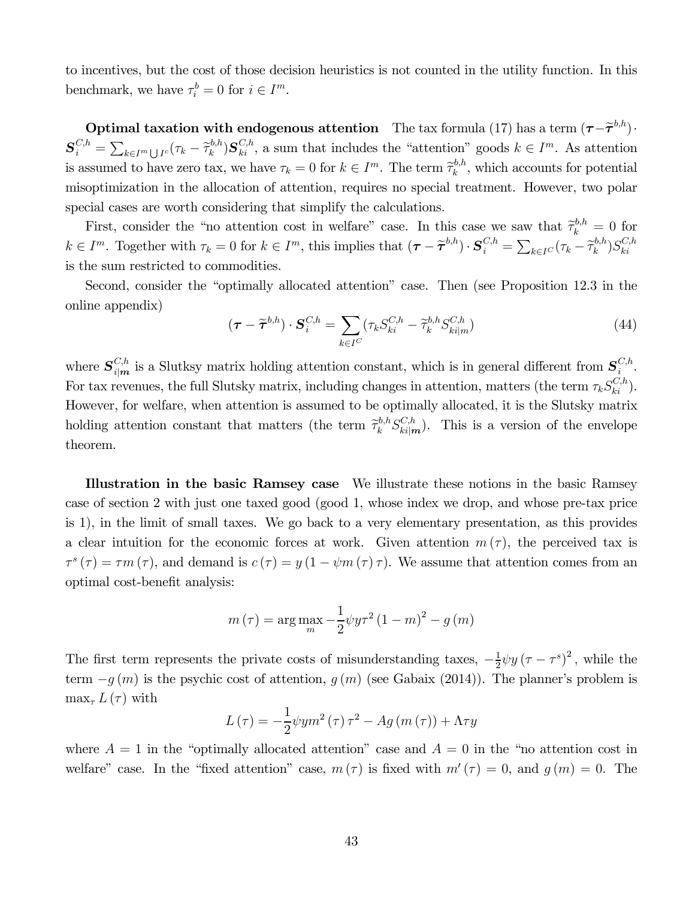to incentives, but the cost of those decision heuristics is not counted in the utility function. In this benchmark, we have  $\tau_i^b = 0$  for  $i \in I^m$ .

**Optimal taxation with endogenous attention** The tax formula (17) has a term  $(\tau-\tilde{\tau}^{b,h})$ ·  $\mathbf{S}_{i}^{C,h} = \sum_{k \in I^{m} \cup I^{c}} (\tau_{k} - \tilde{\tau}_{k}^{b,h}) \mathbf{S}_{ki}^{C,h}$ , a sum that includes the "attention" goods  $k \in I^{m}$ . As attention is assumed to have zero tax, we have  $\tau_k = 0$  for  $k \in I^m$ . The term  $\tilde{\tau}_k^{b,h}$ , which accounts for potential misoptimization in the allocation of attention, requires no special treatment. However, two polar special cases are worth considering that simplify the calculations.

First, consider the "no attention cost in welfare" case. In this case we saw that  $\tilde{\tau}_k^{b,h} = 0$  for  $k \in I^m$ . Together with  $\tau_k = 0$  for  $k \in I^m$ , this implies that  $(\tau - \tilde{\tau}^{b,h}) \cdot S_i^{C,h} = \sum_{k \in I^C} (\tau_k - \tilde{\tau}_k^{b,h}) S_{ki}^{C,h}$ is the sum restricted to commodities.

Second, consider the "optimally allocated attention" case. Then (see Proposition 12.3 in the online appendix)

$$
(\boldsymbol{\tau} - \widetilde{\boldsymbol{\tau}}^{b,h}) \cdot \boldsymbol{S}_i^{C,h} = \sum_{k \in I^C} (\tau_k S_{ki}^{C,h} - \widetilde{\tau}_k^{b,h} S_{ki|m}^{C,h})
$$
(44)

where  $S_{i|m}^{C,h}$  is a Slutksy matrix holding attention constant, which is in general different from  $S_i^{C,h}$ . For tax revenues, the full Slutsky matrix, including changes in attention, matters (the term  $\tau_k S_{ki}^{C,h}$ ). However, for welfare, when attention is assumed to be optimally allocated, it is the Slutsky matrix holding attention constant that matters (the term  $\tilde{\tau}_k^{b,h} S_{ki|m}^{C,h}$ ). This is a version of the envelope theorem.

Illustration in the basic Ramsey case We illustrate these notions in the basic Ramsey case of section 2 with just one taxed good (good 1, whose index we drop, and whose pre-tax price is 1), in the limit of small taxes. We go back to a very elementary presentation, as this provides a clear intuition for the economic forces at work. Given attention  $m(\tau)$ , the perceived tax is  $\tau^{s}(\tau) = \tau m(\tau)$ , and demand is  $c(\tau) = y(1 - \psi m(\tau) \tau)$ . We assume that attention comes from an optimal cost-benefit analysis:

$$
m(\tau) = \arg \max_{m} \frac{1}{2} \psi y \tau^2 (1 - m)^2 - g(m)
$$

The first term represents the private costs of misunderstanding taxes,  $-\frac{1}{2}\psi y (\tau - \tau^s)^2$ , while the term  $-g(m)$  is the psychic cost of attention,  $g(m)$  (see Gabaix (2014)). The planner's problem is  $\max_{\tau} L(\tau)$  with

$$
L(\tau) = -\frac{1}{2}\psi y m^{2}(\tau)\tau^{2} - Ag(m(\tau)) + \Lambda \tau y
$$

where  $A = 1$  in the "optimally allocated attention" case and  $A = 0$  in the "no attention cost in welfare" case. In the "fixed attention" case,  $m(\tau)$  is fixed with  $m'(\tau)=0$ , and  $q(m)=0$ . The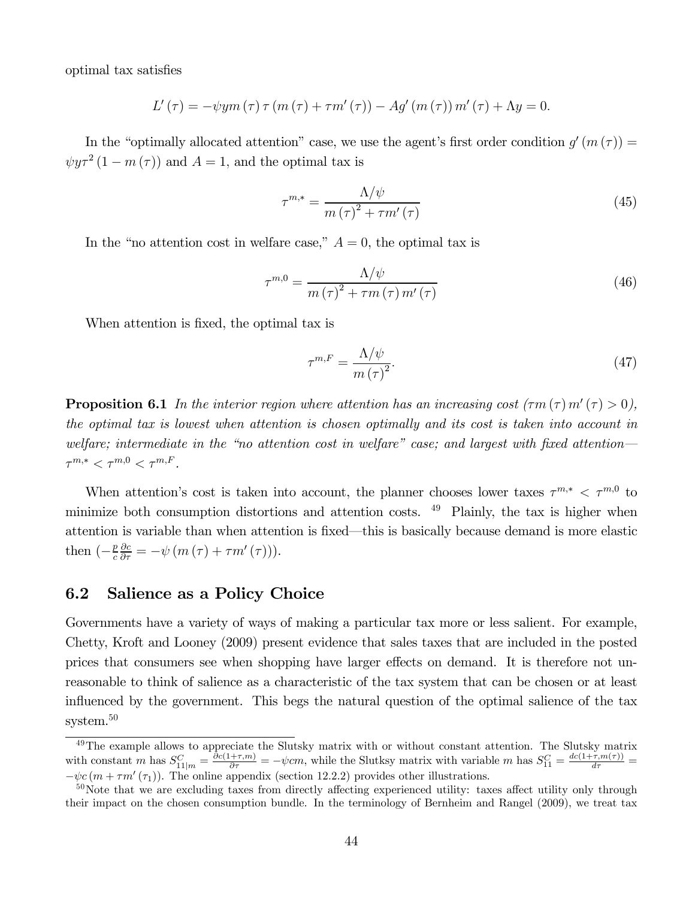optimal tax satisfies

$$
L'(\tau) = -\psi y m(\tau) \tau (m(\tau) + \tau m'(\tau)) - Ag' (m(\tau)) m'(\tau) + \Lambda y = 0.
$$

In the "optimally allocated attention" case, we use the agent's first order condition  $g'(m(\tau)) =$  $\psi y \tau^2 (1 - m(\tau))$  and  $A = 1$ , and the optimal tax is

$$
\tau^{m,*} = \frac{\Lambda/\psi}{m\left(\tau\right)^2 + \tau m'\left(\tau\right)}\tag{45}
$$

In the "no attention cost in welfare case,"  $A = 0$ , the optimal tax is

$$
\tau^{m,0} = \frac{\Lambda/\psi}{m\left(\tau\right)^2 + \tau m\left(\tau\right)m'\left(\tau\right)}
$$
\n(46)

When attention is fixed, the optimal tax is

$$
\tau^{m,F} = \frac{\Lambda/\psi}{m\left(\tau\right)^2}.\tag{47}
$$

**Proposition 6.1** In the interior region where attention has an increasing cost  $(\tau m (\tau) m'(\tau) > 0)$ , the optimal tax is lowest when attention is chosen optimally and its cost is taken into account in welfare; intermediate in the "no attention cost in welfare" case; and largest with fixed attention—  $\tau^{m,*} < \tau^{m,0} < \tau^{m,F}.$ 

When attention's cost is taken into account, the planner chooses lower taxes  $\tau^{m,*} < \tau^{m,0}$  to minimize both consumption distortions and attention costs.  $49$  Plainly, the tax is higher when attention is variable than when attention is fixed–this is basically because demand is more elastic then  $\left(-\frac{p}{c}\right)$  $\frac{\partial c}{\partial \tau} = -\psi \left( m\left( \tau \right) + \tau m'\left( \tau \right) \right).$ 

#### 6.2 Salience as a Policy Choice

Governments have a variety of ways of making a particular tax more or less salient. For example, Chetty, Kroft and Looney (2009) present evidence that sales taxes that are included in the posted prices that consumers see when shopping have larger effects on demand. It is therefore not unreasonable to think of salience as a characteristic of the tax system that can be chosen or at least influenced by the government. This begs the natural question of the optimal salience of the tax system.<sup>50</sup>

<sup>&</sup>lt;sup>49</sup>The example allows to appreciate the Slutsky matrix with or without constant attention. The Slutsky matrix with constant *m* has  $S_{11|m}^C = \frac{\partial c(1+\tau,m)}{\partial \tau} = -\psi cm$ , while the Slutksy matrix with variable *m* has  $S_{11}^C = \frac{dc(1+\tau,m(\tau))}{d\tau} =$  $-\psi c (m + \tau m'(\tau_1))$ . The online appendix (section 12.2.2) provides other illustrations.

<sup>&</sup>lt;sup>50</sup>Note that we are excluding taxes from directly affecting experienced utility: taxes affect utility only through their impact on the chosen consumption bundle. In the terminology of Bernheim and Rangel (2009), we treat tax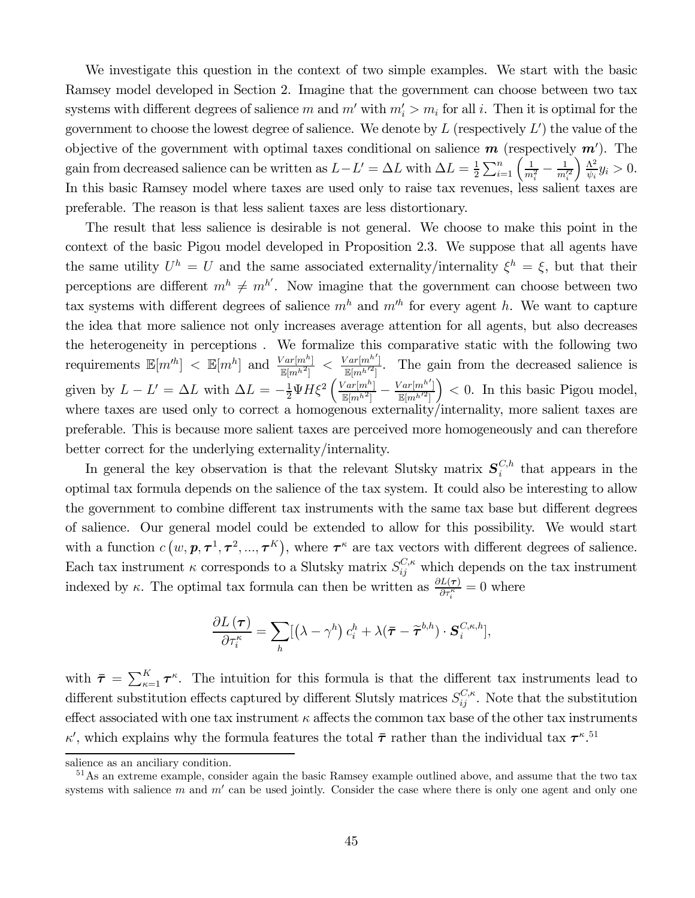We investigate this question in the context of two simple examples. We start with the basic Ramsey model developed in Section 2. Imagine that the government can choose between two tax systems with different degrees of salience m and  $m'$  with  $m'_i > m_i$  for all i. Then it is optimal for the government to choose the lowest degree of salience. We denote by  $L$  (respectively  $L'$ ) the value of the objective of the government with optimal taxes conditional on salience  $m$  (respectively  $m'$ ). The gain from decreased salience can be written as  $L - L' = \Delta L$  with  $\Delta L = \frac{1}{2} \sum_{i=1}^{n} \left( \frac{1}{m_i^2} - \frac{1}{m_i'^2} \right)$  $\frac{\Lambda^2}{}$  $\frac{\Lambda^2}{\psi_i} y_i > 0.$ In this basic Ramsey model where taxes are used only to raise tax revenues, less salient taxes are preferable. The reason is that less salient taxes are less distortionary.

The result that less salience is desirable is not general. We choose to make this point in the context of the basic Pigou model developed in Proposition 2.3. We suppose that all agents have the same utility  $U^h = U$  and the same associated externality/internality  $\xi^h = \xi$ , but that their perceptions are different  $m^h \neq m^{h'}$ . Now imagine that the government can choose between two tax systems with different degrees of salience  $m<sup>h</sup>$  and  $m<sup>h</sup>$  for every agent h. We want to capture the idea that more salience not only increases average attention for all agents, but also decreases the heterogeneity in perceptions . We formalize this comparative static with the following two requirements  $\mathbb{E}[m''] < \mathbb{E}[m^h]$  and  $\frac{Var[m^h]}{\mathbb{E}[m^h]^2}] < \frac{Var[m^h']}{\mathbb{E}[m^h]^2}$ . The gain from the decreased salience is given by  $L - L' = \Delta L$  with  $\Delta L = -\frac{1}{2} \Psi H \xi^2 \left( \frac{Var[m^h]}{\mathbb{E}[m^h]^2} - \frac{Var[m^h']}{\mathbb{E}[m^h]^2} \right)$  $\mathbb{E}[m^{h^{\prime 2}}]$  $\Big)$  < 0. In this basic Pigou model, where taxes are used only to correct a homogenous externality/internality, more salient taxes are preferable. This is because more salient taxes are perceived more homogeneously and can therefore better correct for the underlying externality/internality.

In general the key observation is that the relevant Slutsky matrix  $S_i^{C,h}$  that appears in the optimal tax formula depends on the salience of the tax system. It could also be interesting to allow the government to combine different tax instruments with the same tax base but different degrees of salience. Our general model could be extended to allow for this possibility. We would start with a function  $c(w, p, \tau^1, \tau^2, ..., \tau^K)$ , where  $\tau^{\kappa}$  are tax vectors with different degrees of salience. Each tax instrument  $\kappa$  corresponds to a Slutsky matrix  $S_{ij}^{C,\kappa}$  which depends on the tax instrument indexed by  $\kappa$ . The optimal tax formula can then be written as  $\frac{\partial L(\tau)}{\partial \tau_i^{\kappa}} = 0$  where

$$
\frac{\partial L(\boldsymbol{\tau})}{\partial \tau_i^{\kappa}} = \sum_h [(\lambda - \gamma^h) c_i^h + \lambda (\boldsymbol{\bar{\tau}} - \widetilde{\boldsymbol{\tau}}^{b,h}) \cdot \boldsymbol{S}_i^{C,\kappa,h}],
$$

with  $\bar{\tau} = \sum_{\kappa=1}^K \tau^{\kappa}$ . The intuition for this formula is that the different tax instruments lead to different substitution effects captured by different Slutsly matrices  $S_{ij}^{C,\kappa}$ . Note that the substitution effect associated with one tax instrument  $\kappa$  affects the common tax base of the other tax instruments  $\kappa'$ , which explains why the formula features the total  $\bar{\tau}$  rather than the individual tax  $\tau^{\kappa}$ .<sup>51</sup>

salience as an anciliary condition.

<sup>&</sup>lt;sup>51</sup>As an extreme example, consider again the basic Ramsey example outlined above, and assume that the two tax systems with salience  $m$  and  $m'$  can be used jointly. Consider the case where there is only one agent and only one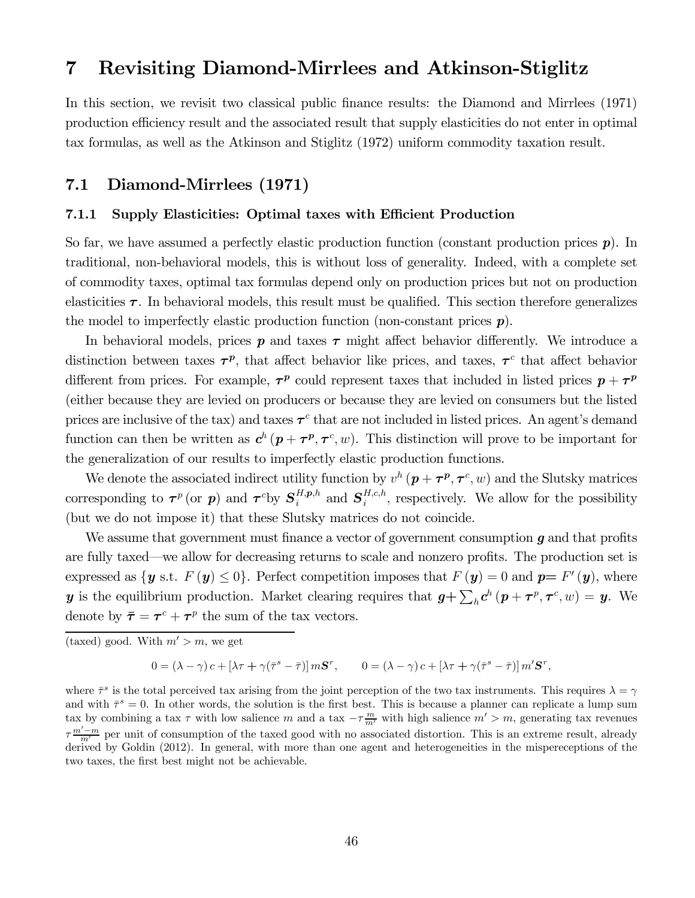## 7 Revisiting Diamond-Mirrlees and Atkinson-Stiglitz

In this section, we revisit two classical public finance results: the Diamond and Mirrlees (1971) production efficiency result and the associated result that supply elasticities do not enter in optimal tax formulas, as well as the Atkinson and Stiglitz (1972) uniform commodity taxation result.

### 7.1 Diamond-Mirrlees (1971)

#### 7.1.1 Supply Elasticities: Optimal taxes with Efficient Production

So far, we have assumed a perfectly elastic production function (constant production prices  $p$ ). In traditional, non-behavioral models, this is without loss of generality. Indeed, with a complete set of commodity taxes, optimal tax formulas depend only on production prices but not on production elasticities  $\tau$ . In behavioral models, this result must be qualified. This section therefore generalizes the model to imperfectly elastic production function (non-constant prices  $p$ ).

In behavioral models, prices  $p$  and taxes  $\tau$  might affect behavior differently. We introduce a distinction between taxes  $\tau^p$ , that affect behavior like prices, and taxes,  $\tau^c$  that affect behavior different from prices. For example,  $\tau^p$  could represent taxes that included in listed prices  $p + \tau^p$ (either because they are levied on producers or because they are levied on consumers but the listed prices are inclusive of the tax) and taxes  $\tau^c$  that are not included in listed prices. An agent's demand function can then be written as  $c^h(p+\tau^p, \tau^c, w)$ . This distinction will prove to be important for the generalization of our results to imperfectly elastic production functions.

We denote the associated indirect utility function by  $v^h(p+\tau^p, \tau^c, w)$  and the Slutsky matrices corresponding to  $\tau^p$  (or p) and  $\tau^c$ by  $S_i^{H,p,h}$  and  $S_i^{H,c,h}$ , respectively. We allow for the possibility (but we do not impose it) that these Slutsky matrices do not coincide.

We assume that government must finance a vector of government consumption  $q$  and that profits are fully taxed–we allow for decreasing returns to scale and nonzero profits. The production set is expressed as  $\{y \text{ s.t. } F(y) \leq 0\}$ . Perfect competition imposes that  $F(y)=0$  and  $p=F'(y)$ , where y is the equilibrium production. Market clearing requires that  $g + \sum_{h} c^{h} (p + \tau^{p}, \tau^{c}, w) = y$ . We denote by  $\bar{\tau} = \tau^c + \tau^p$  the sum of the tax vectors.

$$
0 = (\lambda - \gamma) c + [\lambda \tau + \gamma (\bar{\tau}^s - \bar{\tau})] m S^r, \qquad 0 = (\lambda - \gamma) c + [\lambda \tau + \gamma (\bar{\tau}^s - \bar{\tau})] m' S^r,
$$

where  $\bar{\tau}^s$  is the total perceived tax arising from the joint perception of the two tax instruments. This requires  $\lambda = \gamma$ and with  $\bar{\tau}^s = 0$ . In other words, the solution is the first best. This is because a planner can replicate a lump sum tax by combining a tax  $\tau$  with low salience  $m$  and a tax  $-\tau \frac{m}{m'}$  with high salience  $m' > m$ , generating tax revenues  $\tau \frac{m'-m}{m'}$  per unit of consumption of the taxed good with no associated distortion. This is an extreme result, already derived by Goldin (2012). In general, with more than one agent and heterogeneities in the mispereceptions of the two taxes, the first best might not be achievable.

<sup>(</sup>taxed) good. With  $m' > m$ , we get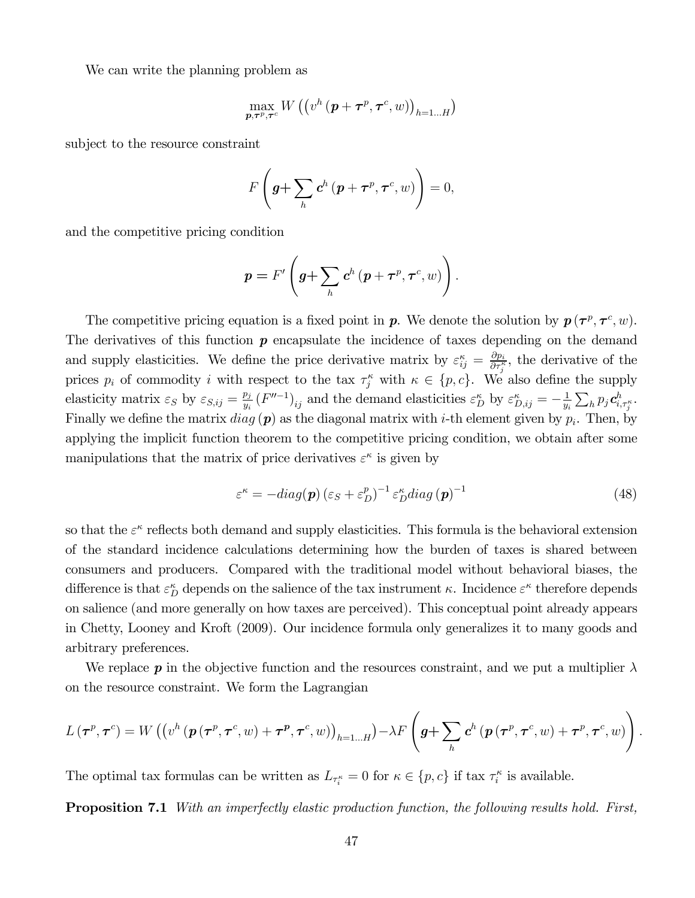We can write the planning problem as

$$
\max_{\boldsymbol{p},\boldsymbol{\tau}^p,\boldsymbol{\tau}^c}W\left(\left(v^h\left(\boldsymbol{p}+\boldsymbol{\tau}^p,\boldsymbol{\tau}^c,w\right)\right)_{h=1...H}\right)
$$

subject to the resource constraint

$$
F\left(\boldsymbol{g}+\sum_{h}\boldsymbol{c}^{h}\left(\boldsymbol{p}+\boldsymbol{\tau}^{p},\boldsymbol{\tau}^{c},w\right)\right)=0,
$$

and the competitive pricing condition

$$
p = F'\left(g + \sum_{h} c^{h} (p + \tau^{p}, \tau^{c}, w)\right).
$$

The competitive pricing equation is a fixed point in **p**. We denote the solution by  $p(\tau^p, \tau^c, w)$ . The derivatives of this function  $p$  encapsulate the incidence of taxes depending on the demand and supply elasticities. We define the price derivative matrix by  $\varepsilon_{ij}^{\kappa} = \frac{\partial p_i}{\partial \tau_j^{\kappa}}$ , the derivative of the prices  $p_i$  of commodity *i* with respect to the tax  $\tau_j^{\kappa}$  with  $\kappa \in \{p, c\}$ . We also define the supply elasticity matrix  $\varepsilon_S$  by  $\varepsilon_{S,ij} = \frac{p_j}{y_i} (F''^{-1})_{ij}$  and the demand elasticities  $\varepsilon_D^{\kappa}$  by  $\varepsilon_{D,ij}^{\kappa} = -\frac{1}{y_i} \sum_h p_j \mathbf{c}_{i,\tau_j^{\kappa}}^h$ . Finally we define the matrix  $diag(p)$  as the diagonal matrix with *i*-th element given by  $p_i$ . Then, by applying the implicit function theorem to the competitive pricing condition, we obtain after some manipulations that the matrix of price derivatives  $\varepsilon^{\kappa}$  is given by

$$
\varepsilon^{\kappa} = -diag(\boldsymbol{p}) \left(\varepsilon_{S} + \varepsilon_{D}^{p}\right)^{-1} \varepsilon_{D}^{\kappa} diag\left(\boldsymbol{p}\right)^{-1} \tag{48}
$$

so that the  $\varepsilon^{\kappa}$  reflects both demand and supply elasticities. This formula is the behavioral extension of the standard incidence calculations determining how the burden of taxes is shared between consumers and producers. Compared with the traditional model without behavioral biases, the difference is that  $\varepsilon_D^{\kappa}$  depends on the salience of the tax instrument  $\kappa$ . Incidence  $\varepsilon^{\kappa}$  therefore depends on salience (and more generally on how taxes are perceived). This conceptual point already appears in Chetty, Looney and Kroft (2009). Our incidence formula only generalizes it to many goods and arbitrary preferences.

We replace **p** in the objective function and the resources constraint, and we put a multiplier  $\lambda$ on the resource constraint. We form the Lagrangian

$$
L(\boldsymbol{\tau}^p, \boldsymbol{\tau}^c) = W\left(\left(v^h\left(\boldsymbol{p}\left(\boldsymbol{\tau}^p, \boldsymbol{\tau}^c, w\right) + \boldsymbol{\tau}^p, \boldsymbol{\tau}^c, w\right)\right)_{h=1...H}\right) - \lambda F\left(\boldsymbol{g} + \sum_h \boldsymbol{c}^h\left(\boldsymbol{p}\left(\boldsymbol{\tau}^p, \boldsymbol{\tau}^c, w\right) + \boldsymbol{\tau}^p, \boldsymbol{\tau}^c, w\right)\right).
$$

The optimal tax formulas can be written as  $L_{\tau_i^{\kappa}} = 0$  for  $\kappa \in \{p, c\}$  if tax  $\tau_i^{\kappa}$  is available.

**Proposition 7.1** With an imperfectly elastic production function, the following results hold. First,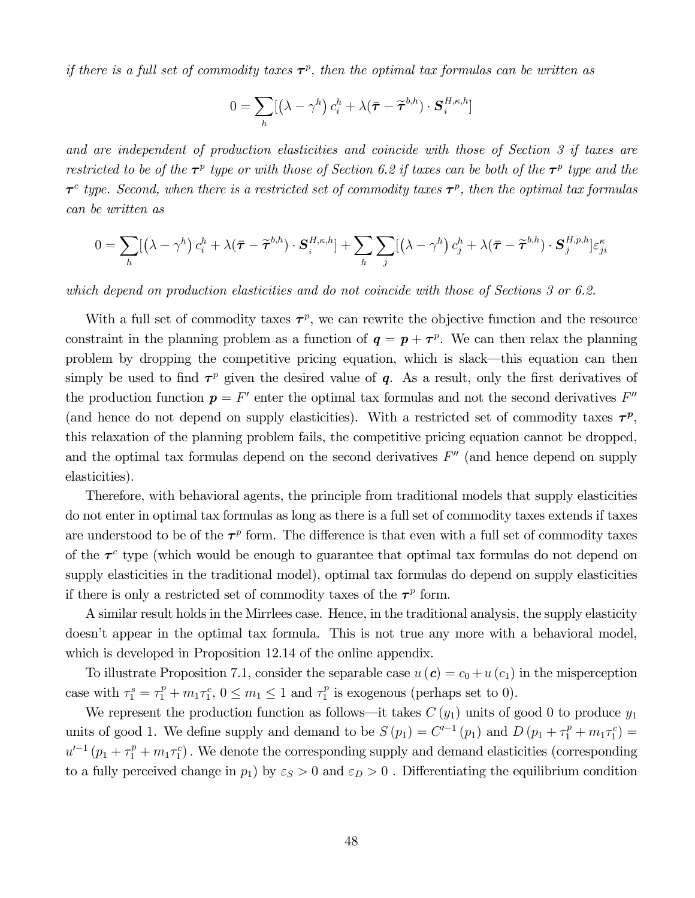if there is a full set of commodity taxes  $\tau^p$ , then the optimal tax formulas can be written as

$$
0 = \sum_{h} [(\lambda - \gamma^h) c_i^h + \lambda (\bar{\boldsymbol{\tau}} - \widetilde{\boldsymbol{\tau}}^{b,h}) \cdot \boldsymbol{S}_i^{H,\kappa,h}]
$$

and are independent of production elasticities and coincide with those of Section 3 if taxes are restricted to be of the  $\tau^p$  type or with those of Section 6.2 if taxes can be both of the  $\tau^p$  type and the  $\tau^c$  type. Second, when there is a restricted set of commodity taxes  $\tau^p$ , then the optimal tax formulas can be written as

$$
0 = \sum_{h} [(\lambda - \gamma^h) c_i^h + \lambda (\bar{\boldsymbol{\tau}} - \widetilde{\boldsymbol{\tau}}^{b,h}) \cdot \boldsymbol{S}_i^{H,\kappa,h}] + \sum_{h} \sum_{j} [(\lambda - \gamma^h) c_j^h + \lambda (\bar{\boldsymbol{\tau}} - \widetilde{\boldsymbol{\tau}}^{b,h}) \cdot \boldsymbol{S}_j^{H,p,h}] \varepsilon_{ji}^{\kappa}
$$

which depend on production elasticities and do not coincide with those of Sections 3 or 6.2.

With a full set of commodity taxes  $\tau^p$ , we can rewrite the objective function and the resource constraint in the planning problem as a function of  $q = p + \tau^p$ . We can then relax the planning problem by dropping the competitive pricing equation, which is slack–this equation can then simply be used to find  $\tau^p$  given the desired value of q. As a result, only the first derivatives of the production function  $p = F'$  enter the optimal tax formulas and not the second derivatives  $F''$ (and hence do not depend on supply elasticities). With a restricted set of commodity taxes  $\tau^p$ , this relaxation of the planning problem fails, the competitive pricing equation cannot be dropped, and the optimal tax formulas depend on the second derivatives  $F''$  (and hence depend on supply elasticities).

Therefore, with behavioral agents, the principle from traditional models that supply elasticities do not enter in optimal tax formulas as long as there is a full set of commodity taxes extends if taxes are understood to be of the  $\tau^p$  form. The difference is that even with a full set of commodity taxes of the  $\tau^c$  type (which would be enough to guarantee that optimal tax formulas do not depend on supply elasticities in the traditional model), optimal tax formulas do depend on supply elasticities if there is only a restricted set of commodity taxes of the  $\tau^p$  form.

A similar result holds in the Mirrlees case. Hence, in the traditional analysis, the supply elasticity doesn't appear in the optimal tax formula. This is not true any more with a behavioral model, which is developed in Proposition 12.14 of the online appendix.

To illustrate Proposition 7.1, consider the separable case  $u(c) = c_0 + u(c_1)$  in the misperception case with  $\tau_1^s = \tau_1^p + m_1 \tau_1^c$ ,  $0 \le m_1 \le 1$  and  $\tau_1^p$  is exogenous (perhaps set to 0).

We represent the production function as follows—it takes  $C(y_1)$  units of good 0 to produce  $y_1$ units of good 1. We define supply and demand to be  $S(p_1) = C'^{-1}(p_1)$  and  $D(p_1 + \tau_1^p + m_1 \tau_1^c) =$  $u'^{-1}(p_1 + \tau_1^p + m_1 \tau_1^c)$ . We denote the corresponding supply and demand elasticities (corresponding to a fully perceived change in  $p_1$  by  $\varepsilon_S > 0$  and  $\varepsilon_D > 0$ . Differentiating the equilibrium condition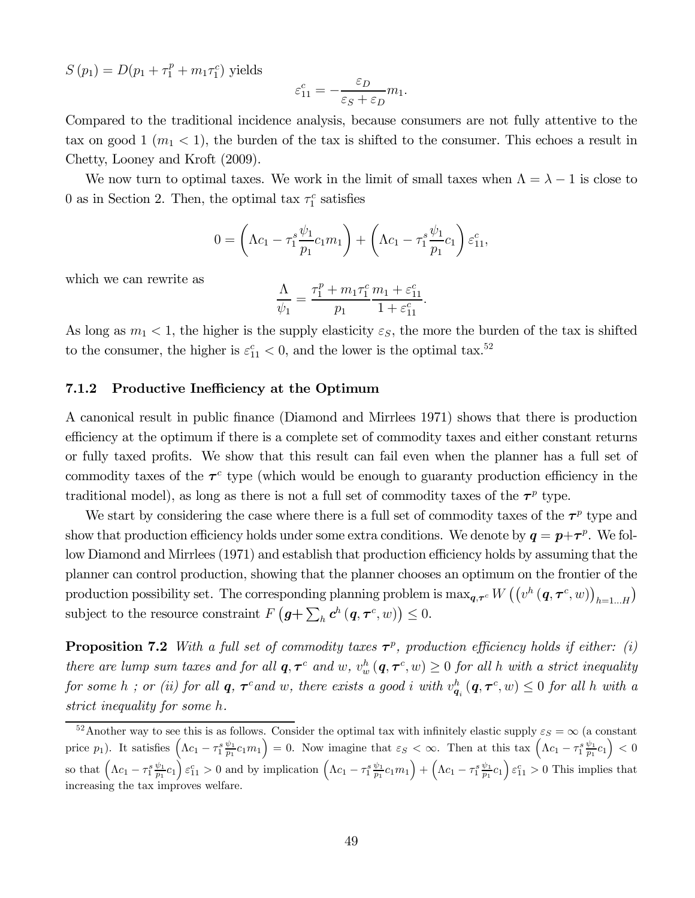$S(p_1) = D(p_1 + \tau_1^p + m_1 \tau_1^c)$  yields

$$
\varepsilon_{11}^c = -\frac{\varepsilon_D}{\varepsilon_S + \varepsilon_D} m_1.
$$

Compared to the traditional incidence analysis, because consumers are not fully attentive to the tax on good 1  $(m_1 < 1)$ , the burden of the tax is shifted to the consumer. This echoes a result in Chetty, Looney and Kroft (2009).

We now turn to optimal taxes. We work in the limit of small taxes when  $\Lambda = \lambda - 1$  is close to 0 as in Section 2. Then, the optimal tax  $\tau_1^c$  satisfies

$$
0 = \left(\Lambda c_1 - \tau_1^s \frac{\psi_1}{p_1} c_1 m_1\right) + \left(\Lambda c_1 - \tau_1^s \frac{\psi_1}{p_1} c_1\right) \varepsilon_{11}^c,
$$

which we can rewrite as

$$
\frac{\Lambda}{\psi_1}=\frac{\tau_1^p+m_1\tau_1^c}{p_1}\frac{m_1+\varepsilon_{11}^c}{1+\varepsilon_{11}^c}.
$$

As long as  $m_1 < 1$ , the higher is the supply elasticity  $\varepsilon_S$ , the more the burden of the tax is shifted to the consumer, the higher is  $\varepsilon_{11}^c < 0$ , and the lower is the optimal tax.<sup>52</sup>

#### 7.1.2 Productive Inefficiency at the Optimum

A canonical result in public finance (Diamond and Mirrlees 1971) shows that there is production efficiency at the optimum if there is a complete set of commodity taxes and either constant returns or fully taxed profits. We show that this result can fail even when the planner has a full set of commodity taxes of the  $\tau^c$  type (which would be enough to guaranty production efficiency in the traditional model), as long as there is not a full set of commodity taxes of the  $\tau^p$  type.

We start by considering the case where there is a full set of commodity taxes of the  $\tau^p$  type and show that production efficiency holds under some extra conditions. We denote by  $q = p + \tau^p$ . We follow Diamond and Mirrlees (1971) and establish that production efficiency holds by assuming that the planner can control production, showing that the planner chooses an optimum on the frontier of the production possibility set. The corresponding planning problem is  $\max_{\bm{q}, \bm{\tau}^c} W\left(\left(v^h\left(\bm{q}, \bm{\tau}^c, w\right)\right)_{h=1...H}\right)$ subject to the resource constraint  $F(g + \sum_h c^h (q, \tau^c, w)) \leq 0$ .

**Proposition 7.2** With a full set of commodity taxes  $\tau^p$ , production efficiency holds if either: (i) there are lump sum taxes and for all  $q, \tau^c$  and  $w$ ,  $v_w^h$   $(q, \tau^c, w) \ge 0$  for all h with a strict inequality for some h; or (ii) for all  $q$ ,  $\tau^c$  and  $w$ , there exists a good  $i$  with  $v^h_{q_i}(q, \tau^c, w) \leq 0$  for all h with a strict inequality for some  $h$ .

 $52$ Another way to see this is as follows. Consider the optimal tax with infinitely elastic supply  $\varepsilon_S = \infty$  (a constant price  $p_1$ ). It satisfies  $\left(\Lambda c_1 - \tau_1^s \frac{\psi_1}{p_1} c_1 m_1\right) = 0$ . Now imagine that  $\varepsilon_S < \infty$ . Then at this tax  $\left(\Lambda c_1 - \tau_1^s \frac{\psi_1}{p_1} c_1\right) < 0$ so that  $\left(\Lambda c_1 - \tau_1 \frac{\psi_1}{p_1} c_1\right) \varepsilon_{11}^c > 0$  and by implication  $\left(\Lambda c_1 - \tau_1 \frac{\psi_1}{p_1} c_1 m_1\right) + \left(\Lambda c_1 - \tau_1 \frac{\psi_1}{p_1} c_1\right) \varepsilon_{11}^c > 0$  This implies that increasing the tax improves welfare.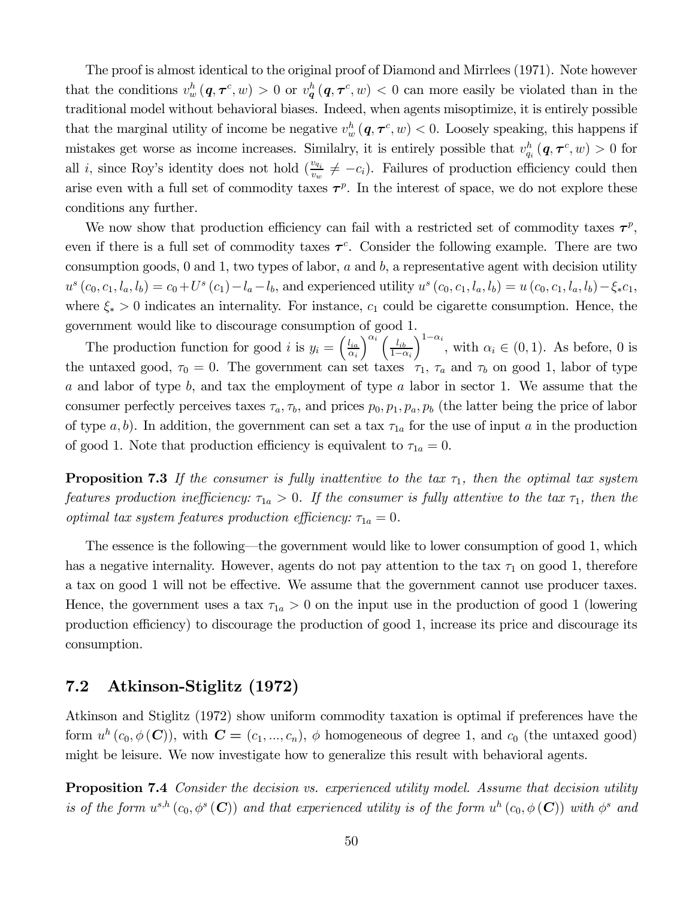The proof is almost identical to the original proof of Diamond and Mirrlees (1971). Note however that the conditions  $v_w^h(q, \tau^c, w) > 0$  or  $v_q^h(q, \tau^c, w) < 0$  can more easily be violated than in the traditional model without behavioral biases. Indeed, when agents misoptimize, it is entirely possible that the marginal utility of income be negative  $v_w^h(q, \tau^c, w) < 0$ . Loosely speaking, this happens if mistakes get worse as income increases. Similalry, it is entirely possible that  $v_{q_i}^h(q, \tau^c, w) > 0$  for all *i*, since Roy's identity does not hold  $\left(\frac{v_{q_i}}{v_w} \neq -c_i\right)$ . Failures of production efficiency could then arise even with a full set of commodity taxes  $\tau^p$ . In the interest of space, we do not explore these conditions any further.

We now show that production efficiency can fail with a restricted set of commodity taxes  $\tau^p$ , even if there is a full set of commodity taxes  $\tau^c$ . Consider the following example. There are two consumption goods,  $0$  and  $1$ , two types of labor,  $a$  and  $b$ , a representative agent with decision utility  $u^{s}(c_{0}, c_{1}, l_{a}, l_{b}) = c_{0}+U^{s}(c_{1})-l_{a}-l_{b}$ , and experienced utility  $u^{s}(c_{0}, c_{1}, l_{a}, l_{b}) = u(c_{0}, c_{1}, l_{a}, l_{b}) - \xi_{*}c_{1}$ where  $\xi_* > 0$  indicates an internality. For instance,  $c_1$  could be cigarette consumption. Hence, the government would like to discourage consumption of good 1.

The production function for good *i* is  $y_i = \begin{pmatrix} \frac{l_{ia}}{l_{ia}} & \cdots & \frac{l_{ia}}{l_{ia}} \\ 0 & \cdots & 0 \end{pmatrix}$  $\alpha_i$  $\int^{\alpha_i} \int_{-l_{ib}}$  $1-\alpha_i$  $\int_{1-\alpha_i}^{1-\alpha_i}$ , with  $\alpha_i \in (0,1)$ . As before, 0 is the untaxed good,  $\tau_0 = 0$ . The government can set taxes  $\tau_1$ ,  $\tau_a$  and  $\tau_b$  on good 1, labor of type  $a$  and labor of type  $b$ , and tax the employment of type  $a$  labor in sector 1. We assume that the consumer perfectly perceives taxes  $\tau_a, \tau_b$ , and prices  $p_0, p_1, p_a, p_b$  (the latter being the price of labor of type  $a, b$ ). In addition, the government can set a tax  $\tau_{1a}$  for the use of input  $a$  in the production of good 1. Note that production efficiency is equivalent to  $\tau_{1a} = 0$ .

**Proposition 7.3** If the consumer is fully inattentive to the tax  $\tau_1$ , then the optimal tax system features production inefficiency:  $\tau_{1a} > 0$ . If the consumer is fully attentive to the tax  $\tau_1$ , then the optimal tax system features production efficiency:  $\tau_{1a} = 0$ .

The essence is the following–the government would like to lower consumption of good 1, which has a negative internality. However, agents do not pay attention to the tax  $\tau_1$  on good 1, therefore a tax on good 1 will not be effective. We assume that the government cannot use producer taxes. Hence, the government uses a tax  $\tau_{1a} > 0$  on the input use in the production of good 1 (lowering production efficiency) to discourage the production of good 1, increase its price and discourage its consumption.

### 7.2 Atkinson-Stiglitz (1972)

Atkinson and Stiglitz (1972) show uniform commodity taxation is optimal if preferences have the form  $u^h(c_0, \phi(\mathbf{C}))$ , with  $\mathbf{C} = (c_1, ..., c_n)$ ,  $\phi$  homogeneous of degree 1, and  $c_0$  (the untaxed good) might be leisure. We now investigate how to generalize this result with behavioral agents.

**Proposition 7.4** Consider the decision vs. experienced utility model. Assume that decision utility is of the form  $u^{s,h}(c_0, \phi^s(\mathbf{C}))$  and that experienced utility is of the form  $u^h(c_0, \phi(\mathbf{C}))$  with  $\phi^s$  and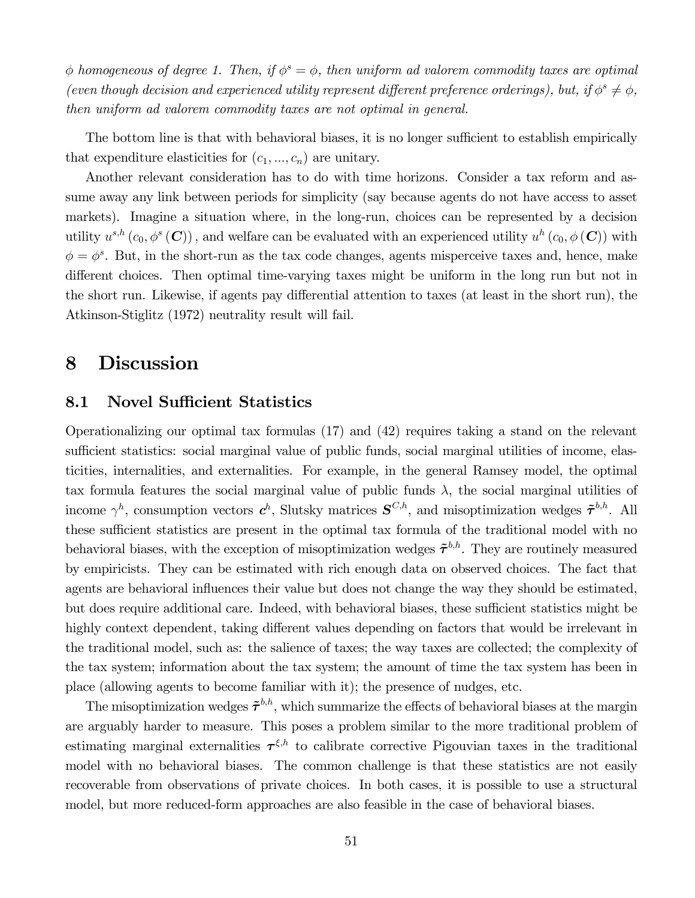$\phi$  homogeneous of degree 1. Then, if  $\phi^s = \phi$ , then uniform ad valorem commodity taxes are optimal (even though decision and experienced utility represent different preference orderings), but, if  $\phi^s \neq \phi$ , then uniform ad valorem commodity taxes are not optimal in general.

The bottom line is that with behavioral biases, it is no longer sufficient to establish empirically that expenditure elasticities for  $(c_1, ..., c_n)$  are unitary.

Another relevant consideration has to do with time horizons. Consider a tax reform and assume away any link between periods for simplicity (say because agents do not have access to asset markets). Imagine a situation where, in the long-run, choices can be represented by a decision utility  $u^{s,h}(c_0, \phi^s(\mathbf{C}))$ , and welfare can be evaluated with an experienced utility  $u^h(c_0, \phi(\mathbf{C}))$  with  $\phi = \phi^s$ . But, in the short-run as the tax code changes, agents misperceive taxes and, hence, make different choices. Then optimal time-varying taxes might be uniform in the long run but not in the short run. Likewise, if agents pay differential attention to taxes (at least in the short run), the Atkinson-Stiglitz (1972) neutrality result will fail.

## 8 Discussion

### 8.1 Novel Sufficient Statistics

Operationalizing our optimal tax formulas (17) and (42) requires taking a stand on the relevant sufficient statistics: social marginal value of public funds, social marginal utilities of income, elasticities, internalities, and externalities. For example, in the general Ramsey model, the optimal tax formula features the social marginal value of public funds  $\lambda$ , the social marginal utilities of income  $\gamma^h$ , consumption vectors  $c^h$ , Slutsky matrices  $S^{C,h}$ , and misoptimization wedges  $\tilde{\tau}^{b,h}$ . All these sufficient statistics are present in the optimal tax formula of the traditional model with no behavioral biases, with the exception of misoptimization wedges  $\tilde{\tau}^{b,h}$ . They are routinely measured by empiricists. They can be estimated with rich enough data on observed choices. The fact that agents are behavioral influences their value but does not change the way they should be estimated, but does require additional care. Indeed, with behavioral biases, these sufficient statistics might be highly context dependent, taking different values depending on factors that would be irrelevant in the traditional model, such as: the salience of taxes; the way taxes are collected; the complexity of the tax system; information about the tax system; the amount of time the tax system has been in place (allowing agents to become familiar with it); the presence of nudges, etc.

The misoptimization wedges  $\tilde{\tau}^{b,h}$ , which summarize the effects of behavioral biases at the margin are arguably harder to measure. This poses a problem similar to the more traditional problem of estimating marginal externalities  $\tau^{\xi,h}$  to calibrate corrective Pigouvian taxes in the traditional model with no behavioral biases. The common challenge is that these statistics are not easily recoverable from observations of private choices. In both cases, it is possible to use a structural model, but more reduced-form approaches are also feasible in the case of behavioral biases.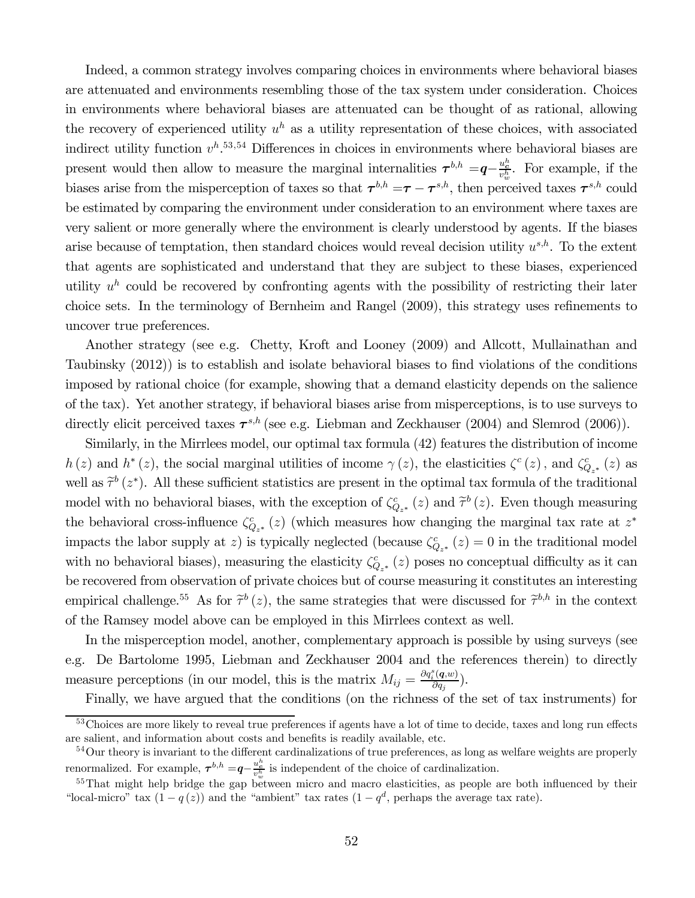Indeed, a common strategy involves comparing choices in environments where behavioral biases are attenuated and environments resembling those of the tax system under consideration. Choices in environments where behavioral biases are attenuated can be thought of as rational, allowing the recovery of experienced utility  $u^h$  as a utility representation of these choices, with associated indirect utility function  $v^h$ .<sup>53,54</sup> Differences in choices in environments where behavioral biases are present would then allow to measure the marginal internalities  $\tau^{b,h} = q - \frac{u_c^b}{v_w^b}$ . For example, if the biases arise from the misperception of taxes so that  $\tau^{b,h} = \tau - \tau^{s,h}$ , then perceived taxes  $\tau^{s,h}$  could be estimated by comparing the environment under consideration to an environment where taxes are very salient or more generally where the environment is clearly understood by agents. If the biases arise because of temptation, then standard choices would reveal decision utility  $u^{s,h}$ . To the extent that agents are sophisticated and understand that they are subject to these biases, experienced utility  $u^h$  could be recovered by confronting agents with the possibility of restricting their later choice sets. In the terminology of Bernheim and Rangel (2009), this strategy uses refinements to uncover true preferences.

Another strategy (see e.g. Chetty, Kroft and Looney (2009) and Allcott, Mullainathan and Taubinsky (2012)) is to establish and isolate behavioral biases to find violations of the conditions imposed by rational choice (for example, showing that a demand elasticity depends on the salience of the tax). Yet another strategy, if behavioral biases arise from misperceptions, is to use surveys to directly elicit perceived taxes  $\tau^{s,h}$  (see e.g. Liebman and Zeckhauser (2004) and Slemrod (2006)).

Similarly, in the Mirrlees model, our optimal tax formula (42) features the distribution of income  $h(z)$  and  $h^*(z)$ , the social marginal utilities of income  $\gamma(z)$ , the elasticities  $\zeta^c(z)$ , and  $\zeta^c_{Q_{z^*}}(z)$  as well as  $\tilde{\tau}^b(z^*)$ . All these sufficient statistics are present in the optimal tax formula of the traditional model with no behavioral biases, with the exception of  $\zeta_{Q_{z^*}}^c(z)$  and  $\tilde{\tau}^b(z)$ . Even though measuring the behavioral cross-influence  $\zeta_{Q_{z^*}}^c(z)$  (which measures how changing the marginal tax rate at  $z^*$ impacts the labor supply at z) is typically neglected (because  $\zeta_{Q_{z^*}}^c(z) = 0$  in the traditional model with no behavioral biases), measuring the elasticity  $\zeta_{Q_{z^*}}^c(z)$  poses no conceptual difficulty as it can be recovered from observation of private choices but of course measuring it constitutes an interesting empirical challenge.<sup>55</sup> As for  $\tilde{\tau}^b(z)$ , the same strategies that were discussed for  $\tilde{\tau}^{b,h}$  in the context of the Ramsey model above can be employed in this Mirrlees context as well.

In the misperception model, another, complementary approach is possible by using surveys (see e.g. De Bartolome 1995, Liebman and Zeckhauser 2004 and the references therein) to directly measure perceptions (in our model, this is the matrix  $M_{ij} = \frac{\partial q_i^s(q,w)}{\partial q_j}$ ).

Finally, we have argued that the conditions (on the richness of the set of tax instruments) for

<sup>&</sup>lt;sup>53</sup>Choices are more likely to reveal true preferences if agents have a lot of time to decide, taxes and long run effects are salient, and information about costs and benefits is readily available, etc.

<sup>54</sup>Our theory is invariant to the different cardinalizations of true preferences, as long as welfare weights are properly renormalized. For example,  $\tau^{b,h} = q - \frac{u_c^b}{v_w^b}$  is independent of the choice of cardinalization.

 $55$ That might help bridge the gap between micro and macro elasticities, as people are both influenced by their "local-micro" tax  $(1 - q(z))$  and the "ambient" tax rates  $(1 - q^d)$ , perhaps the average tax rate).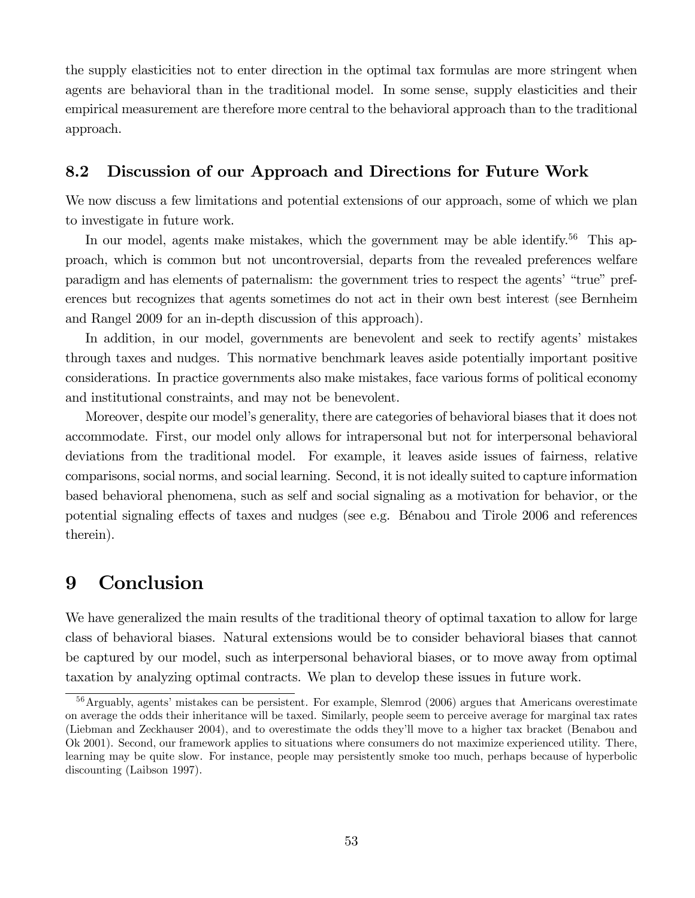the supply elasticities not to enter direction in the optimal tax formulas are more stringent when agents are behavioral than in the traditional model. In some sense, supply elasticities and their empirical measurement are therefore more central to the behavioral approach than to the traditional approach.

### 8.2 Discussion of our Approach and Directions for Future Work

We now discuss a few limitations and potential extensions of our approach, some of which we plan to investigate in future work.

In our model, agents make mistakes, which the government may be able identify.<sup>56</sup> This approach, which is common but not uncontroversial, departs from the revealed preferences welfare paradigm and has elements of paternalism: the government tries to respect the agents' "true" preferences but recognizes that agents sometimes do not act in their own best interest (see Bernheim and Rangel 2009 for an in-depth discussion of this approach).

In addition, in our model, governments are benevolent and seek to rectify agents' mistakes through taxes and nudges. This normative benchmark leaves aside potentially important positive considerations. In practice governments also make mistakes, face various forms of political economy and institutional constraints, and may not be benevolent.

Moreover, despite our model's generality, there are categories of behavioral biases that it does not accommodate. First, our model only allows for intrapersonal but not for interpersonal behavioral deviations from the traditional model. For example, it leaves aside issues of fairness, relative comparisons, social norms, and social learning. Second, it is not ideally suited to capture information based behavioral phenomena, such as self and social signaling as a motivation for behavior, or the potential signaling effects of taxes and nudges (see e.g. Bénabou and Tirole 2006 and references therein).

## 9 Conclusion

We have generalized the main results of the traditional theory of optimal taxation to allow for large class of behavioral biases. Natural extensions would be to consider behavioral biases that cannot be captured by our model, such as interpersonal behavioral biases, or to move away from optimal taxation by analyzing optimal contracts. We plan to develop these issues in future work.

<sup>56</sup>Arguably, agents' mistakes can be persistent. For example, Slemrod (2006) argues that Americans overestimate on average the odds their inheritance will be taxed. Similarly, people seem to perceive average for marginal tax rates (Liebman and Zeckhauser 2004), and to overestimate the odds they'll move to a higher tax bracket (Benabou and Ok 2001). Second, our framework applies to situations where consumers do not maximize experienced utility. There, learning may be quite slow. For instance, people may persistently smoke too much, perhaps because of hyperbolic discounting (Laibson 1997).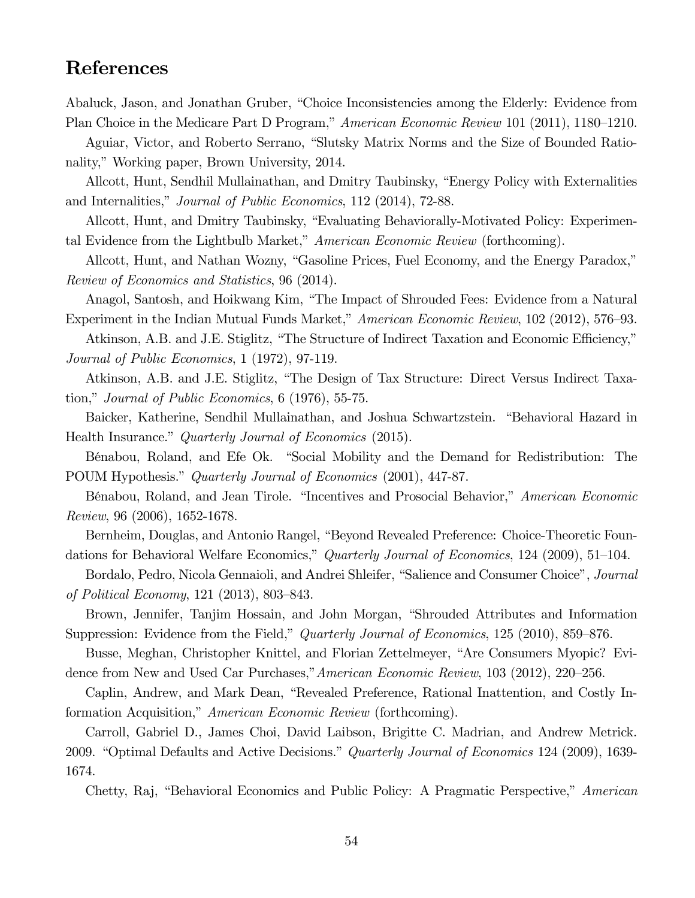## References

Abaluck, Jason, and Jonathan Gruber, "Choice Inconsistencies among the Elderly: Evidence from Plan Choice in the Medicare Part D Program," American Economic Review 101 (2011), 1180—1210.

Aguiar, Victor, and Roberto Serrano, "Slutsky Matrix Norms and the Size of Bounded Rationality," Working paper, Brown University, 2014.

Allcott, Hunt, Sendhil Mullainathan, and Dmitry Taubinsky, "Energy Policy with Externalities and Internalities," Journal of Public Economics, 112 (2014), 72-88.

Allcott, Hunt, and Dmitry Taubinsky, "Evaluating Behaviorally-Motivated Policy: Experimental Evidence from the Lightbulb Market," American Economic Review (forthcoming).

Allcott, Hunt, and Nathan Wozny, "Gasoline Prices, Fuel Economy, and the Energy Paradox," Review of Economics and Statistics, 96 (2014).

Anagol, Santosh, and Hoikwang Kim, "The Impact of Shrouded Fees: Evidence from a Natural Experiment in the Indian Mutual Funds Market," American Economic Review, 102 (2012), 576—93.

Atkinson, A.B. and J.E. Stiglitz, "The Structure of Indirect Taxation and Economic Efficiency," Journal of Public Economics, 1 (1972), 97-119.

Atkinson, A.B. and J.E. Stiglitz, "The Design of Tax Structure: Direct Versus Indirect Taxation," Journal of Public Economics, 6 (1976), 55-75.

Baicker, Katherine, Sendhil Mullainathan, and Joshua Schwartzstein. "Behavioral Hazard in Health Insurance." Quarterly Journal of Economics (2015).

Bénabou, Roland, and Efe Ok. "Social Mobility and the Demand for Redistribution: The POUM Hypothesis." Quarterly Journal of Economics (2001), 447-87.

Bénabou, Roland, and Jean Tirole. "Incentives and Prosocial Behavior," American Economic Review, 96 (2006), 1652-1678.

Bernheim, Douglas, and Antonio Rangel, "Beyond Revealed Preference: Choice-Theoretic Foundations for Behavioral Welfare Economics," Quarterly Journal of Economics, 124 (2009), 51–104.

Bordalo, Pedro, Nicola Gennaioli, and Andrei Shleifer, "Salience and Consumer Choice", Journal of Political Economy, 121 (2013), 803—843.

Brown, Jennifer, Tanjim Hossain, and John Morgan, "Shrouded Attributes and Information Suppression: Evidence from the Field," *Quarterly Journal of Economics*, 125 (2010), 859–876.

Busse, Meghan, Christopher Knittel, and Florian Zettelmeyer, "Are Consumers Myopic? Evidence from New and Used Car Purchases,"American Economic Review, 103 (2012), 220—256.

Caplin, Andrew, and Mark Dean, "Revealed Preference, Rational Inattention, and Costly Information Acquisition," American Economic Review (forthcoming).

Carroll, Gabriel D., James Choi, David Laibson, Brigitte C. Madrian, and Andrew Metrick. 2009. "Optimal Defaults and Active Decisions." Quarterly Journal of Economics 124 (2009), 1639- 1674.

Chetty, Raj, "Behavioral Economics and Public Policy: A Pragmatic Perspective," American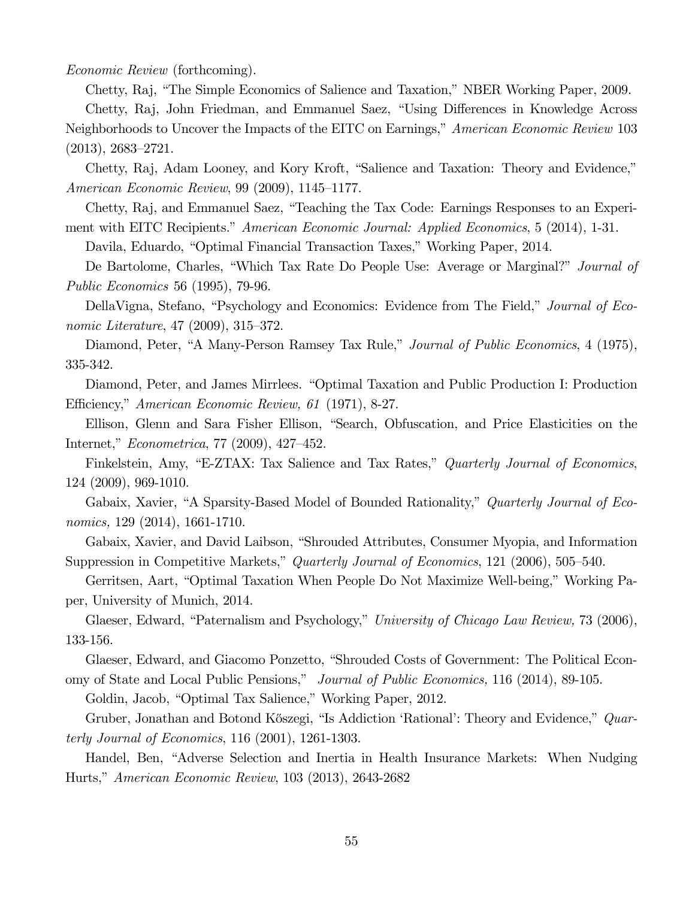Economic Review (forthcoming).

Chetty, Raj, "The Simple Economics of Salience and Taxation," NBER Working Paper, 2009.

Chetty, Raj, John Friedman, and Emmanuel Saez, "Using Differences in Knowledge Across Neighborhoods to Uncover the Impacts of the EITC on Earnings," American Economic Review 103 (2013), 2683—2721.

Chetty, Raj, Adam Looney, and Kory Kroft, "Salience and Taxation: Theory and Evidence," American Economic Review, 99 (2009), 1145—1177.

Chetty, Raj, and Emmanuel Saez, "Teaching the Tax Code: Earnings Responses to an Experiment with EITC Recipients." American Economic Journal: Applied Economics, 5 (2014), 1-31.

Davila, Eduardo, "Optimal Financial Transaction Taxes," Working Paper, 2014.

De Bartolome, Charles, "Which Tax Rate Do People Use: Average or Marginal?" *Journal of* Public Economics 56 (1995), 79-96.

DellaVigna, Stefano, "Psychology and Economics: Evidence from The Field," Journal of Economic Literature, 47 (2009), 315—372.

Diamond, Peter, "A Many-Person Ramsey Tax Rule," Journal of Public Economics, 4 (1975), 335-342.

Diamond, Peter, and James Mirrlees. "Optimal Taxation and Public Production I: Production Efficiency," American Economic Review, 61 (1971), 8-27.

Ellison, Glenn and Sara Fisher Ellison, "Search, Obfuscation, and Price Elasticities on the Internet," Econometrica, 77 (2009), 427—452.

Finkelstein, Amy, "E-ZTAX: Tax Salience and Tax Rates," Quarterly Journal of Economics, 124 (2009), 969-1010.

Gabaix, Xavier, "A Sparsity-Based Model of Bounded Rationality," Quarterly Journal of Economics, 129 (2014), 1661-1710.

Gabaix, Xavier, and David Laibson, "Shrouded Attributes, Consumer Myopia, and Information Suppression in Competitive Markets," Quarterly Journal of Economics, 121 (2006), 505-540.

Gerritsen, Aart, "Optimal Taxation When People Do Not Maximize Well-being," Working Paper, University of Munich, 2014.

Glaeser, Edward, "Paternalism and Psychology," University of Chicago Law Review, 73 (2006), 133-156.

Glaeser, Edward, and Giacomo Ponzetto, "Shrouded Costs of Government: The Political Economy of State and Local Public Pensions," Journal of Public Economics, 116 (2014), 89-105.

Goldin, Jacob, "Optimal Tax Salience," Working Paper, 2012.

Gruber, Jonathan and Botond Kőszegi, "Is Addiction 'Rational': Theory and Evidence," Quarterly Journal of Economics, 116 (2001), 1261-1303.

Handel, Ben, "Adverse Selection and Inertia in Health Insurance Markets: When Nudging Hurts," American Economic Review, 103 (2013), 2643-2682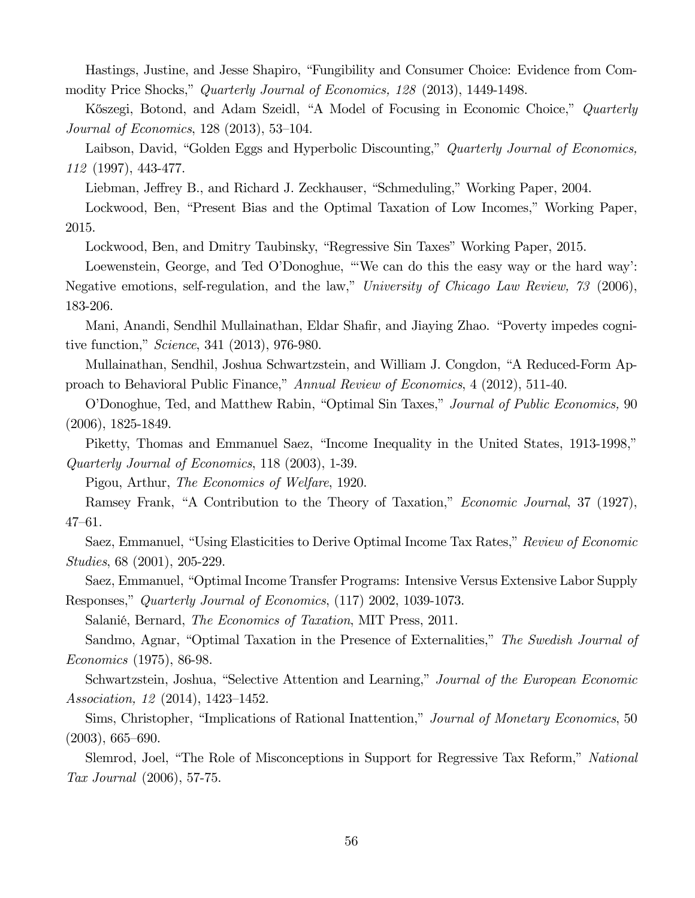Hastings, Justine, and Jesse Shapiro, "Fungibility and Consumer Choice: Evidence from Commodity Price Shocks," Quarterly Journal of Economics, 128 (2013), 1449-1498.

Kőszegi, Botond, and Adam Szeidl, "A Model of Focusing in Economic Choice," Quarterly Journal of Economics, 128 (2013), 53—104.

Laibson, David, "Golden Eggs and Hyperbolic Discounting," Quarterly Journal of Economics, 112 (1997), 443-477.

Liebman, Jeffrey B., and Richard J. Zeckhauser, "Schmeduling," Working Paper, 2004.

Lockwood, Ben, "Present Bias and the Optimal Taxation of Low Incomes," Working Paper, 2015.

Lockwood, Ben, and Dmitry Taubinsky, "Regressive Sin Taxes" Working Paper, 2015.

Loewenstein, George, and Ted O'Donoghue, "'We can do this the easy way or the hard way': Negative emotions, self-regulation, and the law," University of Chicago Law Review, 73 (2006), 183-206.

Mani, Anandi, Sendhil Mullainathan, Eldar Shafir, and Jiaying Zhao. "Poverty impedes cognitive function," Science, 341 (2013), 976-980.

Mullainathan, Sendhil, Joshua Schwartzstein, and William J. Congdon, "A Reduced-Form Approach to Behavioral Public Finance," Annual Review of Economics, 4 (2012), 511-40.

O'Donoghue, Ted, and Matthew Rabin, "Optimal Sin Taxes," Journal of Public Economics, 90 (2006), 1825-1849.

Piketty, Thomas and Emmanuel Saez, "Income Inequality in the United States, 1913-1998," Quarterly Journal of Economics, 118 (2003), 1-39.

Pigou, Arthur, The Economics of Welfare, 1920.

Ramsey Frank, "A Contribution to the Theory of Taxation," Economic Journal, 37 (1927), 47—61.

Saez, Emmanuel, "Using Elasticities to Derive Optimal Income Tax Rates," Review of Economic Studies, 68 (2001), 205-229.

Saez, Emmanuel, "Optimal Income Transfer Programs: Intensive Versus Extensive Labor Supply Responses," Quarterly Journal of Economics, (117) 2002, 1039-1073.

Salanié, Bernard, The Economics of Taxation, MIT Press, 2011.

Sandmo, Agnar, "Optimal Taxation in the Presence of Externalities," The Swedish Journal of Economics (1975), 86-98.

Schwartzstein, Joshua, "Selective Attention and Learning," Journal of the European Economic Association, 12 (2014), 1423—1452.

Sims, Christopher, "Implications of Rational Inattention," Journal of Monetary Economics, 50 (2003), 665—690.

Slemrod, Joel, "The Role of Misconceptions in Support for Regressive Tax Reform," National Tax Journal (2006), 57-75.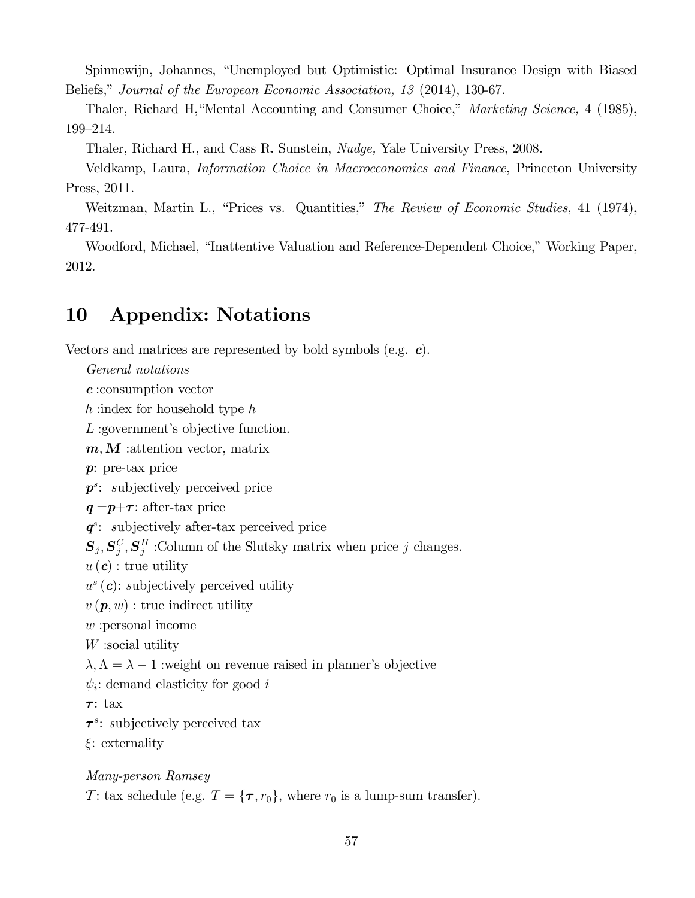Spinnewijn, Johannes, "Unemployed but Optimistic: Optimal Insurance Design with Biased Beliefs," Journal of the European Economic Association, 13 (2014), 130-67.

Thaler, Richard H, "Mental Accounting and Consumer Choice," *Marketing Science*, 4 (1985), 199—214.

Thaler, Richard H., and Cass R. Sunstein, Nudge, Yale University Press, 2008.

Veldkamp, Laura, Information Choice in Macroeconomics and Finance, Princeton University Press, 2011.

Weitzman, Martin L., "Prices vs. Quantities," The Review of Economic Studies, 41 (1974), 477-491.

Woodford, Michael, "Inattentive Valuation and Reference-Dependent Choice," Working Paper, 2012.

## 10 Appendix: Notations

Vectors and matrices are represented by bold symbols (e.g. c).

General notations

c :consumption vector

 $h:$ index for household type  $h$ 

L: government's objective function.

 $m, M$  : attention vector, matrix

p: pre-tax price

 $p^s$ : subjectively perceived price

 $q = p + \tau$ : after-tax price

 $q^s$ : subjectively after-tax perceived price

 $\mathbf{S}_j$ ,  $\mathbf{S}_j^C$ ,  $\mathbf{S}_j^H$  : Column of the Slutsky matrix when price j changes.

 $u(\boldsymbol{c})$ : true utility

 $u^s(c)$ : subjectively perceived utility

 $v(\boldsymbol{p}, w)$ : true indirect utility

:personal income

 $W$ :social utility

 $\lambda, \Lambda = \lambda - 1$  : weight on revenue raised in planner's objective

 $\psi_i$ : demand elasticity for good i

τ: tax

 $\tau^s$ : subjectively perceived tax

 $\xi$ : externality

Many-person Ramsey

T: tax schedule (e.g.  $T = {\tau, r_0}$ , where  $r_0$  is a lump-sum transfer).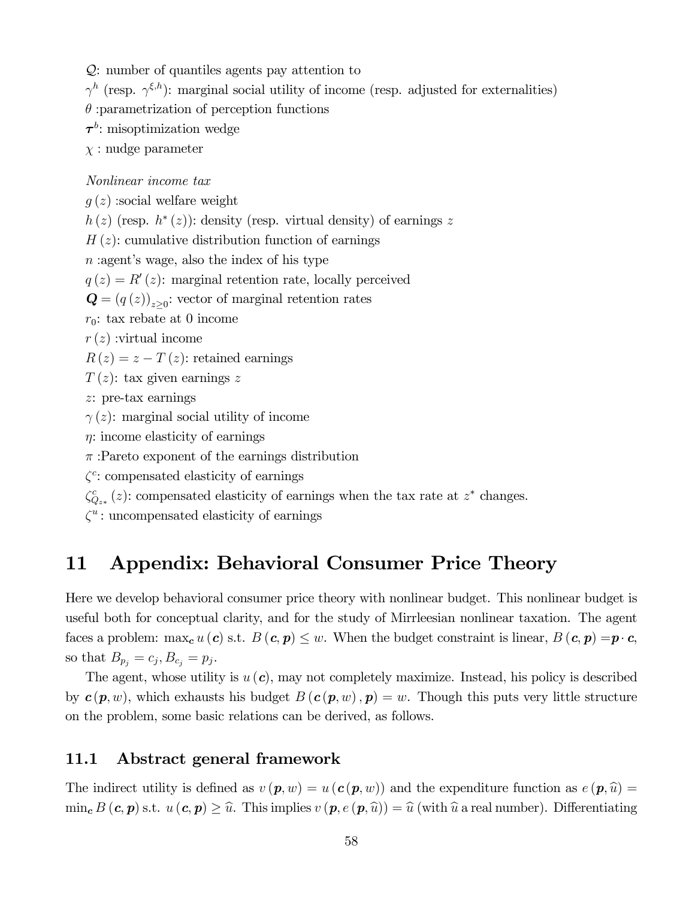Q: number of quantiles agents pay attention to

 $\gamma^h$  (resp.  $\gamma^{\xi,h}$ ): marginal social utility of income (resp. adjusted for externalities)

 $\theta$ : parametrization of perception functions

 $\tau^b$ : misoptimization wedge

 $\chi$ : nudge parameter

### Nonlinear income tax

 $q(z)$ : social welfare weight

 $h(z)$  (resp.  $h^*(z)$ ): density (resp. virtual density) of earnings z

 $H(z)$ : cumulative distribution function of earnings

 $n:$ agent's wage, also the index of his type

 $q(z) = R'(z)$ : marginal retention rate, locally perceived

 $\mathbf{Q} = (q(z))_{z>0}$ : vector of marginal retention rates

 $r_0$ : tax rebate at 0 income

 $r(z)$ : virtual income

 $R(z) = z - T(z)$ : retained earnings

 $T(z)$ : tax given earnings z

: pre-tax earnings

 $\gamma(z)$ : marginal social utility of income

 $\eta$ : income elasticity of earnings

 $\pi$ : Pareto exponent of the earnings distribution

 $\zeta^c$ : compensated elasticity of earnings

 $\zeta_{Q_{z*}}^c(z)$ : compensated elasticity of earnings when the tax rate at  $z^*$  changes.

 $\zeta^u$ : uncompensated elasticity of earnings

## 11 Appendix: Behavioral Consumer Price Theory

Here we develop behavioral consumer price theory with nonlinear budget. This nonlinear budget is useful both for conceptual clarity, and for the study of Mirrleesian nonlinear taxation. The agent faces a problem: max<sub>c</sub>  $u(c)$  s.t.  $B(c, p) \leq w$ . When the budget constraint is linear,  $B(c, p) = p \cdot c$ , so that  $B_{p_j} = c_j, B_{c_j} = p_j.$ 

The agent, whose utility is  $u(c)$ , may not completely maximize. Instead, his policy is described by  $c(p, w)$ , which exhausts his budget  $B(c(p, w), p) = w$ . Though this puts very little structure on the problem, some basic relations can be derived, as follows.

### 11.1 Abstract general framework

The indirect utility is defined as  $v(\mathbf{p}, w) = u(\mathbf{c}(\mathbf{p}, w))$  and the expenditure function as  $e(\mathbf{p}, \hat{u}) =$  $\min_{\mathbf{c}} B(\mathbf{c}, \mathbf{p})$  s.t.  $u(\mathbf{c}, \mathbf{p}) \geq \hat{u}$ . This implies  $v(\mathbf{p}, e(\mathbf{p}, \hat{u})) = \hat{u}$  (with  $\hat{u}$  a real number). Differentiating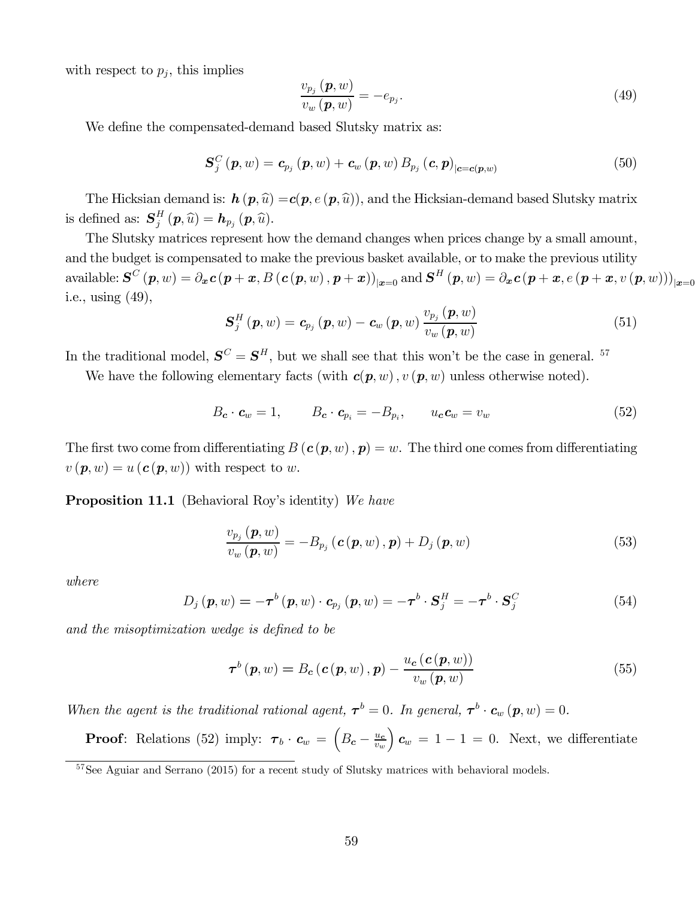with respect to  $p_j$ , this implies

$$
\frac{v_{p_j}\left(\boldsymbol{p},w\right)}{v_w\left(\boldsymbol{p},w\right)} = -e_{p_j}.\tag{49}
$$

We define the compensated-demand based Slutsky matrix as:

$$
\mathbf{S}_{j}^{C}\left(\boldsymbol{p},w\right)=\boldsymbol{c}_{p_{j}}\left(\boldsymbol{p},w\right)+\boldsymbol{c}_{w}\left(\boldsymbol{p},w\right)B_{p_{j}}\left(\boldsymbol{c},\boldsymbol{p}\right)_{|\boldsymbol{c}=\boldsymbol{c}(\boldsymbol{p},w)}
$$
(50)

The Hicksian demand is:  $h(p, \hat{u}) = c(p, e(p, \hat{u}))$ , and the Hicksian-demand based Slutsky matrix is defined as:  $\mathbf{S}_{j}^{H}(\boldsymbol{p},\widehat{u}) = \boldsymbol{h}_{p_{j}}(\boldsymbol{p},\widehat{u}).$ 

The Slutsky matrices represent how the demand changes when prices change by a small amount, and the budget is compensated to make the previous basket available, or to make the previous utility available:  $\mathbf{S}^C(p, w) = \partial_x \mathbf{c}(p + x, B(\mathbf{c}(p, w), p + x))_{|x=0}$  and  $\mathbf{S}^H(p, w) = \partial_x \mathbf{c}(p + x, e(p + x, v(p, w)))_{|x=0}$ i.e., using (49),

$$
\mathbf{S}_{j}^{H}\left(\boldsymbol{p},w\right)=\boldsymbol{c}_{p_{j}}\left(\boldsymbol{p},w\right)-\boldsymbol{c}_{w}\left(\boldsymbol{p},w\right)\frac{v_{p_{j}}\left(\boldsymbol{p},w\right)}{v_{w}\left(\boldsymbol{p},w\right)}\tag{51}
$$

In the traditional model,  $S^C = S^H$ , but we shall see that this won't be the case in general. <sup>57</sup>

We have the following elementary facts (with  $c(p, w)$ ,  $v(p, w)$  unless otherwise noted).

$$
B_{\mathbf{c}} \cdot \mathbf{c}_w = 1, \qquad B_{\mathbf{c}} \cdot \mathbf{c}_{p_i} = -B_{p_i}, \qquad u_{\mathbf{c}} \mathbf{c}_w = v_w \tag{52}
$$

The first two come from differentiating  $B(c(p, w), p) = w$ . The third one comes from differentiating  $v(\mathbf{p}, w) = u(\mathbf{c}(\mathbf{p}, w))$  with respect to w.

Proposition 11.1 (Behavioral Roy's identity) We have

$$
\frac{v_{p_j}\left(\boldsymbol{p},w\right)}{v_w\left(\boldsymbol{p},w\right)} = -B_{p_j}\left(\boldsymbol{c}\left(\boldsymbol{p},w\right),\boldsymbol{p}\right) + D_j\left(\boldsymbol{p},w\right) \tag{53}
$$

where

$$
D_j(\boldsymbol{p}, w) = -\boldsymbol{\tau}^b(\boldsymbol{p}, w) \cdot \boldsymbol{c}_{p_j}(\boldsymbol{p}, w) = -\boldsymbol{\tau}^b \cdot \mathbf{S}_j^H = -\boldsymbol{\tau}^b \cdot \mathbf{S}_j^C \tag{54}
$$

and the misoptimization wedge is defined to be

$$
\boldsymbol{\tau}^{b}(\boldsymbol{p},w) = B_{c}(\boldsymbol{c}(\boldsymbol{p},w),\boldsymbol{p}) - \frac{u_{c}(\boldsymbol{c}(\boldsymbol{p},w))}{v_{w}(\boldsymbol{p},w)}
$$
(55)

When the agent is the traditional rational agent,  $\tau^b = 0$ . In general,  $\tau^b \cdot c_w(p, w) = 0$ .

**Proof**: Relations (52) imply:  $\boldsymbol{\tau}_b \cdot \boldsymbol{c}_w = \left(B_{\boldsymbol{c}} - \frac{u_{\boldsymbol{c}}}{v_w}\right)$  $\bigg(c_w = 1 - 1 = 0.$  Next, we differentiate

<sup>&</sup>lt;sup>57</sup>See Aguiar and Serrano (2015) for a recent study of Slutsky matrices with behavioral models.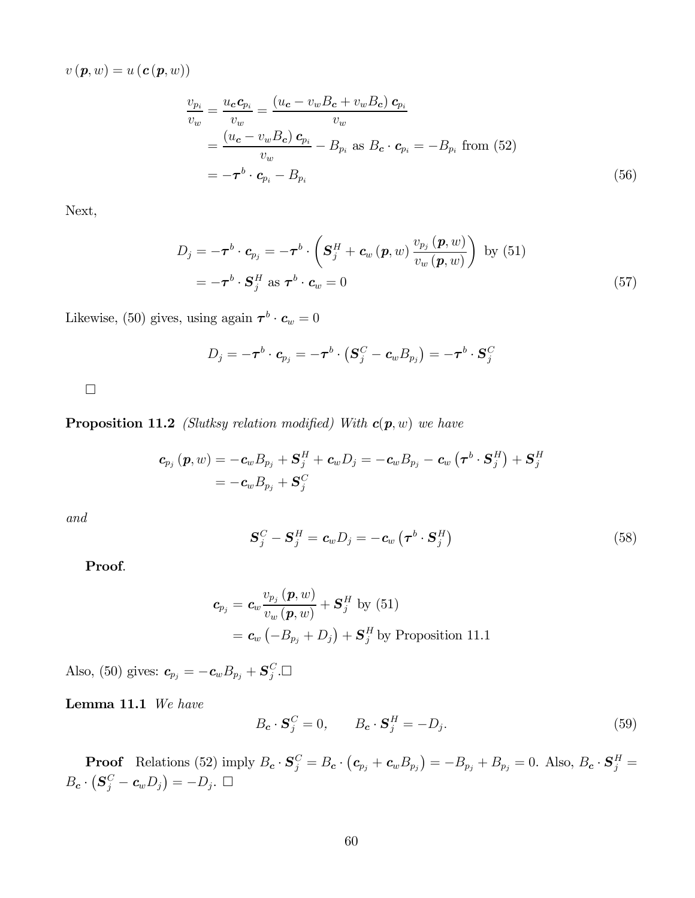$v(\boldsymbol{p}, w) = u(\boldsymbol{c}(\boldsymbol{p}, w))$ 

$$
\frac{v_{p_i}}{v_w} = \frac{u_c \mathbf{c}_{p_i}}{v_w} = \frac{(u_c - v_w B_c + v_w B_c) \mathbf{c}_{p_i}}{v_w}
$$
  
= 
$$
\frac{(u_c - v_w B_c) \mathbf{c}_{p_i}}{v_w} - B_{p_i} \text{ as } B_c \cdot \mathbf{c}_{p_i} = -B_{p_i} \text{ from (52)}
$$
  
= 
$$
-\boldsymbol{\tau}^b \cdot \mathbf{c}_{p_i} - B_{p_i}
$$
 (56)

Next,

$$
D_{j} = -\boldsymbol{\tau}^{b} \cdot \boldsymbol{c}_{p_{j}} = -\boldsymbol{\tau}^{b} \cdot \left( \boldsymbol{S}_{j}^{H} + \boldsymbol{c}_{w} \left( \boldsymbol{p}, w \right) \frac{v_{p_{j}} \left( \boldsymbol{p}, w \right)}{v_{w} \left( \boldsymbol{p}, w \right)} \right) \text{ by (51)} = -\boldsymbol{\tau}^{b} \cdot \boldsymbol{S}_{j}^{H} \text{ as } \boldsymbol{\tau}^{b} \cdot \boldsymbol{c}_{w} = 0
$$
 (57)

Likewise, (50) gives, using again  $\tau^b \cdot c_w = 0$ 

$$
D_j = -\boldsymbol{\tau}^b \cdot \boldsymbol{c}_{p_j} = -\boldsymbol{\tau}^b \cdot \left( \boldsymbol{S}_j^C - \boldsymbol{c}_w B_{p_j} \right) = -\boldsymbol{\tau}^b \cdot \boldsymbol{S}_j^C
$$

 $\Box$ 

**Proposition 11.2** (Slutksy relation modified) With  $c(p, w)$  we have

$$
\begin{aligned} \boldsymbol{c}_{p_j}\left(\boldsymbol{p}, w\right) & = -\boldsymbol{c}_w B_{p_j} + \boldsymbol{S}_j^H + \boldsymbol{c}_w D_j = -\boldsymbol{c}_w B_{p_j} - \boldsymbol{c}_w\left(\boldsymbol{\tau}^b\cdot\boldsymbol{S}_j^H\right) + \boldsymbol{S}_j^H \\ & = -\boldsymbol{c}_w B_{p_j} + \boldsymbol{S}_j^C \end{aligned}
$$

and

$$
\mathbf{S}_{j}^{C} - \mathbf{S}_{j}^{H} = \mathbf{c}_{w} D_{j} = -\mathbf{c}_{w} \left( \boldsymbol{\tau}^{b} \cdot \mathbf{S}_{j}^{H} \right) \tag{58}
$$

Proof.

$$
\begin{aligned} \boldsymbol{c}_{p_j} &= \boldsymbol{c}_w \frac{v_{p_j}\left(\boldsymbol{p}, w\right)}{v_w\left(\boldsymbol{p}, w\right)} + \boldsymbol{S}_j^H \text{ by (51)} \\ &= \boldsymbol{c}_w\left(-B_{p_j} + D_j\right) + \boldsymbol{S}_j^H \text{ by Proposition 11.1} \end{aligned}
$$

Also, (50) gives:  $\boldsymbol{c}_{p_j} = -\boldsymbol{c}_w B_{p_j} + \boldsymbol{S}_j^C$ . $\Box$ 

Lemma 11.1 We have

$$
B_{\mathbf{c}} \cdot \mathbf{S}_j^C = 0, \qquad B_{\mathbf{c}} \cdot \mathbf{S}_j^H = -D_j. \tag{59}
$$

**Proof** Relations (52) imply  $B_c \cdot S_j^C = B_c \cdot (c_{p_j} + c_w B_{p_j}) = -B_{p_j} + B_{p_j} = 0$ . Also,  $B_c \cdot S_j^H =$  $B_{\mathbf{c}} \cdot (\mathbf{S}_{j}^{C} - \mathbf{c}_{w} D_{j}) = -D_{j}.$   $\Box$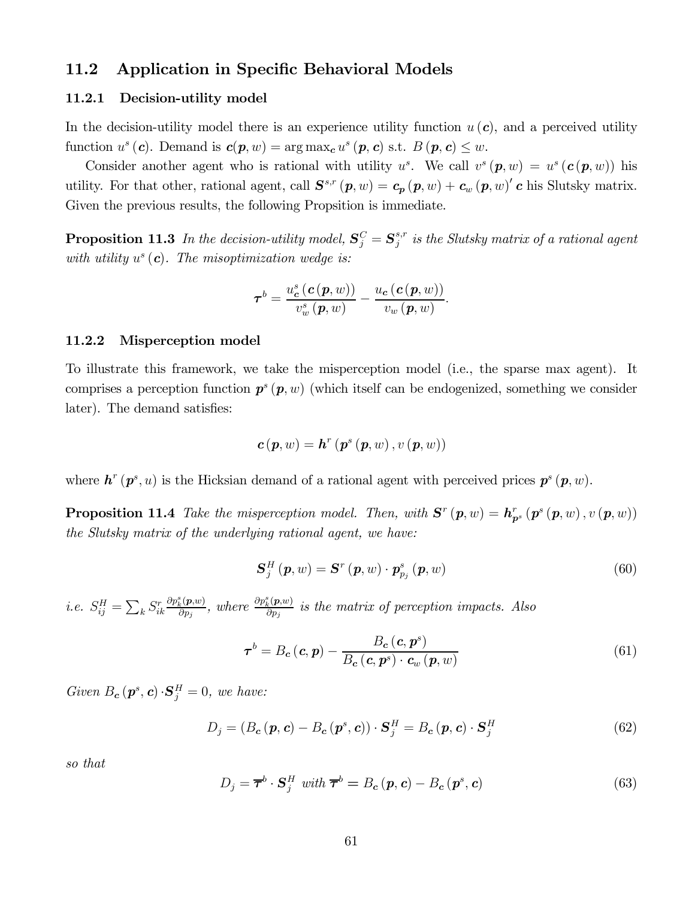### 11.2 Application in Specific Behavioral Models

#### 11.2.1 Decision-utility model

In the decision-utility model there is an experience utility function  $u(c)$ , and a perceived utility function  $u^s(c)$ . Demand is  $c(p, w) = \arg \max_{c} u^s(p, c)$  s.t.  $B(p, c) \leq w$ .

Consider another agent who is rational with utility  $u^s$ . We call  $v^s(p, w) = u^s(c(p, w))$  his utility. For that other, rational agent, call  $\mathbf{S}^{s,r}(\boldsymbol{p},w) = \boldsymbol{c}_{\boldsymbol{p}}(\boldsymbol{p},w) + \boldsymbol{c}_{w}(\boldsymbol{p},w)'$  c his Slutsky matrix. Given the previous results, the following Propsition is immediate.

**Proposition 11.3** In the decision-utility model,  $S_j^C = S_j^{s,r}$  is the Slutsky matrix of a rational agent with utility  $u^s(c)$ . The misoptimization wedge is:

$$
\boldsymbol{\tau}^{b}=\frac{u_{\boldsymbol{c}}^{s}\left(\boldsymbol{c}\left(\boldsymbol{p},w\right)\right)}{v_{w}^{s}\left(\boldsymbol{p},w\right)}-\frac{u_{\boldsymbol{c}}\left(\boldsymbol{c}\left(\boldsymbol{p},w\right)\right)}{v_{w}\left(\boldsymbol{p},w\right)}.
$$

#### 11.2.2 Misperception model

To illustrate this framework, we take the misperception model (i.e., the sparse max agent). It comprises a perception function  $p^s(p, w)$  (which itself can be endogenized, something we consider later). The demand satisfies:

$$
\boldsymbol{c}\left(\boldsymbol{p},w\right)=\boldsymbol{h}^{r}\left(\boldsymbol{p}^{s}\left(\boldsymbol{p},w\right),v\left(\boldsymbol{p},w\right)\right)
$$

where  $h^r(p^s, u)$  is the Hicksian demand of a rational agent with perceived prices  $p^s(p, w)$ .

**Proposition 11.4** Take the misperception model. Then, with  $S^{r}(p, w) = h_{p^{s}}^{r}(p^{s}(p, w), v(p, w))$ the Slutsky matrix of the underlying rational agent, we have:

$$
\mathbf{S}_{j}^{H}\left(\boldsymbol{p},w\right)=\mathbf{S}^{r}\left(\boldsymbol{p},w\right)\cdot\mathbf{p}_{p_{j}}^{s}\left(\boldsymbol{p},w\right)
$$
\n(60)

*i.e.*  $S_{ij}^H = \sum_k S_{ik}^r$  $\frac{\partial p_k^s(\bm{p},w)}{\partial p_j}$ , where  $\frac{\partial p_k^s(\bm{p},w)}{\partial p_j}$  is the matrix of perception impacts. Also

$$
\boldsymbol{\tau}^{b} = B_{c} \left( \boldsymbol{c}, \boldsymbol{p} \right) - \frac{B_{c} \left( \boldsymbol{c}, \boldsymbol{p}^{s} \right)}{B_{c} \left( \boldsymbol{c}, \boldsymbol{p}^{s} \right) \cdot \boldsymbol{c}_{w} \left( \boldsymbol{p}, w \right)}
$$
(61)

Given  $B_c(p^s, c) \cdot S_j^H = 0$ , we have:

$$
D_j = (B_c(\mathbf{p}, \mathbf{c}) - B_c(\mathbf{p}^s, \mathbf{c})) \cdot \mathbf{S}_j^H = B_c(\mathbf{p}, \mathbf{c}) \cdot \mathbf{S}_j^H
$$
 (62)

so that

$$
D_j = \overline{\boldsymbol{\tau}}^b \cdot \mathbf{S}_j^H \text{ with } \overline{\boldsymbol{\tau}}^b = B_c(p, c) - B_c(p^s, c) \tag{63}
$$